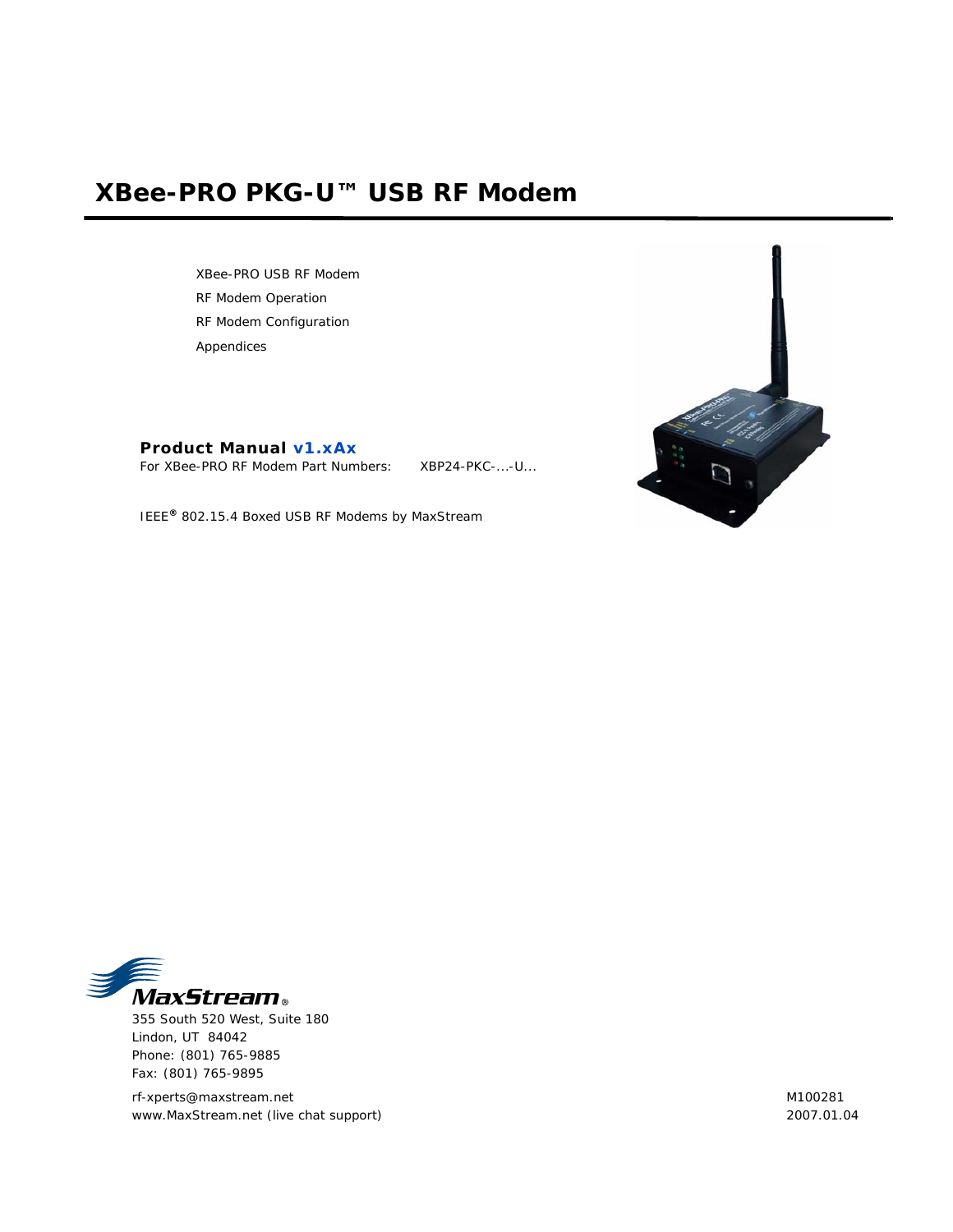# **XBee-PRO PKG-U™ USB RF Modem**

XBee-PRO USB RF Modem RF Modem Operation RF Modem Configuration Appendices

**Product Manual v1.xAx**

For XBee-PRO RF Modem Part Numbers: XBP24-PKC-...-U...





355 South 520 West, Suite 180 Lindon, UT 84042 Phone: (801) 765-9885 Fax: (801) 765-9895

rf-xperts@maxstream.net www.MaxStream.net (live chat support) M100281 2007.01.04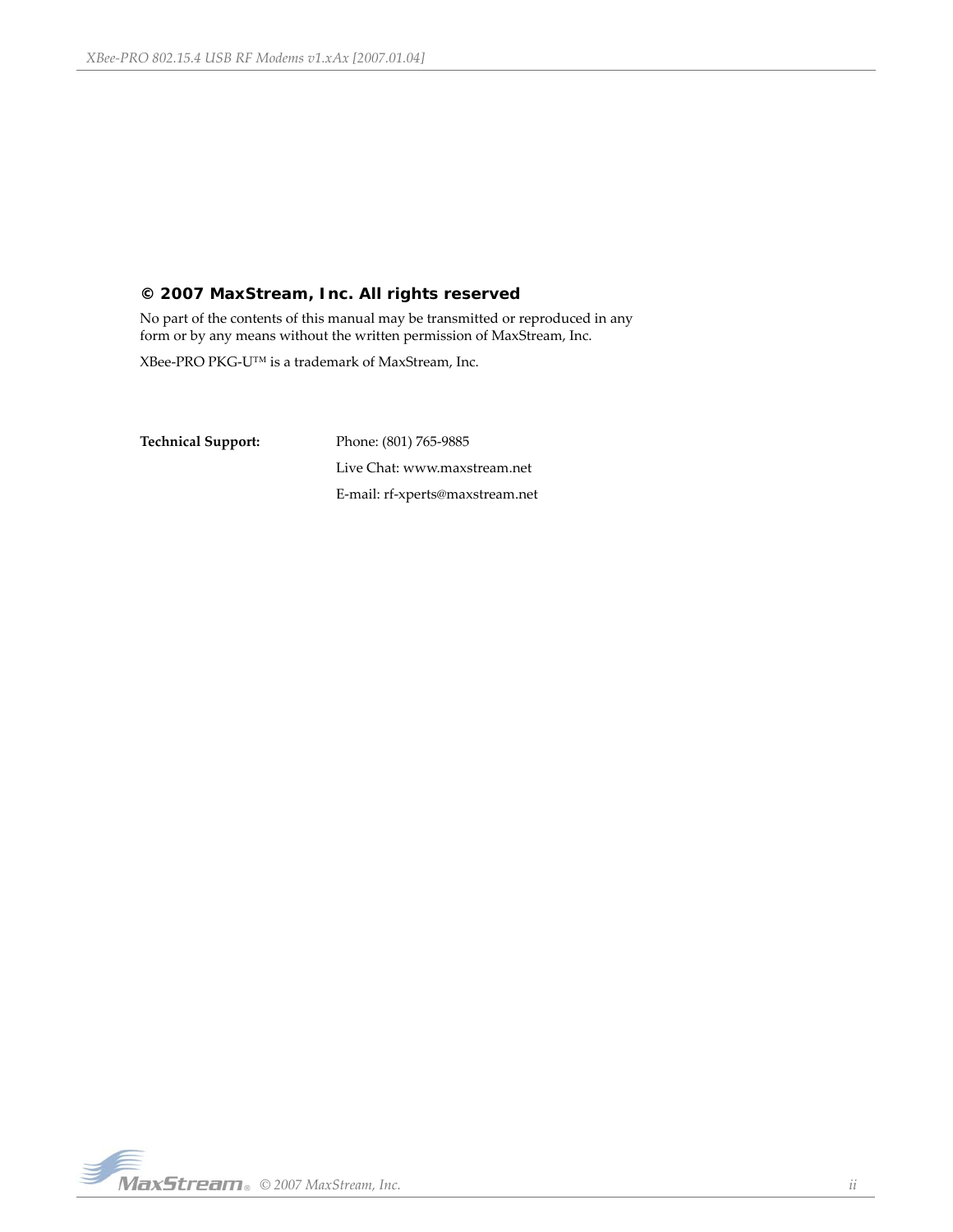# **© 2007 MaxStream, Inc. All rights reserved**

No part of the contents of this manual may be transmitted or reproduced in any form or by any means without the written permission of MaxStream, Inc.

XBee‐PRO PKG‐U™ is a trademark of MaxStream, Inc.

**Technical Support:** Phone: (801) 765‐9885 Live Chat: www.maxstream.net E‐mail: rf‐xperts@maxstream.net

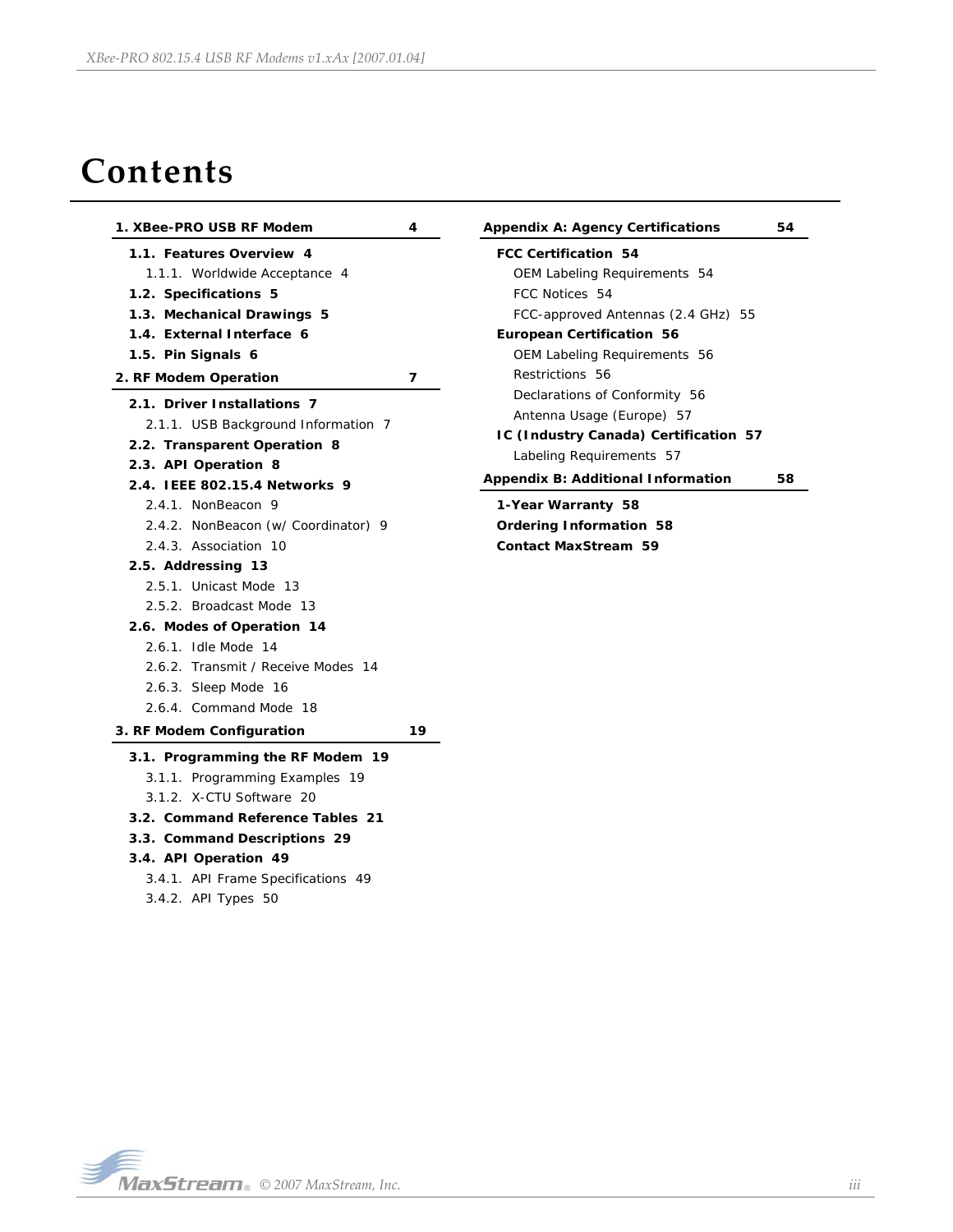# **Contents**

| 1. XBee-PRO USB RF Modem                                                                                                                                                                                                                                                                                                   | 4  | <b>Appendix A: Agency Certifications</b>                                                                                                                                                                                                                                                                                                                                                          | 54 |
|----------------------------------------------------------------------------------------------------------------------------------------------------------------------------------------------------------------------------------------------------------------------------------------------------------------------------|----|---------------------------------------------------------------------------------------------------------------------------------------------------------------------------------------------------------------------------------------------------------------------------------------------------------------------------------------------------------------------------------------------------|----|
| 1.1. Features Overview 4<br>1.1.1. Worldwide Acceptance 4<br>1.2. Specifications 5<br>1.3. Mechanical Drawings 5<br>1.4. External Interface 6<br>1.5. Pin Signals 6<br>2. RF Modem Operation<br>2.1. Driver Installations 7<br>2.1.1. USB Background Information 7<br>2.2. Transparent Operation 8<br>2.3. API Operation 8 | 7  | <b>FCC Certification 54</b><br>OEM Labeling Requirements 54<br>FCC Notices 54<br>FCC-approved Antennas (2.4 GHz) 55<br><b>European Certification 56</b><br><b>OEM Labeling Requirements 56</b><br>Restrictions 56<br>Declarations of Conformity 56<br>Antenna Usage (Europe) 57<br>IC (Industry Canada) Certification 57<br>Labeling Requirements 57<br><b>Appendix B: Additional Information</b> | 58 |
| 2.4. IEEE 802.15.4 Networks 9<br>2.4.1. NonBeacon 9<br>2.4.2. NonBeacon (w/ Coordinator) 9<br>2.4.3. Association 10<br>2.5. Addressing 13<br>2.5.1. Unicast Mode 13<br>2.5.2. Broadcast Mode 13<br>2.6. Modes of Operation 14<br>2.6.1. Idle Mode 14                                                                       |    | 1-Year Warranty 58<br><b>Ordering Information 58</b><br><b>Contact MaxStream 59</b>                                                                                                                                                                                                                                                                                                               |    |
| 2.6.2. Transmit / Receive Modes 14<br>2.6.3. Sleep Mode 16<br>2.6.4. Command Mode 18<br>3. RF Modem Configuration                                                                                                                                                                                                          | 19 |                                                                                                                                                                                                                                                                                                                                                                                                   |    |
| 3.1. Programming the RF Modem 19<br>3.1.1. Programming Examples 19<br>3.1.2. X-CTU Software 20<br>3.2. Command Reference Tables 21<br>3.3. Command Descriptions 29<br>3.4. API Operation 49<br>3.4.1. API Frame Specifications 49<br>3.4.2. API Types 50                                                                   |    |                                                                                                                                                                                                                                                                                                                                                                                                   |    |

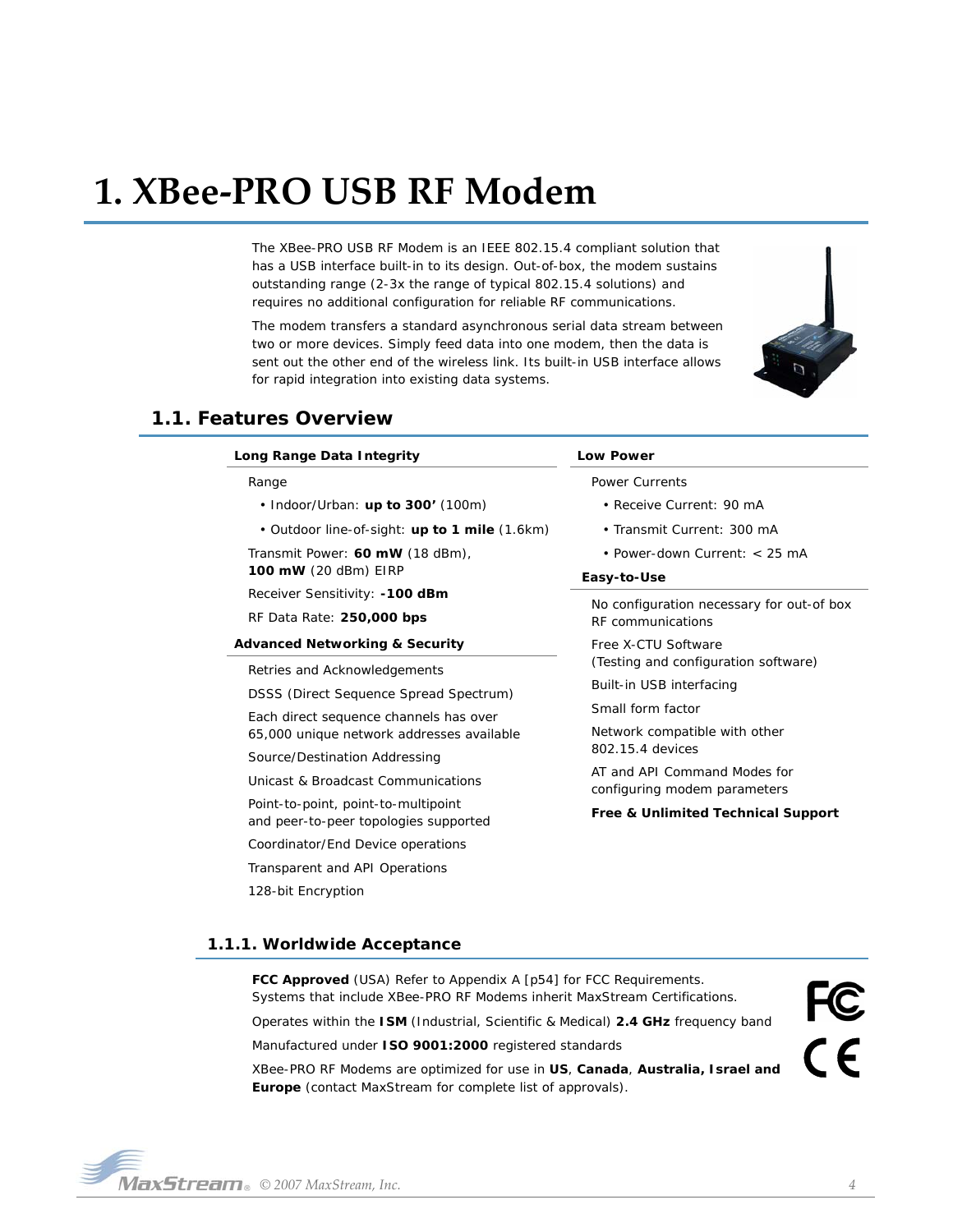# <span id="page-3-0"></span>**1. XBee‐PRO USB RF Modem**

The XBee-PRO USB RF Modem is an IEEE 802.15.4 compliant solution that has a USB interface built-in to its design. Out-of-box, the modem sustains outstanding range (2-3x the range of typical 802.15.4 solutions) and requires no additional configuration for reliable RF communications.

The modem transfers a standard asynchronous serial data stream between two or more devices. Simply feed data into one modem, then the data is sent out the other end of the wireless link. Its built-in USB interface allows for rapid integration into existing data systems.



# <span id="page-3-1"></span>**1.1. Features Overview**

| Long Range Data Integrity                                                    | <b>Low Power</b>                                                                      |  |  |
|------------------------------------------------------------------------------|---------------------------------------------------------------------------------------|--|--|
| Range                                                                        | <b>Power Currents</b><br>• Receive Current: 90 mA                                     |  |  |
| • Indoor/Urban: up to $300'$ (100m)                                          |                                                                                       |  |  |
| • Outdoor line-of-sight: up to 1 mile (1.6km)                                | • Transmit Current: 300 mA                                                            |  |  |
| Transmit Power: 60 mW (18 dBm),                                              | • Power-down Current: $<$ 25 mA                                                       |  |  |
| 100 mW (20 dBm) EIRP                                                         | Easy-to-Use                                                                           |  |  |
| Receiver Sensitivity: -100 dBm                                               | No configuration necessary for out-of box                                             |  |  |
| RF Data Rate: 250,000 bps                                                    | RF communications                                                                     |  |  |
| <b>Advanced Networking &amp; Security</b>                                    | Free X-CTU Software                                                                   |  |  |
| Retries and Acknowledgements                                                 | (Testing and configuration software)<br>Built-in USB interfacing<br>Small form factor |  |  |
| DSSS (Direct Sequence Spread Spectrum)                                       |                                                                                       |  |  |
| Each direct sequence channels has over                                       |                                                                                       |  |  |
| 65,000 unique network addresses available                                    | Network compatible with other                                                         |  |  |
| Source/Destination Addressing                                                | 802.15.4 devices                                                                      |  |  |
| Unicast & Broadcast Communications                                           | AT and API Command Modes for<br>configuring modem parameters                          |  |  |
| Point-to-point, point-to-multipoint<br>and peer-to-peer topologies supported | Free & Unlimited Technical Support                                                    |  |  |
| Coordinator/End Device operations                                            |                                                                                       |  |  |
| Transparent and API Operations                                               |                                                                                       |  |  |

# <span id="page-3-2"></span>**1.1.1. Worldwide Acceptance**

128-bit Encryption

**FCC Approved** (USA) Refer to Appendix A [[p54\]](#page-53-4) for FCC Requirements. Systems that include XBee-PRO RF Modems inherit MaxStream Certifications. Operates within the **ISM** (Industrial, Scientific & Medical) **2.4 GHz** frequency band Manufactured under **ISO 9001:2000** registered standards XBee-PRO RF Modems are optimized for use in **US**, **Canada**, **Australia, Israel and Europe** (contact MaxStream for complete list of approvals).



 $Max$  **Stream**  $\circ$  2007 MaxStream, Inc.  $\qquad$  **2007**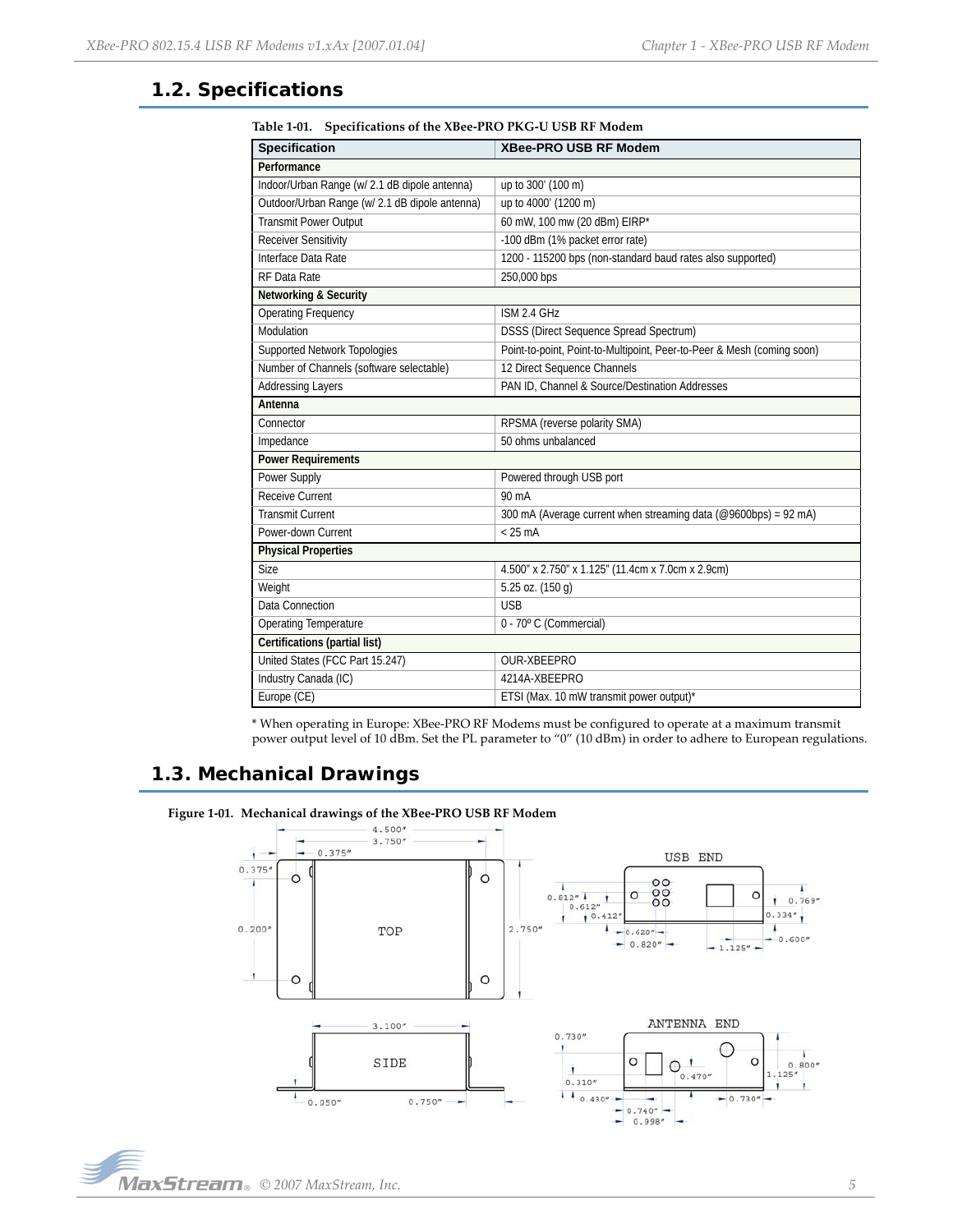# <span id="page-4-0"></span>**1.2. Specifications**

| <b>Specification</b>                           | <b>XBee-PRO USB RF Modem</b>                                           |
|------------------------------------------------|------------------------------------------------------------------------|
| Performance                                    |                                                                        |
| Indoor/Urban Range (w/ 2.1 dB dipole antenna)  | up to 300' (100 m)                                                     |
| Outdoor/Urban Range (w/ 2.1 dB dipole antenna) | up to 4000' (1200 m)                                                   |
| <b>Transmit Power Output</b>                   | 60 mW, 100 mw (20 dBm) EIRP*                                           |
| <b>Receiver Sensitivity</b>                    | -100 dBm (1% packet error rate)                                        |
| Interface Data Rate                            | 1200 - 115200 bps (non-standard baud rates also supported)             |
| RF Data Rate                                   | 250,000 bps                                                            |
| <b>Networking &amp; Security</b>               |                                                                        |
| <b>Operating Frequency</b>                     | ISM 2.4 GHz                                                            |
| Modulation                                     | DSSS (Direct Sequence Spread Spectrum)                                 |
| Supported Network Topologies                   | Point-to-point, Point-to-Multipoint, Peer-to-Peer & Mesh (coming soon) |
| Number of Channels (software selectable)       | 12 Direct Sequence Channels                                            |
| <b>Addressing Layers</b>                       | PAN ID, Channel & Source/Destination Addresses                         |
| Antenna                                        |                                                                        |
| Connector                                      | RPSMA (reverse polarity SMA)                                           |
| Impedance                                      | 50 ohms unbalanced                                                     |
| <b>Power Requirements</b>                      |                                                                        |
| Power Supply                                   | Powered through USB port                                               |
| Receive Current                                | 90 mA                                                                  |
| <b>Transmit Current</b>                        | 300 mA (Average current when streaming data (@9600bps) = 92 mA)        |
| Power-down Current                             | $< 25 \text{ mA}$                                                      |
| <b>Physical Properties</b>                     |                                                                        |
| Size                                           | 4.500" x 2.750" x 1.125" (11.4cm x 7.0cm x 2.9cm)                      |
| Weight                                         | 5.25 oz. (150 g)                                                       |
| Data Connection                                | <b>USB</b>                                                             |
| <b>Operating Temperature</b>                   | 0 - 70° C (Commercial)                                                 |
| Certifications (partial list)                  |                                                                        |
| United States (FCC Part 15.247)                | OUR-XBEEPRO                                                            |
| Industry Canada (IC)                           | 4214A-XBEEPRO                                                          |
| Europe (CE)                                    | ETSI (Max. 10 mW transmit power output)*                               |

**Table 1‐01. Specifications of the XBee‐PRO PKG‐U USB RF Modem**

\* When operating in Europe: XBee‐PRO RF Modems must be configured to operate at a maximum transmit power output level of 10 dBm. Set the PL parameter to "0" (10 dBm) in order to adhere to European regulations.

# <span id="page-4-1"></span>**1.3. Mechanical Drawings**



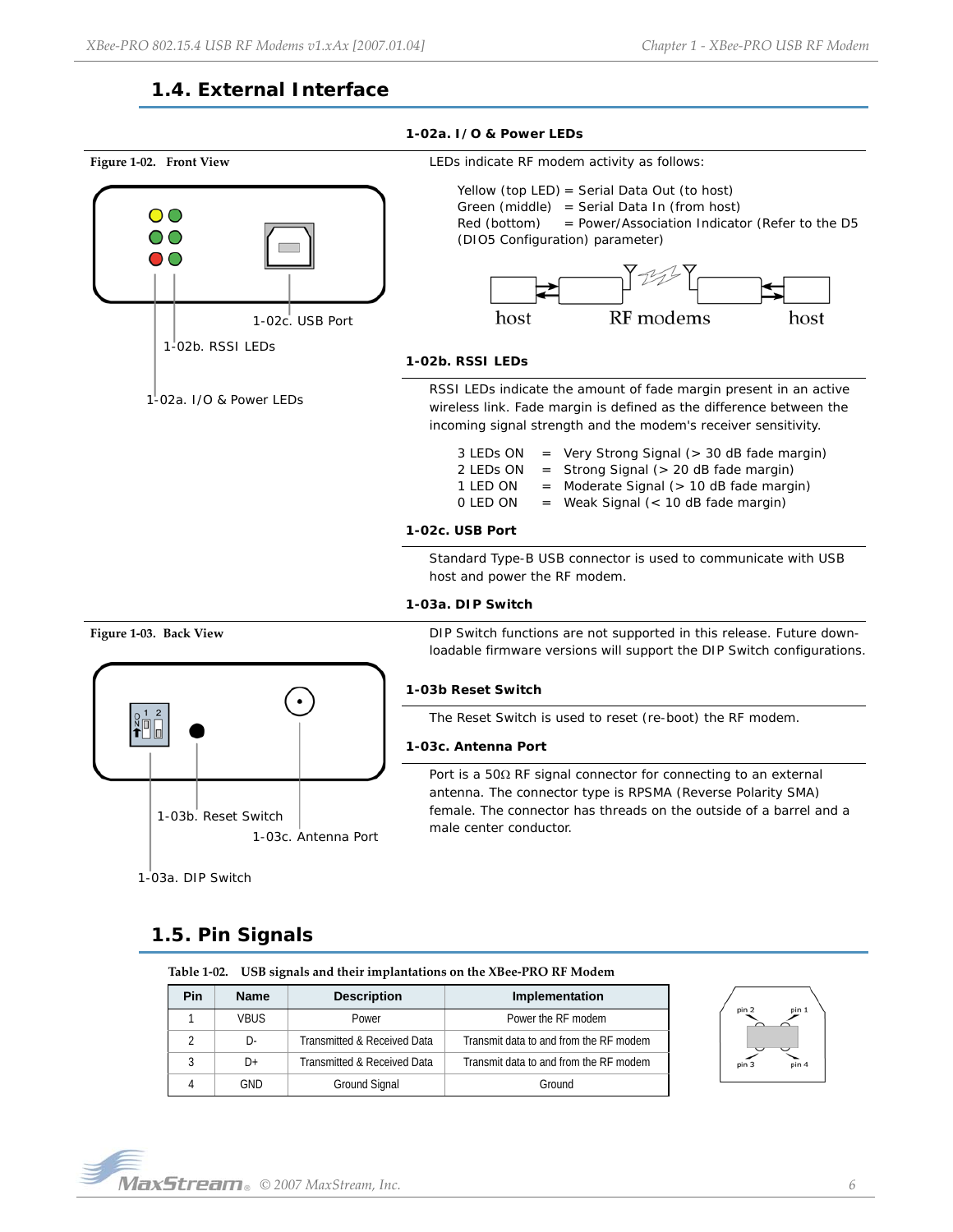# **1.4. External Interface**

<span id="page-5-0"></span>

# <span id="page-5-1"></span>**1.5. Pin Signals**

**Table 1‐02. USB signals and their implantations on the XBee‐PRO RF Modem**

| Pin | <b>Name</b> | <b>Description</b>          | Implementation                         |
|-----|-------------|-----------------------------|----------------------------------------|
|     | <b>VBUS</b> | Power                       | Power the RF modem                     |
|     | D-          | Transmitted & Received Data | Transmit data to and from the RF modem |
|     | D+          | Transmitted & Received Data | Transmit data to and from the RF modem |
|     | GND         | Ground Signal               | Ground                                 |

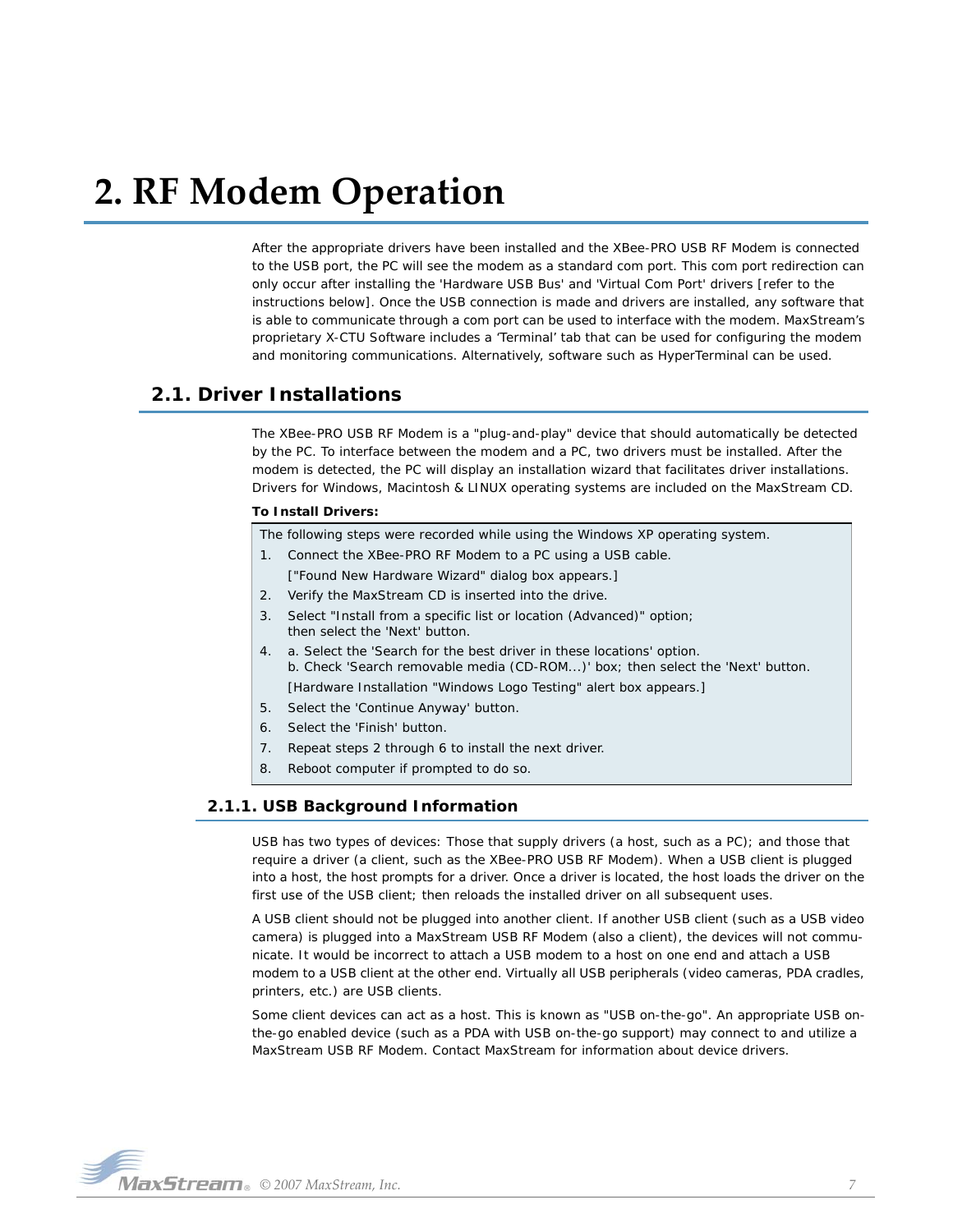# <span id="page-6-0"></span>**2. RF Modem Operation**

After the appropriate drivers have been installed and the XBee-PRO USB RF Modem is connected to the USB port, the PC will see the modem as a standard com port. This com port redirection can only occur after installing the 'Hardware USB Bus' and 'Virtual Com Port' drivers [refer to the instructions below]. Once the USB connection is made and drivers are installed, any software that is able to communicate through a com port can be used to interface with the modem. MaxStream's proprietary X-CTU Software includes a 'Terminal' tab that can be used for configuring the modem and monitoring communications. Alternatively, software such as HyperTerminal can be used.

# <span id="page-6-1"></span>**2.1. Driver Installations**

The XBee-PRO USB RF Modem is a "plug-and-play" device that should automatically be detected by the PC. To interface between the modem and a PC, two drivers must be installed. After the modem is detected, the PC will display an installation wizard that facilitates driver installations. Drivers for Windows, Macintosh & LINUX operating systems are included on the MaxStream CD.

#### **To Install Drivers:**

The following steps were recorded while using the Windows XP operating system.

- 1. Connect the XBee-PRO RF Modem to a PC using a USB cable. ["Found New Hardware Wizard" dialog box appears.]
- 2. Verify the MaxStream CD is inserted into the drive.
- Select "Install from a specific list or location (Advanced)" option; then select the 'Next' button.
- 4. a. Select the 'Search for the best driver in these locations' option. b. Check 'Search removable media (CD-ROM...)' box; then select the 'Next' button. [Hardware Installation "Windows Logo Testing" alert box appears.]
- 5. Select the 'Continue Anyway' button.
- 6. Select the 'Finish' button.
- 7. Repeat steps 2 through 6 to install the next driver.
- 8. Reboot computer if prompted to do so.

# <span id="page-6-2"></span>**2.1.1. USB Background Information**

USB has two types of devices: Those that supply drivers (a host, such as a PC); and those that require a driver (a client, such as the XBee-PRO USB RF Modem). When a USB client is plugged into a host, the host prompts for a driver. Once a driver is located, the host loads the driver on the first use of the USB client; then reloads the installed driver on all subsequent uses.

A USB client should not be plugged into another client. If another USB client (such as a USB video camera) is plugged into a MaxStream USB RF Modem (also a client), the devices will not communicate. It would be incorrect to attach a USB modem to a host on one end and attach a USB modem to a USB client at the other end. Virtually all USB peripherals (video cameras, PDA cradles, printers, etc.) are USB clients.

Some client devices can act as a host. This is known as "USB on-the-go". An appropriate USB onthe-go enabled device (such as a PDA with USB on-the-go support) may connect to and utilize a MaxStream USB RF Modem. Contact MaxStream for information about device drivers.

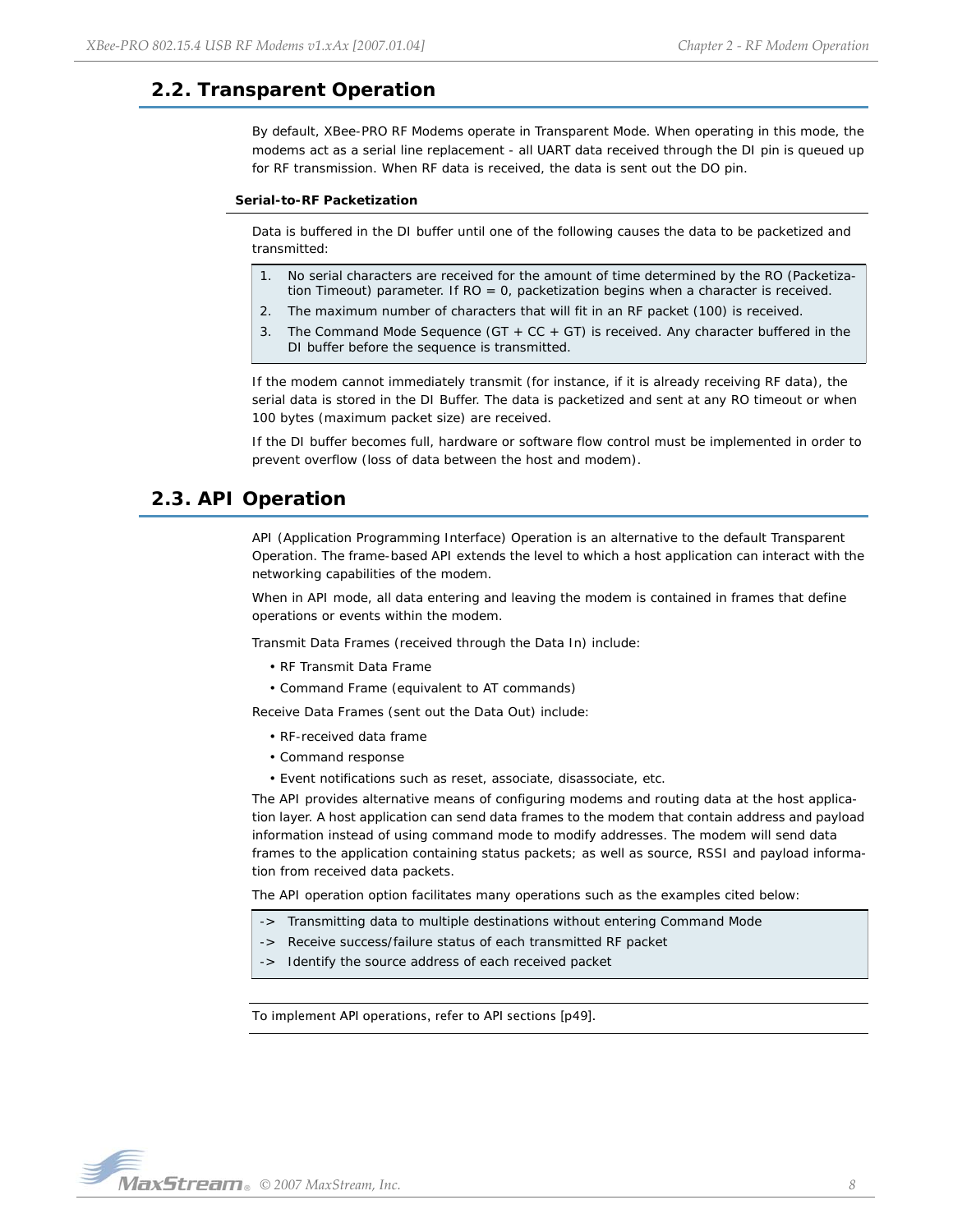# <span id="page-7-0"></span>**2.2. Transparent Operation**

By default, XBee-PRO RF Modems operate in Transparent Mode. When operating in this mode, the modems act as a serial line replacement - all UART data received through the DI pin is queued up for RF transmission. When RF data is received, the data is sent out the DO pin.

#### **Serial-to-RF Packetization**

Data is buffered in the DI buffer until one of the following causes the data to be packetized and transmitted:

- 1. No serial characters are received for the amount of time determined by the RO (Packetization Timeout) parameter. If RO = 0, packetization begins when a character is received.
- 2. The maximum number of characters that will fit in an RF packet (100) is received.
- 3. The Command Mode Sequence (GT + CC + GT) is received. Any character buffered in the DI buffer before the sequence is transmitted.

If the modem cannot immediately transmit (for instance, if it is already receiving RF data), the serial data is stored in the DI Buffer. The data is packetized and sent at any RO timeout or when 100 bytes (maximum packet size) are received.

If the DI buffer becomes full, hardware or software flow control must be implemented in order to prevent overflow (loss of data between the host and modem).

# <span id="page-7-1"></span>**2.3. API Operation**

API (Application Programming Interface) Operation is an alternative to the default Transparent Operation. The frame-based API extends the level to which a host application can interact with the networking capabilities of the modem.

When in API mode, all data entering and leaving the modem is contained in frames that define operations or events within the modem.

Transmit Data Frames (received through the Data In) include:

- RF Transmit Data Frame
- Command Frame (equivalent to AT commands)

Receive Data Frames (sent out the Data Out) include:

- RF-received data frame
- Command response
- Event notifications such as reset, associate, disassociate, etc.

The API provides alternative means of configuring modems and routing data at the host application layer. A host application can send data frames to the modem that contain address and payload information instead of using command mode to modify addresses. The modem will send data frames to the application containing status packets; as well as source, RSSI and payload information from received data packets.

The API operation option facilitates many operations such as the examples cited below:

- -> Transmitting data to multiple destinations without entering Command Mode
- -> Receive success/failure status of each transmitted RF packet
- -> Identify the source address of each received packet

To implement API operations, refer to API sections [[p49\]](#page-48-2).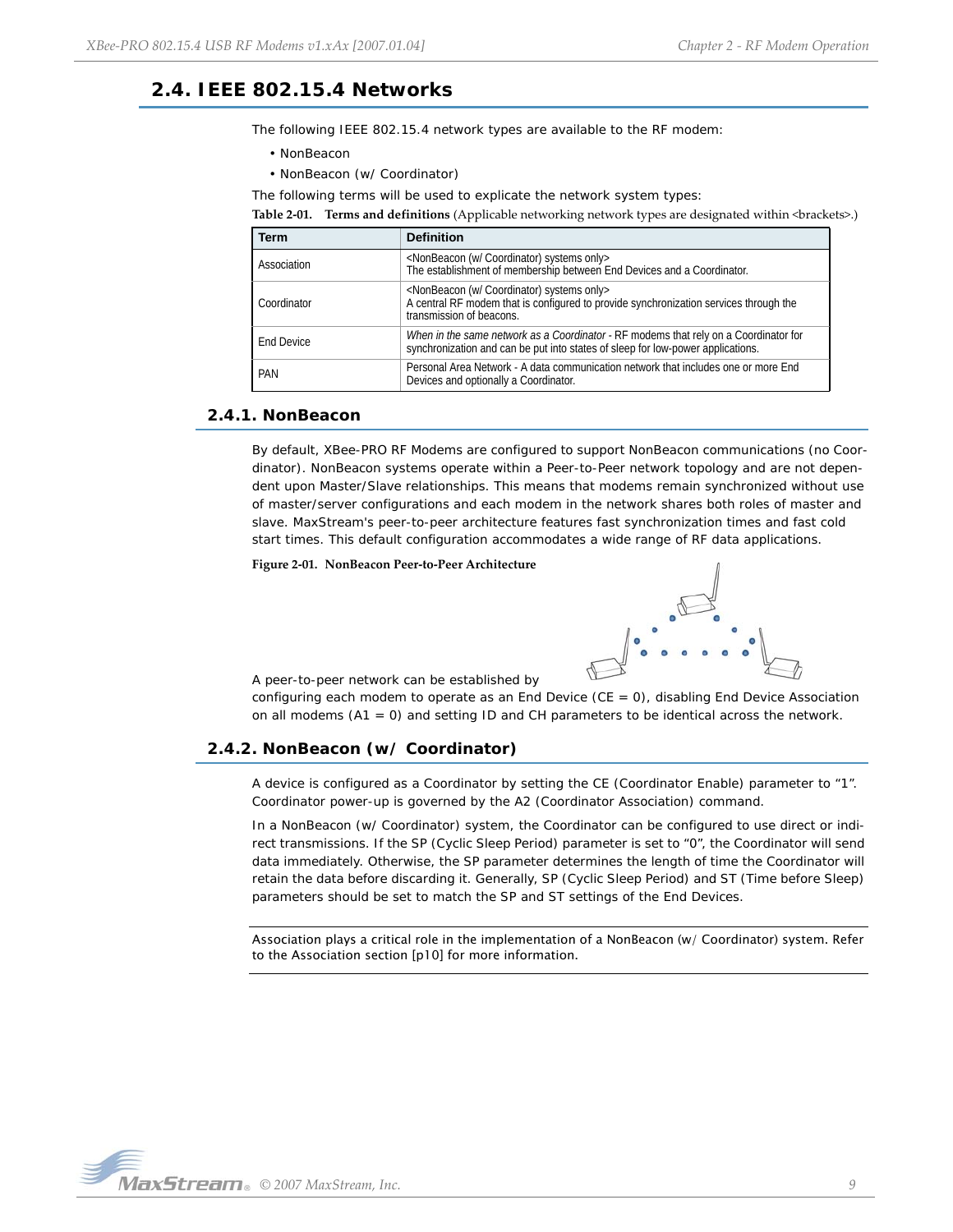# <span id="page-8-0"></span>**2.4. IEEE 802.15.4 Networks**

The following IEEE 802.15.4 network types are available to the RF modem:

- NonBeacon
- NonBeacon (w/ Coordinator)

The following terms will be used to explicate the network system types:

**Table 2‐01. Terms and definitions** (Applicable networking network types are designated within <brackets>.)

| Term              | <b>Definition</b>                                                                                                                                                                       |
|-------------------|-----------------------------------------------------------------------------------------------------------------------------------------------------------------------------------------|
| Association       | <nonbeacon (w="" coordinator)="" only="" systems=""><br/>The establishment of membership between End Devices and a Coordinator.</nonbeacon>                                             |
| Coordinator       | <nonbeacon (w="" coordinator)="" only="" systems=""><br/>A central RF modem that is configured to provide synchronization services through the<br/>transmission of beacons.</nonbeacon> |
| <b>End Device</b> | When in the same network as a Coordinator - RF modems that rely on a Coordinator for<br>synchronization and can be put into states of sleep for low-power applications.                 |
| PAN               | Personal Area Network - A data communication network that includes one or more End<br>Devices and optionally a Coordinator.                                                             |

## <span id="page-8-1"></span>**2.4.1. NonBeacon**

By default, XBee-PRO RF Modems are configured to support NonBeacon communications (no Coordinator). NonBeacon systems operate within a Peer-to-Peer network topology and are not dependent upon Master/Slave relationships. This means that modems remain synchronized without use of master/server configurations and each modem in the network shares both roles of master and slave. MaxStream's peer-to-peer architecture features fast synchronization times and fast cold start times. This default configuration accommodates a wide range of RF data applications.

**Figure 2‐01. NonBeacon Peer‐to‐Peer Architecture**



A peer-to-peer network can be established by

configuring each modem to operate as an End Device ( $CE = 0$ ), disabling End Device Association on all modems  $(A1 = 0)$  and setting ID and CH parameters to be identical across the network.

# <span id="page-8-2"></span>**2.4.2. NonBeacon (w/ Coordinator)**

A device is configured as a Coordinator by setting the CE (Coordinator Enable) parameter to "1". Coordinator power-up is governed by the A2 (Coordinator Association) command.

In a NonBeacon (w/ Coordinator) system, the Coordinator can be configured to use direct or indirect transmissions. If the SP (Cyclic Sleep Period) parameter is set to "0", the Coordinator will send data immediately. Otherwise, the SP parameter determines the length of time the Coordinator will retain the data before discarding it. Generally, SP (Cyclic Sleep Period) and ST (Time before Sleep) parameters should be set to match the SP and ST settings of the End Devices.

Association plays a critical role in the implementation of a NonBeacon (w/ Coordinator) system. Refer to the Association section [\[p10\]](#page-9-0) for more information.

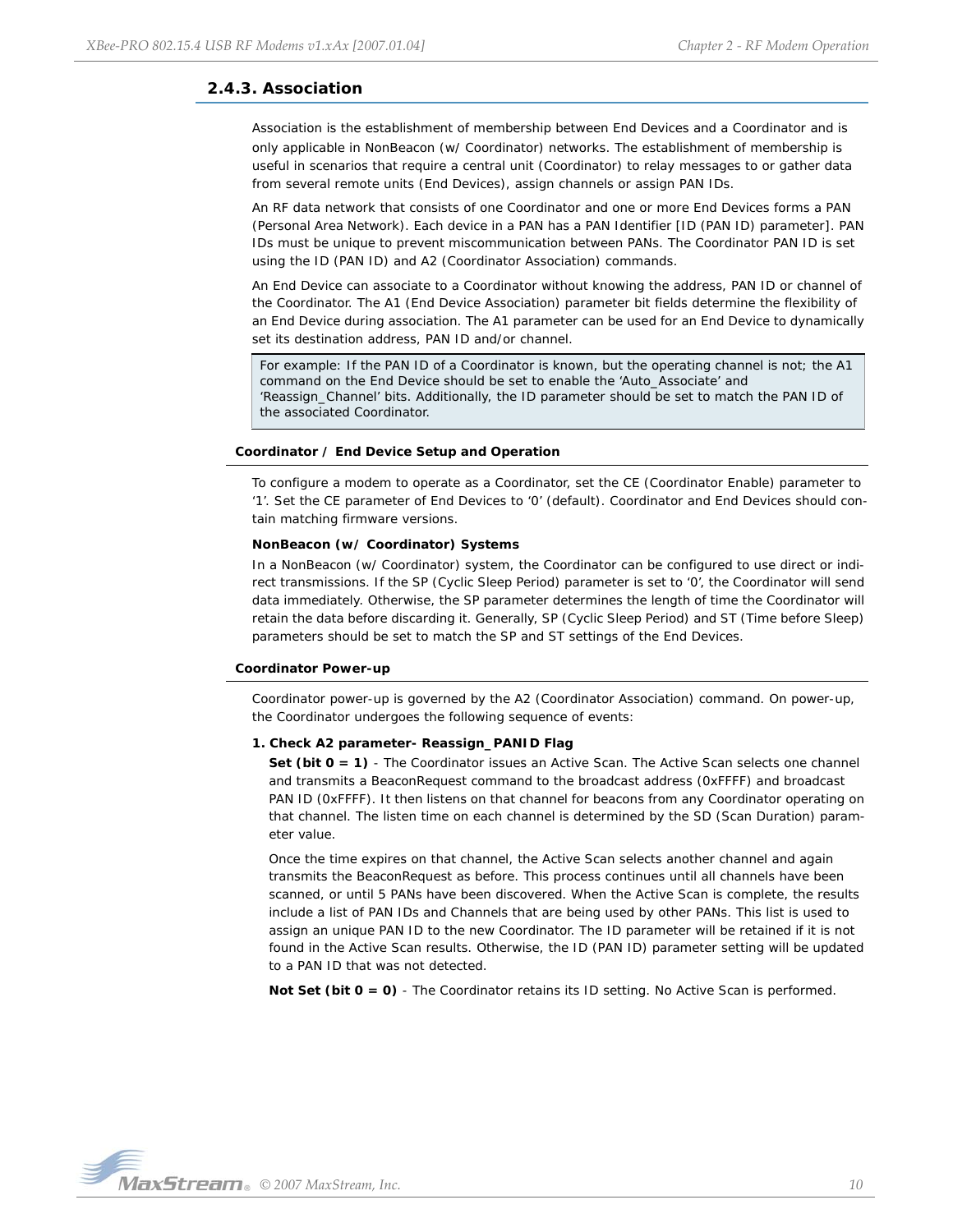# <span id="page-9-0"></span>**2.4.3. Association**

Association is the establishment of membership between End Devices and a Coordinator and is only applicable in NonBeacon (w/ Coordinator) networks. The establishment of membership is useful in scenarios that require a central unit (Coordinator) to relay messages to or gather data from several remote units (End Devices), assign channels or assign PAN IDs.

An RF data network that consists of one Coordinator and one or more End Devices forms a PAN (Personal Area Network). Each device in a PAN has a PAN Identifier [ID (PAN ID) parameter]. PAN IDs must be unique to prevent miscommunication between PANs. The Coordinator PAN ID is set using the ID (PAN ID) and A2 (Coordinator Association) commands.

An End Device can associate to a Coordinator without knowing the address, PAN ID or channel of the Coordinator. The A1 (End Device Association) parameter bit fields determine the flexibility of an End Device during association. The A1 parameter can be used for an End Device to dynamically set its destination address, PAN ID and/or channel.

For example: If the PAN ID of a Coordinator is known, but the operating channel is not; the A1 command on the End Device should be set to enable the 'Auto\_Associate' and 'Reassign\_Channel' bits. Additionally, the ID parameter should be set to match the PAN ID of the associated Coordinator.

## **Coordinator / End Device Setup and Operation**

To configure a modem to operate as a Coordinator, set the CE (Coordinator Enable) parameter to '1'. Set the CE parameter of End Devices to '0' (default). Coordinator and End Devices should contain matching firmware versions.

#### **NonBeacon (w/ Coordinator) Systems**

In a NonBeacon (w/ Coordinator) system, the Coordinator can be configured to use direct or indirect transmissions. If the SP (Cyclic Sleep Period) parameter is set to '0', the Coordinator will send data immediately. Otherwise, the SP parameter determines the length of time the Coordinator will retain the data before discarding it. Generally, SP (Cyclic Sleep Period) and ST (Time before Sleep) parameters should be set to match the SP and ST settings of the End Devices.

#### **Coordinator Power-up**

Coordinator power-up is governed by the A2 (Coordinator Association) command. On power-up, the Coordinator undergoes the following sequence of events:

## **1. Check A2 parameter- Reassign\_PANID Flag**

Set (bit  $0 = 1$ ) - The Coordinator issues an Active Scan. The Active Scan selects one channel and transmits a BeaconRequest command to the broadcast address (0xFFFF) and broadcast PAN ID (0xFFFF). It then listens on that channel for beacons from any Coordinator operating on that channel. The listen time on each channel is determined by the SD (Scan Duration) parameter value.

Once the time expires on that channel, the Active Scan selects another channel and again transmits the BeaconRequest as before. This process continues until all channels have been scanned, or until 5 PANs have been discovered. When the Active Scan is complete, the results include a list of PAN IDs and Channels that are being used by other PANs. This list is used to assign an unique PAN ID to the new Coordinator. The ID parameter will be retained if it is not found in the Active Scan results. Otherwise, the ID (PAN ID) parameter setting will be updated to a PAN ID that was not detected.

**Not Set (bit 0 = 0)** - The Coordinator retains its ID setting. No Active Scan is performed.

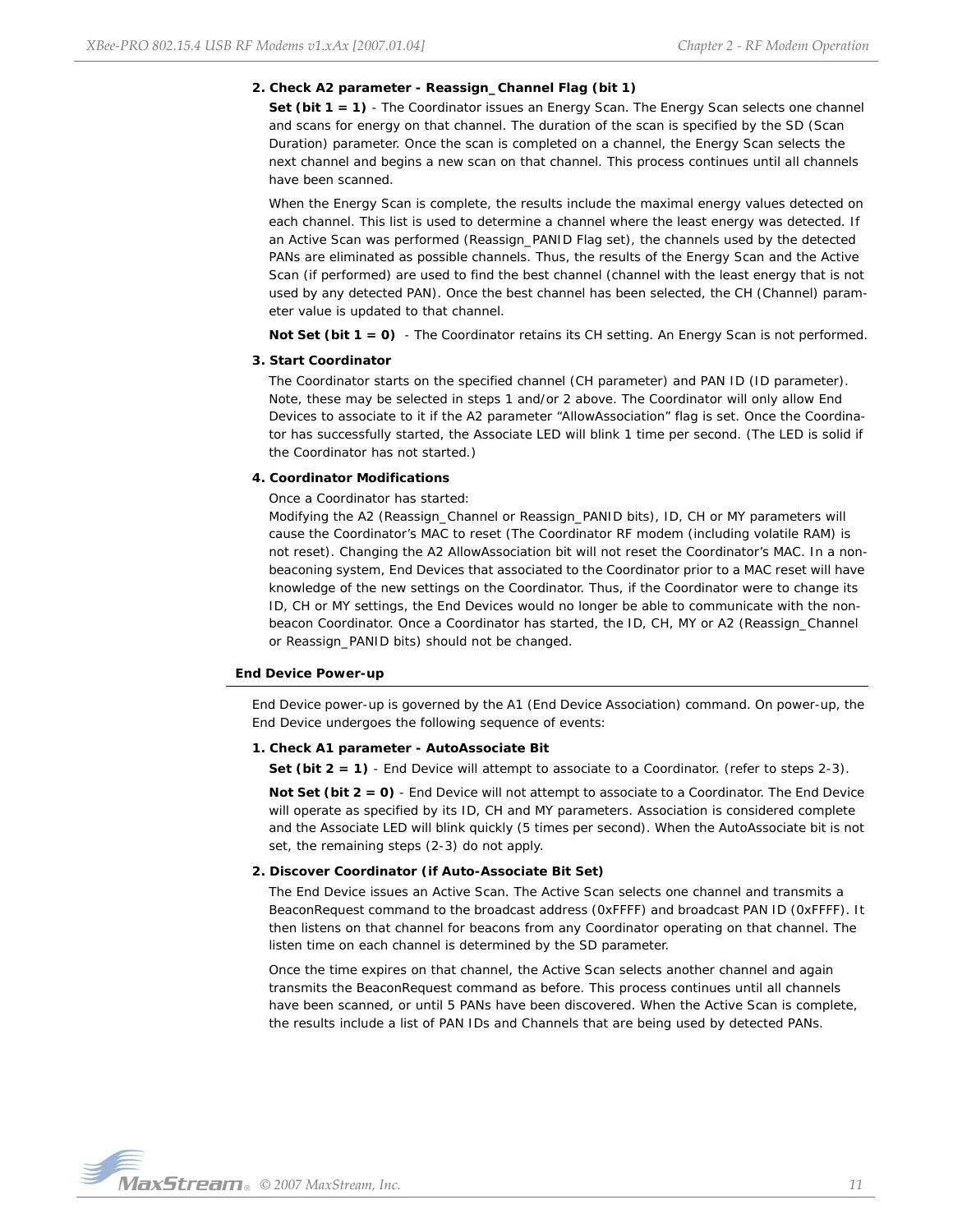#### **2. Check A2 parameter - Reassign\_Channel Flag (bit 1)**

**Set (bit 1 = 1)** - The Coordinator issues an Energy Scan. The Energy Scan selects one channel and scans for energy on that channel. The duration of the scan is specified by the SD (Scan Duration) parameter. Once the scan is completed on a channel, the Energy Scan selects the next channel and begins a new scan on that channel. This process continues until all channels have been scanned.

When the Energy Scan is complete, the results include the maximal energy values detected on each channel. This list is used to determine a channel where the least energy was detected. If an Active Scan was performed (Reassign\_PANID Flag set), the channels used by the detected PANs are eliminated as possible channels. Thus, the results of the Energy Scan and the Active Scan (if performed) are used to find the best channel (channel with the least energy that is not used by any detected PAN). Once the best channel has been selected, the CH (Channel) parameter value is updated to that channel.

**Not Set (bit 1 = 0)** - The Coordinator retains its CH setting. An Energy Scan is not performed.

#### **3. Start Coordinator**

The Coordinator starts on the specified channel (CH parameter) and PAN ID (ID parameter). Note, these may be selected in steps 1 and/or 2 above. The Coordinator will only allow End Devices to associate to it if the A2 parameter "AllowAssociation" flag is set. Once the Coordinator has successfully started, the Associate LED will blink 1 time per second. (The LED is solid if the Coordinator has not started.)

#### **4. Coordinator Modifications**

Once a Coordinator has started:

Modifying the A2 (Reassign\_Channel or Reassign\_PANID bits), ID, CH or MY parameters will cause the Coordinator's MAC to reset (The Coordinator RF modem (including volatile RAM) is not reset). Changing the A2 AllowAssociation bit will not reset the Coordinator's MAC. In a nonbeaconing system, End Devices that associated to the Coordinator prior to a MAC reset will have knowledge of the new settings on the Coordinator. Thus, if the Coordinator were to change its ID, CH or MY settings, the End Devices would no longer be able to communicate with the nonbeacon Coordinator. Once a Coordinator has started, the ID, CH, MY or A2 (Reassign\_Channel or Reassign\_PANID bits) should not be changed.

#### **End Device Power-up**

End Device power-up is governed by the A1 (End Device Association) command. On power-up, the End Device undergoes the following sequence of events:

#### **1. Check A1 parameter - AutoAssociate Bit**

**Set (bit 2 = 1)** - End Device will attempt to associate to a Coordinator. (refer to steps 2-3).

**Not Set (bit 2 = 0)** - End Device will not attempt to associate to a Coordinator. The End Device will operate as specified by its ID, CH and MY parameters. Association is considered complete and the Associate LED will blink quickly (5 times per second). When the AutoAssociate bit is not set, the remaining steps (2-3) do not apply.

#### **2. Discover Coordinator (if Auto-Associate Bit Set)**

The End Device issues an Active Scan. The Active Scan selects one channel and transmits a BeaconRequest command to the broadcast address (0xFFFF) and broadcast PAN ID (0xFFFF). It then listens on that channel for beacons from any Coordinator operating on that channel. The listen time on each channel is determined by the SD parameter.

Once the time expires on that channel, the Active Scan selects another channel and again transmits the BeaconRequest command as before. This process continues until all channels have been scanned, or until 5 PANs have been discovered. When the Active Scan is complete, the results include a list of PAN IDs and Channels that are being used by detected PANs.

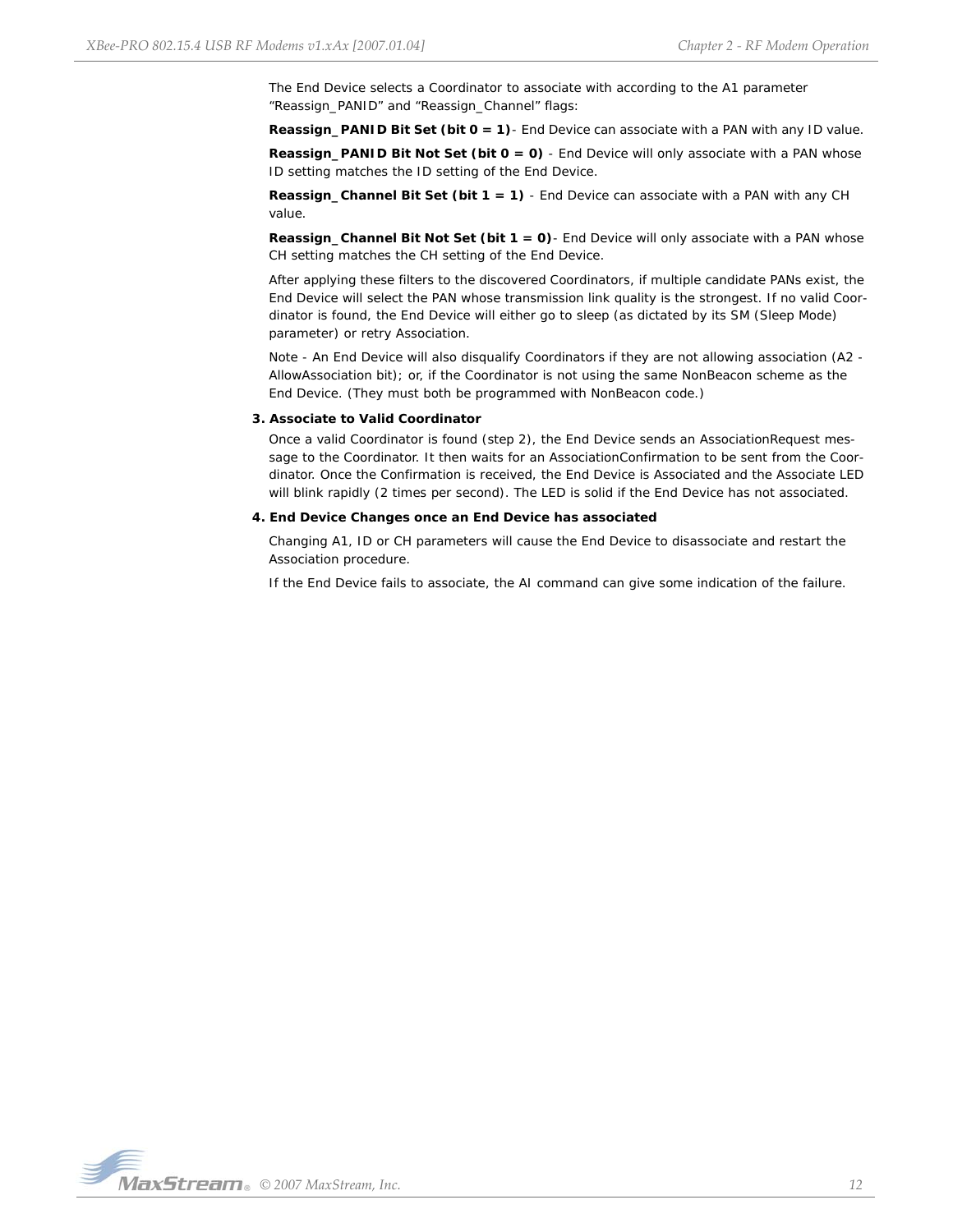The End Device selects a Coordinator to associate with according to the A1 parameter "Reassign\_PANID" and "Reassign\_Channel" flags:

**Reassign\_PANID Bit Set (bit 0 = 1)**- End Device can associate with a PAN with any ID value.

**Reassign\_PANID Bit Not Set (bit 0 = 0)** - End Device will only associate with a PAN whose ID setting matches the ID setting of the End Device.

**Reassign\_Channel Bit Set (bit 1 = 1)** - End Device can associate with a PAN with any CH value.

**Reassign\_Channel Bit Not Set (bit 1 = 0)**- End Device will only associate with a PAN whose CH setting matches the CH setting of the End Device.

After applying these filters to the discovered Coordinators, if multiple candidate PANs exist, the End Device will select the PAN whose transmission link quality is the strongest. If no valid Coordinator is found, the End Device will either go to sleep (as dictated by its SM (Sleep Mode) parameter) or retry Association.

Note - An End Device will also disqualify Coordinators if they are not allowing association (A2 - AllowAssociation bit); or, if the Coordinator is not using the same NonBeacon scheme as the End Device. (They must both be programmed with NonBeacon code.)

#### **3. Associate to Valid Coordinator**

Once a valid Coordinator is found (step 2), the End Device sends an AssociationRequest message to the Coordinator. It then waits for an AssociationConfirmation to be sent from the Coordinator. Once the Confirmation is received, the End Device is Associated and the Associate LED will blink rapidly (2 times per second). The LED is solid if the End Device has not associated.

#### **4. End Device Changes once an End Device has associated**

Changing A1, ID or CH parameters will cause the End Device to disassociate and restart the Association procedure.

If the End Device fails to associate, the AI command can give some indication of the failure.

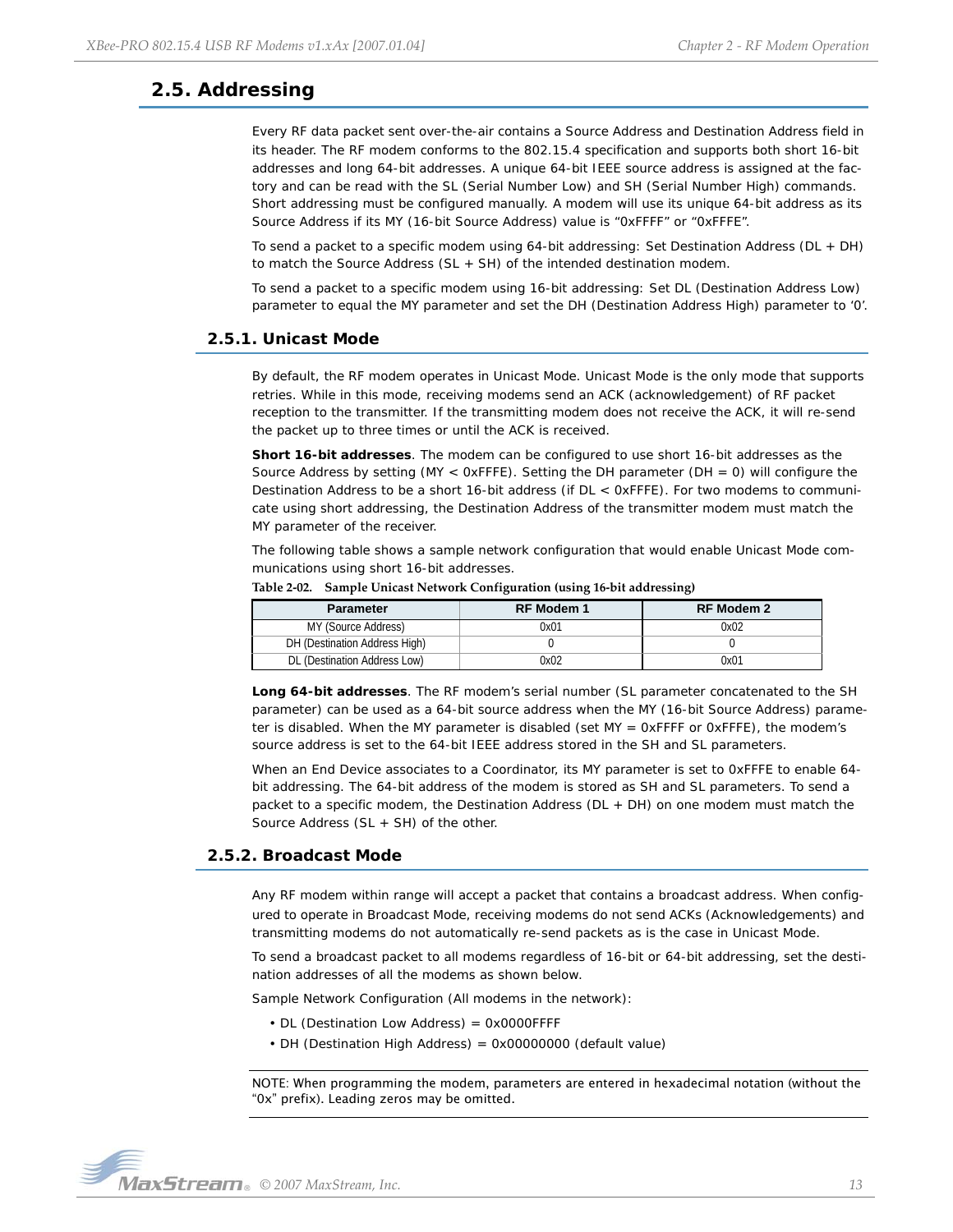# <span id="page-12-0"></span>**2.5. Addressing**

Every RF data packet sent over-the-air contains a Source Address and Destination Address field in its header. The RF modem conforms to the 802.15.4 specification and supports both short 16-bit addresses and long 64-bit addresses. A unique 64-bit IEEE source address is assigned at the factory and can be read with the SL (Serial Number Low) and SH (Serial Number High) commands. Short addressing must be configured manually. A modem will use its unique 64-bit address as its Source Address if its MY (16-bit Source Address) value is "0xFFFF" or "0xFFFE".

To send a packet to a specific modem using 64-bit addressing: Set Destination Address (DL + DH) to match the Source Address (SL + SH) of the intended destination modem.

To send a packet to a specific modem using 16-bit addressing: Set DL (Destination Address Low) parameter to equal the MY parameter and set the DH (Destination Address High) parameter to '0'.

## <span id="page-12-1"></span>**2.5.1. Unicast Mode**

By default, the RF modem operates in Unicast Mode. Unicast Mode is the only mode that supports retries. While in this mode, receiving modems send an ACK (acknowledgement) of RF packet reception to the transmitter. If the transmitting modem does not receive the ACK, it will re-send the packet up to three times or until the ACK is received.

**Short 16-bit addresses**. The modem can be configured to use short 16-bit addresses as the Source Address by setting (MY <  $0$ xFFFE). Setting the DH parameter (DH = 0) will configure the Destination Address to be a short 16-bit address (if DL < 0xFFFE). For two modems to communicate using short addressing, the Destination Address of the transmitter modem must match the MY parameter of the receiver.

The following table shows a sample network configuration that would enable Unicast Mode communications using short 16-bit addresses.

| <b>Parameter</b>              | RF Modem 1 | <b>RF Modem 2</b> |
|-------------------------------|------------|-------------------|
| MY (Source Address)           | 0x01       | 0x02              |
| DH (Destination Address High) |            |                   |
| DL (Destination Address Low)  | 0x02       | 0x01              |

**Table 2‐02. Sample Unicast Network Configuration (using 16‐bit addressing)**

**Long 64-bit addresses**. The RF modem's serial number (SL parameter concatenated to the SH parameter) can be used as a 64-bit source address when the MY (16-bit Source Address) parameter is disabled. When the MY parameter is disabled (set MY =  $0x$ FFFF or  $0x$ FFFE), the modem's source address is set to the 64-bit IEEE address stored in the SH and SL parameters.

When an End Device associates to a Coordinator, its MY parameter is set to 0xFFFE to enable 64 bit addressing. The 64-bit address of the modem is stored as SH and SL parameters. To send a packet to a specific modem, the Destination Address (DL + DH) on one modem must match the Source Address (SL + SH) of the other.

# <span id="page-12-2"></span>**2.5.2. Broadcast Mode**

Any RF modem within range will accept a packet that contains a broadcast address. When configured to operate in Broadcast Mode, receiving modems do not send ACKs (Acknowledgements) and transmitting modems do not automatically re-send packets as is the case in Unicast Mode.

To send a broadcast packet to all modems regardless of 16-bit or 64-bit addressing, set the destination addresses of all the modems as shown below.

Sample Network Configuration (All modems in the network):

- DL (Destination Low Address) = 0x0000FFFF
- DH (Destination High Address) = 0x00000000 (default value)

NOTE: When programming the modem, parameters are entered in hexadecimal notation (without the "0x" prefix). Leading zeros may be omitted.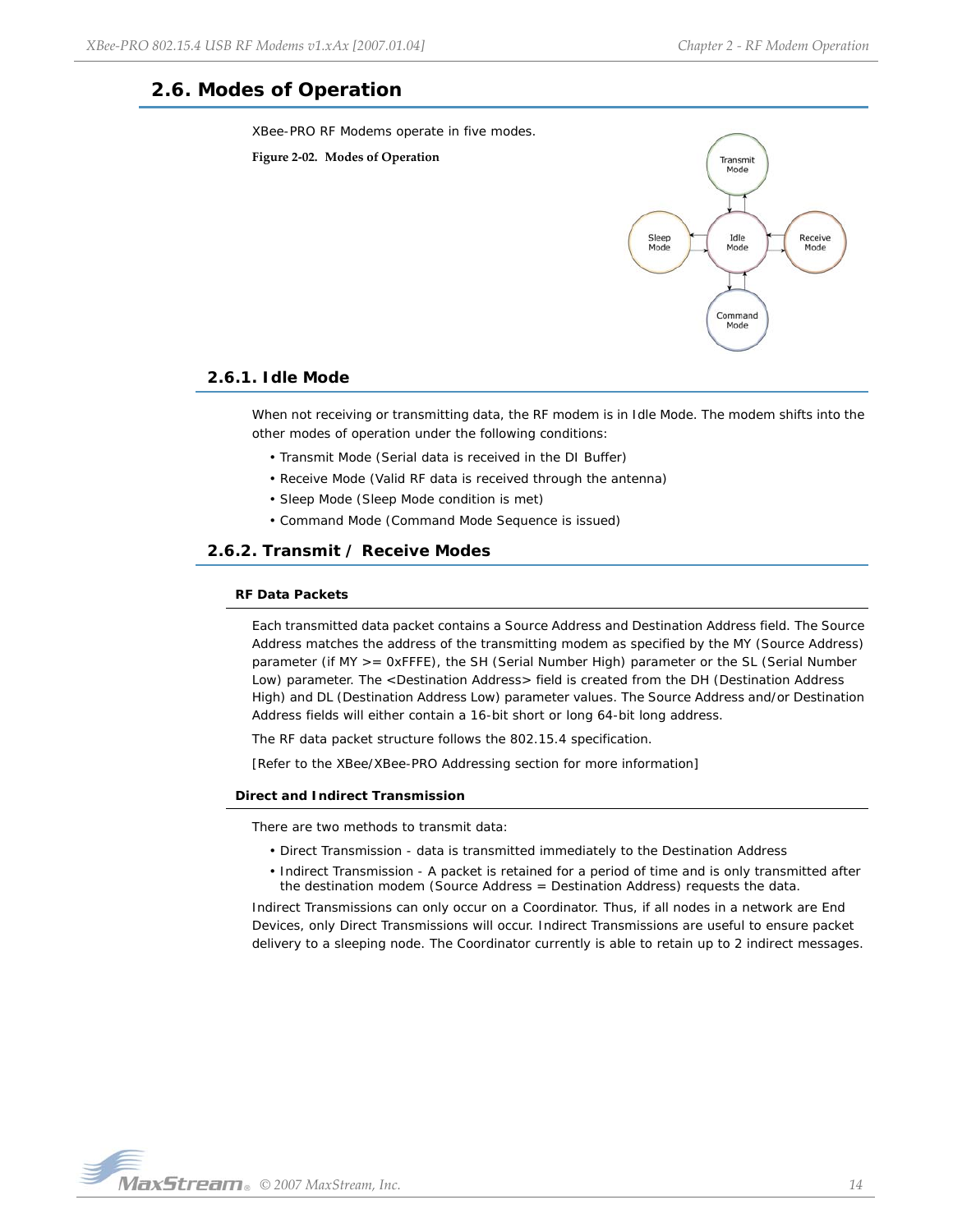# <span id="page-13-0"></span>**2.6. Modes of Operation**

XBee-PRO RF Modems operate in five modes.





# <span id="page-13-1"></span>**2.6.1. Idle Mode**

When not receiving or transmitting data, the RF modem is in Idle Mode. The modem shifts into the other modes of operation under the following conditions:

- Transmit Mode (Serial data is received in the DI Buffer)
- Receive Mode (Valid RF data is received through the antenna)
- Sleep Mode (Sleep Mode condition is met)
- Command Mode (Command Mode Sequence is issued)

## <span id="page-13-2"></span>**2.6.2. Transmit / Receive Modes**

#### **RF Data Packets**

Each transmitted data packet contains a Source Address and Destination Address field. The Source Address matches the address of the transmitting modem as specified by the MY (Source Address) parameter (if MY >= 0xFFFE), the SH (Serial Number High) parameter or the SL (Serial Number Low) parameter. The <Destination Address> field is created from the DH (Destination Address High) and DL (Destination Address Low) parameter values. The Source Address and/or Destination Address fields will either contain a 16-bit short or long 64-bit long address.

The RF data packet structure follows the 802.15.4 specification.

[Refer to the XBee/XBee-PRO Addressing section for more information]

#### **Direct and Indirect Transmission**

There are two methods to transmit data:

- Direct Transmission data is transmitted immediately to the Destination Address
- Indirect Transmission A packet is retained for a period of time and is only transmitted after the destination modem (Source Address = Destination Address) requests the data.

Indirect Transmissions can only occur on a Coordinator. Thus, if all nodes in a network are End Devices, only Direct Transmissions will occur. Indirect Transmissions are useful to ensure packet delivery to a sleeping node. The Coordinator currently is able to retain up to 2 indirect messages.

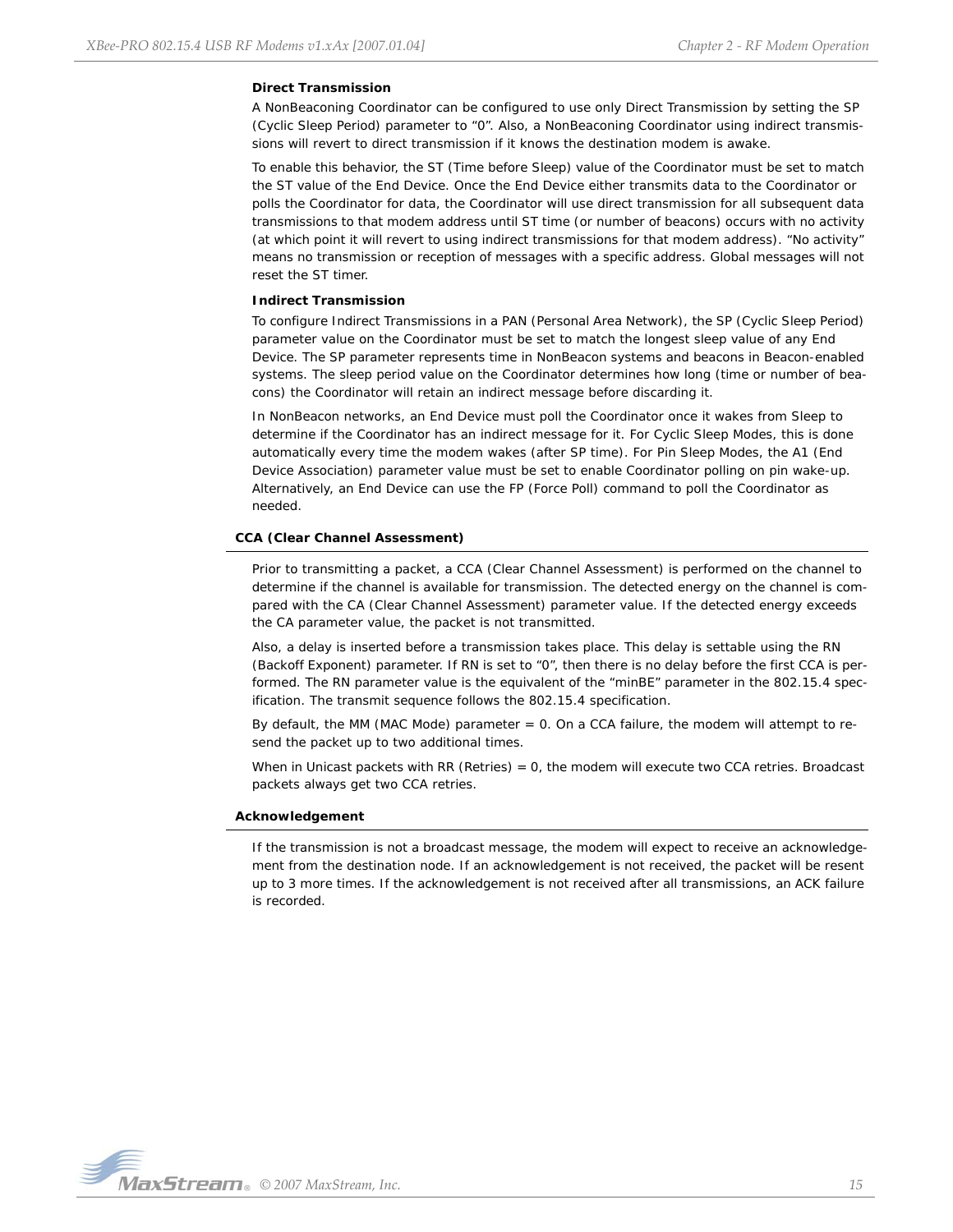# **Direct Transmission**

A NonBeaconing Coordinator can be configured to use only Direct Transmission by setting the SP (Cyclic Sleep Period) parameter to "0". Also, a NonBeaconing Coordinator using indirect transmissions will revert to direct transmission if it knows the destination modem is awake.

To enable this behavior, the ST (Time before Sleep) value of the Coordinator must be set to match the ST value of the End Device. Once the End Device either transmits data to the Coordinator or polls the Coordinator for data, the Coordinator will use direct transmission for all subsequent data transmissions to that modem address until ST time (or number of beacons) occurs with no activity (at which point it will revert to using indirect transmissions for that modem address). "No activity" means no transmission or reception of messages with a specific address. Global messages will not reset the ST timer.

#### **Indirect Transmission**

To configure Indirect Transmissions in a PAN (Personal Area Network), the SP (Cyclic Sleep Period) parameter value on the Coordinator must be set to match the longest sleep value of any End Device. The SP parameter represents time in NonBeacon systems and beacons in Beacon-enabled systems. The sleep period value on the Coordinator determines how long (time or number of beacons) the Coordinator will retain an indirect message before discarding it.

In NonBeacon networks, an End Device must poll the Coordinator once it wakes from Sleep to determine if the Coordinator has an indirect message for it. For Cyclic Sleep Modes, this is done automatically every time the modem wakes (after SP time). For Pin Sleep Modes, the A1 (End Device Association) parameter value must be set to enable Coordinator polling on pin wake-up. Alternatively, an End Device can use the FP (Force Poll) command to poll the Coordinator as needed.

## **CCA (Clear Channel Assessment)**

Prior to transmitting a packet, a CCA (Clear Channel Assessment) is performed on the channel to determine if the channel is available for transmission. The detected energy on the channel is compared with the CA (Clear Channel Assessment) parameter value. If the detected energy exceeds the CA parameter value, the packet is not transmitted.

Also, a delay is inserted before a transmission takes place. This delay is settable using the RN (Backoff Exponent) parameter. If RN is set to "0", then there is no delay before the first CCA is performed. The RN parameter value is the equivalent of the "minBE" parameter in the 802.15.4 specification. The transmit sequence follows the 802.15.4 specification.

By default, the MM (MAC Mode) parameter = 0. On a CCA failure, the modem will attempt to resend the packet up to two additional times.

When in Unicast packets with RR (Retries) = 0, the modem will execute two CCA retries. Broadcast packets always get two CCA retries.

#### **Acknowledgement**

If the transmission is not a broadcast message, the modem will expect to receive an acknowledgement from the destination node. If an acknowledgement is not received, the packet will be resent up to 3 more times. If the acknowledgement is not received after all transmissions, an ACK failure is recorded.

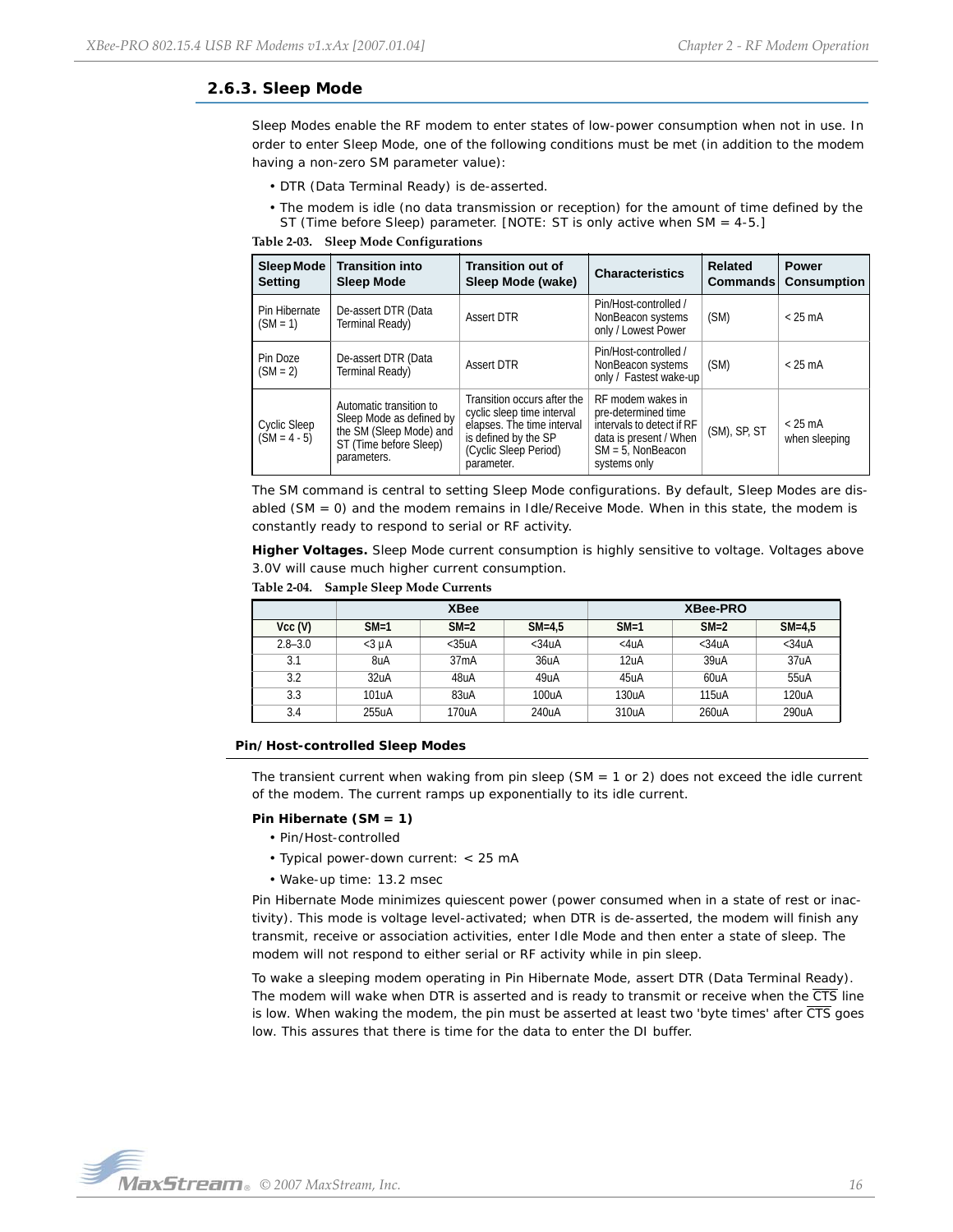# <span id="page-15-0"></span>**2.6.3. Sleep Mode**

Sleep Modes enable the RF modem to enter states of low-power consumption when not in use. In order to enter Sleep Mode, one of the following conditions must be met (in addition to the modem having a non-zero SM parameter value):

- DTR (Data Terminal Ready) is de-asserted.
- The modem is idle (no data transmission or reception) for the amount of time defined by the ST (Time before Sleep) parameter. [NOTE: ST is only active when SM = 4-5.]

**Table 2‐03. Sleep Mode Configurations**

| Sleep Mode<br><b>Setting</b>   | <b>Transition into</b><br><b>Sleep Mode</b>                                                                             | <b>Transition out of</b><br>Sleep Mode (wake)                                                                                                          | <b>Characteristics</b>                                                                                                                  | Related<br><b>Commands</b> | <b>Power</b><br><b>Consumption</b> |
|--------------------------------|-------------------------------------------------------------------------------------------------------------------------|--------------------------------------------------------------------------------------------------------------------------------------------------------|-----------------------------------------------------------------------------------------------------------------------------------------|----------------------------|------------------------------------|
| Pin Hibernate<br>$(SM = 1)$    | De-assert DTR (Data<br>Terminal Ready)                                                                                  | <b>Assert DTR</b>                                                                                                                                      | Pin/Host-controlled /<br>NonBeacon systems<br>only / Lowest Power                                                                       | (SM)                       | $<$ 25 mA                          |
| Pin Doze<br>$(SM = 2)$         | De-assert DTR (Data<br>Terminal Ready)                                                                                  | <b>Assert DTR</b>                                                                                                                                      | Pin/Host-controlled /<br>NonBeacon systems<br>only / Fastest wake-up                                                                    | (SM)                       | $<$ 25 mA                          |
| Cyclic Sleep<br>$(SM = 4 - 5)$ | Automatic transition to<br>Sleep Mode as defined by<br>the SM (Sleep Mode) and<br>ST (Time before Sleep)<br>parameters. | Transition occurs after the<br>cyclic sleep time interval<br>elapses. The time interval<br>is defined by the SP<br>(Cyclic Sleep Period)<br>parameter. | RF modem wakes in<br>pre-determined time<br>intervals to detect if RF<br>data is present / When<br>$SM = 5$ . NonBeacon<br>systems only | (SM), SP, ST               | $<$ 25 mA<br>when sleeping         |

The SM command is central to setting Sleep Mode configurations. By default, Sleep Modes are disabled (SM = 0) and the modem remains in Idle/Receive Mode. When in this state, the modem is constantly ready to respond to serial or RF activity.

**Higher Voltages.** Sleep Mode current consumption is highly sensitive to voltage. Voltages above 3.0V will cause much higher current consumption.

**Table 2‐04. Sample Sleep Mode Currents**

|             | <b>XBee</b>       |          |          | <b>XBee-PRO</b> |                   |          |
|-------------|-------------------|----------|----------|-----------------|-------------------|----------|
| Vcc (V)     | $SM=1$            | $SM=2$   | $SM=4.5$ | $SM=1$          | $SM=2$            | $SM=4.5$ |
| $2.8 - 3.0$ | $<$ 3 uA          | $<$ 35uA | $<$ 34uA | $<$ 4uA         | $<$ 34uA          | $<$ 34uA |
| 3.1         | 8uA               | 37mA     | 36uA     | 12uA            | 39 <sub>U</sub> A | 37uA     |
| 3.2         | 32 <sub>U</sub> A | 48uA     | 49uA     | 45uA            | 60uA              | 55uA     |
| 3.3         | 101uA             | 83uA     | 100uA    | 130uA           | 115uA             | 120uA    |
| 3.4         | 255uA             | 170uA    | 240uA    | 310uA           | 260uA             | 290uA    |

#### **Pin/Host-controlled Sleep Modes**

The transient current when waking from pin sleep (SM =  $1$  or  $2$ ) does not exceed the idle current of the modem. The current ramps up exponentially to its idle current.

#### **Pin Hibernate (SM = 1)**

- Pin/Host-controlled
- Typical power-down current: < 25 mA
- Wake-up time: 13.2 msec

Pin Hibernate Mode minimizes quiescent power (power consumed when in a state of rest or inactivity). This mode is voltage level-activated; when DTR is de-asserted, the modem will finish any transmit, receive or association activities, enter Idle Mode and then enter a state of sleep. The modem will not respond to either serial or RF activity while in pin sleep.

To wake a sleeping modem operating in Pin Hibernate Mode, assert DTR (Data Terminal Ready). The modem will wake when DTR is asserted and is ready to transmit or receive when the CTS line is low. When waking the modem, the pin must be asserted at least two 'byte times' after CTS goes low. This assures that there is time for the data to enter the DI buffer.

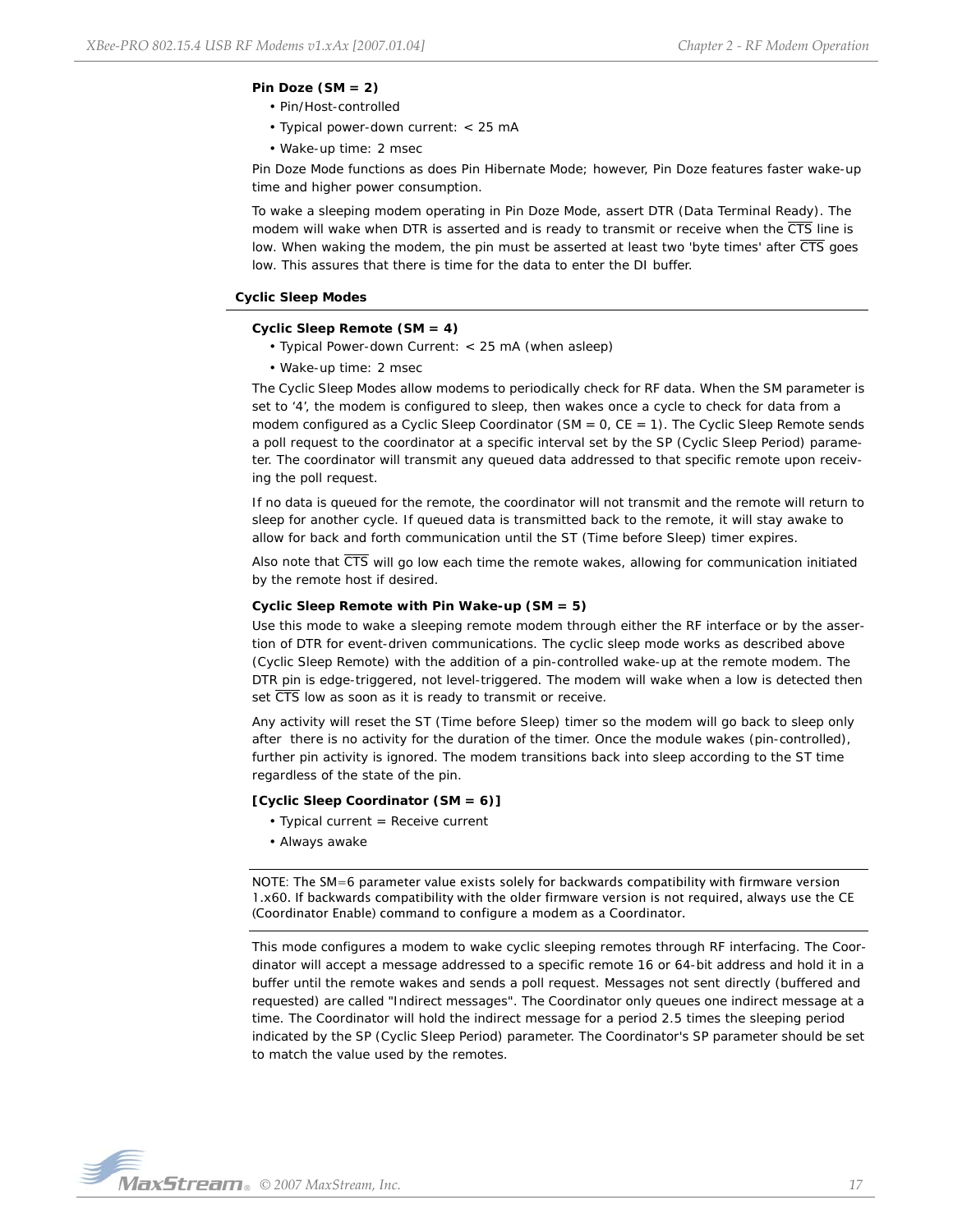#### **Pin Doze (SM = 2)**

- Pin/Host-controlled
- Typical power-down current: < 25 mA
- Wake-up time: 2 msec

Pin Doze Mode functions as does Pin Hibernate Mode; however, Pin Doze features faster wake-up time and higher power consumption.

To wake a sleeping modem operating in Pin Doze Mode, assert DTR (Data Terminal Ready). The modem will wake when DTR is asserted and is ready to transmit or receive when the  $\overline{\text{CTS}}$  line is low. When waking the modem, the pin must be asserted at least two 'byte times' after  $\overline{\text{CTS}}$  goes low. This assures that there is time for the data to enter the DI buffer.

#### **Cyclic Sleep Modes**

#### **Cyclic Sleep Remote (SM = 4)**

- Typical Power-down Current: < 25 mA (when asleep)
- Wake-up time: 2 msec

The Cyclic Sleep Modes allow modems to periodically check for RF data. When the SM parameter is set to '4', the modem is configured to sleep, then wakes once a cycle to check for data from a modem configured as a Cyclic Sleep Coordinator ( $SM = 0$ ,  $CE = 1$ ). The Cyclic Sleep Remote sends a poll request to the coordinator at a specific interval set by the SP (Cyclic Sleep Period) parameter. The coordinator will transmit any queued data addressed to that specific remote upon receiving the poll request.

If no data is queued for the remote, the coordinator will not transmit and the remote will return to sleep for another cycle. If queued data is transmitted back to the remote, it will stay awake to allow for back and forth communication until the ST (Time before Sleep) timer expires.

Also note that  $\overline{\text{CTS}}$  will go low each time the remote wakes, allowing for communication initiated by the remote host if desired.

#### **Cyclic Sleep Remote with Pin Wake-up (SM = 5)**

Use this mode to wake a sleeping remote modem through either the RF interface or by the assertion of DTR for event-driven communications. The cyclic sleep mode works as described above (Cyclic Sleep Remote) with the addition of a pin-controlled wake-up at the remote modem. The DTR pin is edge-triggered, not level-triggered. The modem will wake when a low is detected then set  $\overline{\text{CTS}}$  low as soon as it is ready to transmit or receive.

Any activity will reset the ST (Time before Sleep) timer so the modem will go back to sleep only after there is no activity for the duration of the timer. Once the module wakes (pin-controlled), further pin activity is ignored. The modem transitions back into sleep according to the ST time regardless of the state of the pin.

#### **[Cyclic Sleep Coordinator (SM = 6)]**

- Typical current = Receive current
- Always awake

NOTE: The SM=6 parameter value exists solely for backwards compatibility with firmware version 1.x60. If backwards compatibility with the older firmware version is not required, always use the CE (Coordinator Enable) command to configure a modem as a Coordinator.

This mode configures a modem to wake cyclic sleeping remotes through RF interfacing. The Coordinator will accept a message addressed to a specific remote 16 or 64-bit address and hold it in a buffer until the remote wakes and sends a poll request. Messages not sent directly (buffered and requested) are called "Indirect messages". The Coordinator only queues one indirect message at a time. The Coordinator will hold the indirect message for a period 2.5 times the sleeping period indicated by the SP (Cyclic Sleep Period) parameter. The Coordinator's SP parameter should be set to match the value used by the remotes.

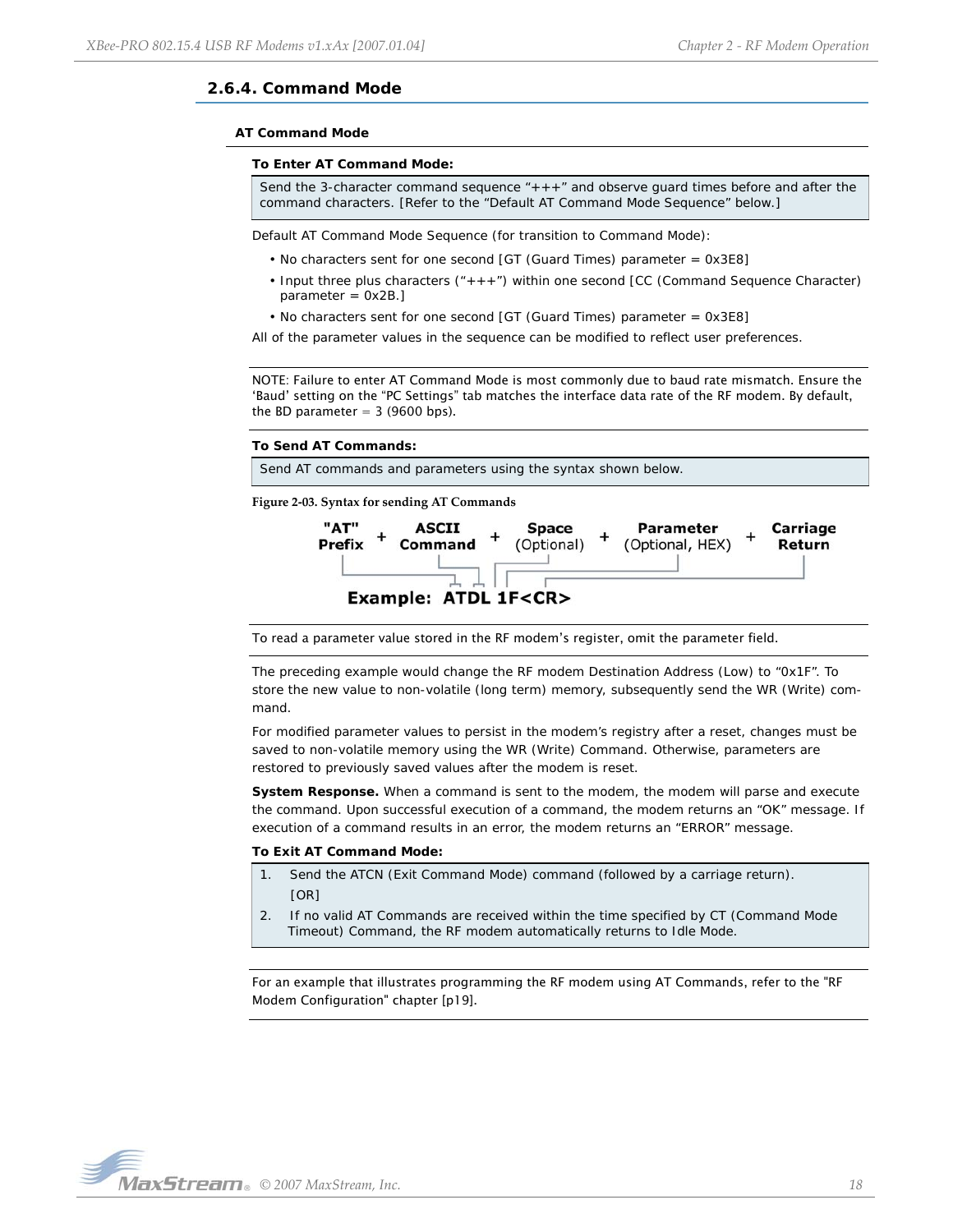# <span id="page-17-1"></span><span id="page-17-0"></span>**2.6.4. Command Mode**

#### **AT Command Mode**

#### **To Enter AT Command Mode:**

Send the 3-character command sequence "+++" and observe guard times before and after the command characters. [Refer to the "Default AT Command Mode Sequence" below.]

Default AT Command Mode Sequence (for transition to Command Mode):

- No characters sent for one second [GT (Guard Times) parameter = 0x3E8]
- Input three plus characters ("+++") within one second [CC (Command Sequence Character)  $parameter = 0x2B.$
- No characters sent for one second [GT (Guard Times) parameter = 0x3E8]

All of the parameter values in the sequence can be modified to reflect user preferences.

NOTE: Failure to enter AT Command Mode is most commonly due to baud rate mismatch. Ensure the 'Baud' setting on the "PC Settings" tab matches the interface data rate of the RF modem. By default, the BD parameter  $=$  3 (9600 bps).

#### **To Send AT Commands:**

Send AT commands and parameters using the syntax shown below.

**Figure 2‐03. Syntax for sending AT Commands**



To read a parameter value stored in the RF modem's register, omit the parameter field.

The preceding example would change the RF modem Destination Address (Low) to "0x1F". To store the new value to non-volatile (long term) memory, subsequently send the WR (Write) command.

For modified parameter values to persist in the modem's registry after a reset, changes must be saved to non-volatile memory using the WR (Write) Command. Otherwise, parameters are restored to previously saved values after the modem is reset.

**System Response.** When a command is sent to the modem, the modem will parse and execute the command. Upon successful execution of a command, the modem returns an "OK" message. If execution of a command results in an error, the modem returns an "ERROR" message.

#### **To Exit AT Command Mode:**

- 1. Send the ATCN (Exit Command Mode) command (followed by a carriage return). [OR]
- 2. If no valid AT Commands are received within the time specified by CT (Command Mode Timeout) Command, the RF modem automatically returns to Idle Mode.

For an example that illustrates programming the RF modem using AT Commands, refer to the "RF Modem Configuration" chapter [[p19\]](#page-18-3).

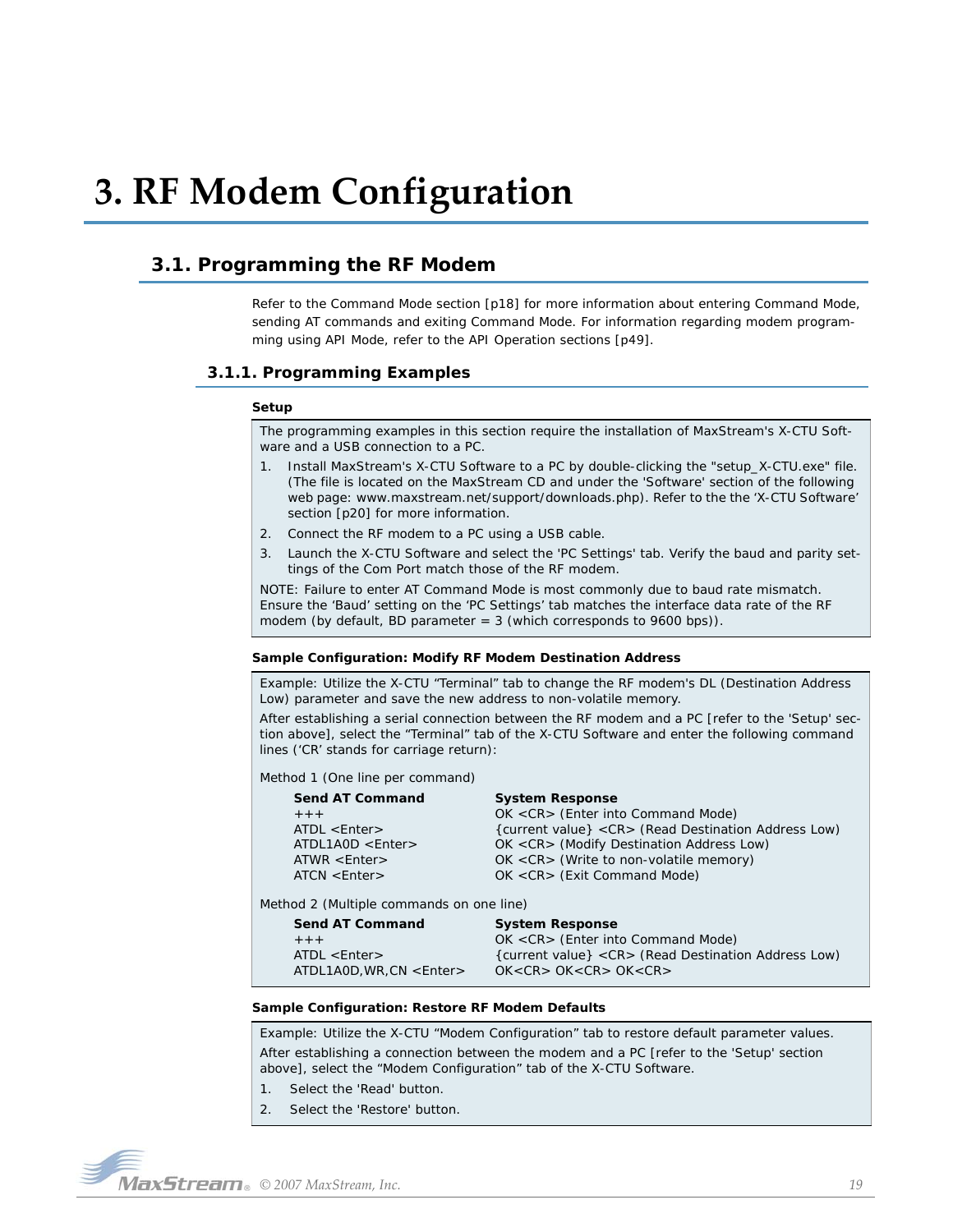# <span id="page-18-3"></span><span id="page-18-0"></span>**3. RF Modem Configuration**

# <span id="page-18-1"></span>**3.1. Programming the RF Modem**

Refer to the Command Mode section [\[p18](#page-17-1)] for more information about entering Command Mode, sending AT commands and exiting Command Mode. For information regarding modem programming using API Mode, refer to the API Operation sections [[p49](#page-48-0)].

# <span id="page-18-2"></span>**3.1.1. Programming Examples**

#### **Setup**

The programming examples in this section require the installation of MaxStream's X-CTU Software and a USB connection to a PC.

- 1. Install MaxStream's X-CTU Software to a PC by double-clicking the "setup\_X-CTU.exe" file. (The file is located on the MaxStream CD and under the 'Software' section of the following web page: www.maxstream.net/support/downloads.php). Refer to the the 'X-CTU Software' section [[p20\]](#page-19-0) for more information.
- 2. Connect the RF modem to a PC using a USB cable.
- 3. Launch the X-CTU Software and select the 'PC Settings' tab. Verify the baud and parity settings of the Com Port match those of the RF modem.

NOTE: Failure to enter AT Command Mode is most commonly due to baud rate mismatch. Ensure the 'Baud' setting on the 'PC Settings' tab matches the interface data rate of the RF modem (by default, BD parameter  $= 3$  (which corresponds to 9600 bps)).

#### **Sample Configuration: Modify RF Modem Destination Address**

Example: Utilize the X-CTU "Terminal" tab to change the RF modem's DL (Destination Address Low) parameter and save the new address to non-volatile memory.

After establishing a serial connection between the RF modem and a PC [refer to the 'Setup' section above], select the "Terminal" tab of the X-CTU Software and enter the following command lines ('CR' stands for carriage return):

Method 1 (One line per command)

| Send AT Command    | <b>System Response</b>                                |
|--------------------|-------------------------------------------------------|
| $+ + +$            | OK <cr> (Enter into Command Mode)</cr>                |
| $ATDL <$ Enter $>$ | {current value} < CR > (Read Destination Address Low) |
| ATDL1AOD < Enter   | OK <cr> (Modify Destination Address Low)</cr>         |
| $ATWR$ < Enter >   | $OK < CR$ (Write to non-volatile memory)              |
| ATCN < Enter       | OK <cr> (Exit Command Mode)</cr>                      |
|                    |                                                       |

Method 2 (Multiple commands on one line)

| <b>Send AT Command</b> | <b>System Response</b>                                |
|------------------------|-------------------------------------------------------|
| $+ + +$                | OK <cr> (Enter into Command Mode)</cr>                |
| $ATDL <$ Enter $>$     | {current value} < CR > (Read Destination Address Low) |
| ATDL1AOD.WR.CN < Enter | OK < CR > OK < CR > OK < CR >                         |

#### **Sample Configuration: Restore RF Modem Defaults**

Example: Utilize the X-CTU "Modem Configuration" tab to restore default parameter values. After establishing a connection between the modem and a PC [refer to the 'Setup' section above], select the "Modem Configuration" tab of the X-CTU Software.

- 1. Select the 'Read' button.
- 2. Select the 'Restore' button.

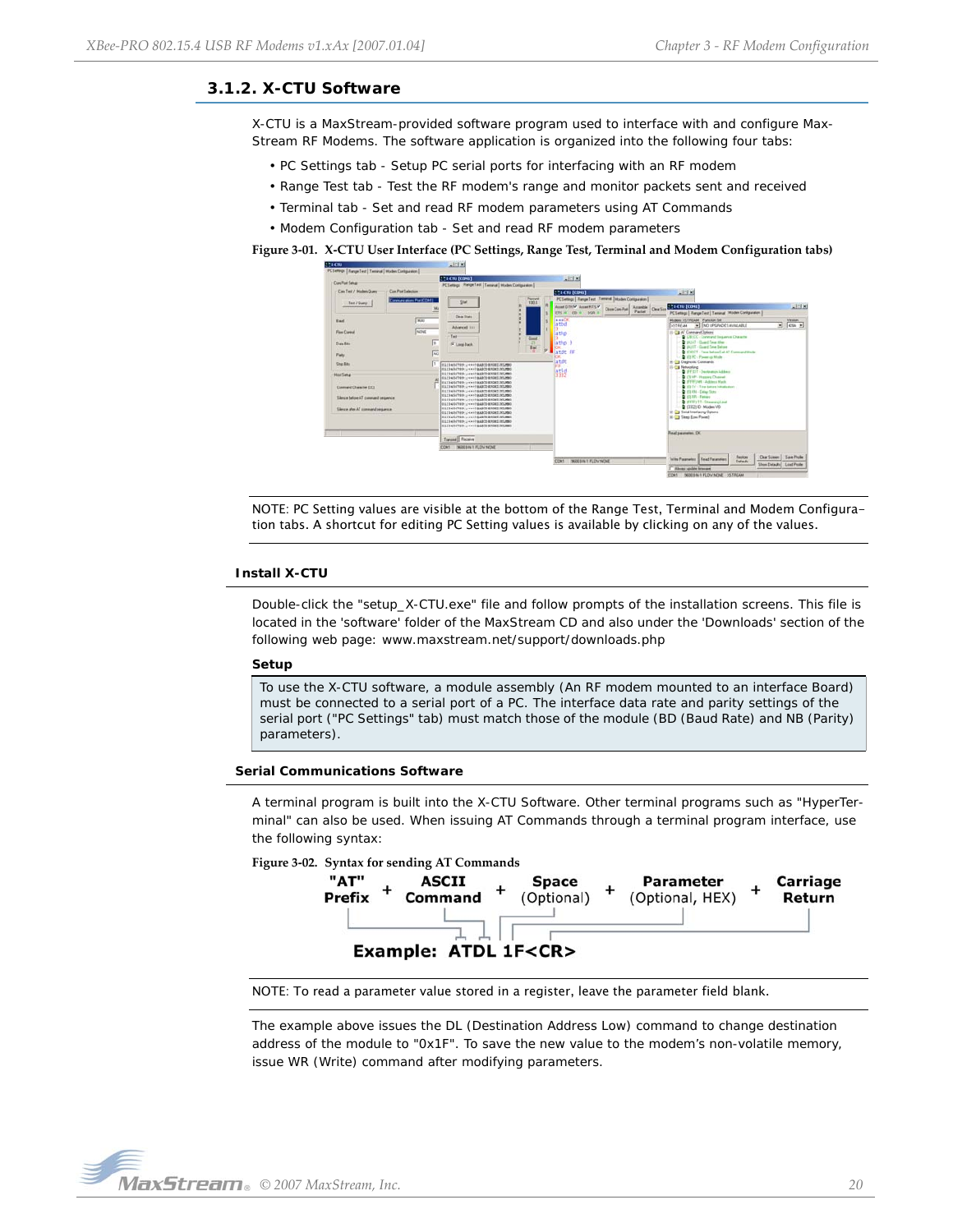# <span id="page-19-0"></span>**3.1.2. X-CTU Software**

X-CTU is a MaxStream-provided software program used to interface with and configure Max-Stream RF Modems. The software application is organized into the following four tabs:

- PC Settings tab Setup PC serial ports for interfacing with an RF modem
- Range Test tab Test the RF modem's range and monitor packets sent and received
- Terminal tab Set and read RF modem parameters using AT Commands
- Modem Configuration tab Set and read RF modem parameters

#### **Figure 3‐01. X‐CTU User Interface (PC Settings, Range Test, Terminal and Modem Configuration tabs)**



NOTE: PC Setting values are visible at the bottom of the Range Test, Terminal and Modem Configuration tabs. A shortcut for editing PC Setting values is available by clicking on any of the values.

#### **Install X-CTU**

Double-click the "setup\_X-CTU.exe" file and follow prompts of the installation screens. This file is located in the 'software' folder of the MaxStream CD and also under the 'Downloads' section of the following web page: www.maxstream.net/support/downloads.php

#### **Setup**

To use the X-CTU software, a module assembly (An RF modem mounted to an interface Board) must be connected to a serial port of a PC. The interface data rate and parity settings of the serial port ("PC Settings" tab) must match those of the module (BD (Baud Rate) and NB (Parity) parameters).

#### **Serial Communications Software**

A terminal program is built into the X-CTU Software. Other terminal programs such as "HyperTerminal" can also be used. When issuing AT Commands through a terminal program interface, use the following syntax:





NOTE: To read a parameter value stored in a register, leave the parameter field blank.

The example above issues the DL (Destination Address Low) command to change destination address of the module to "0x1F". To save the new value to the modem's non-volatile memory, issue WR (Write) command after modifying parameters.



Return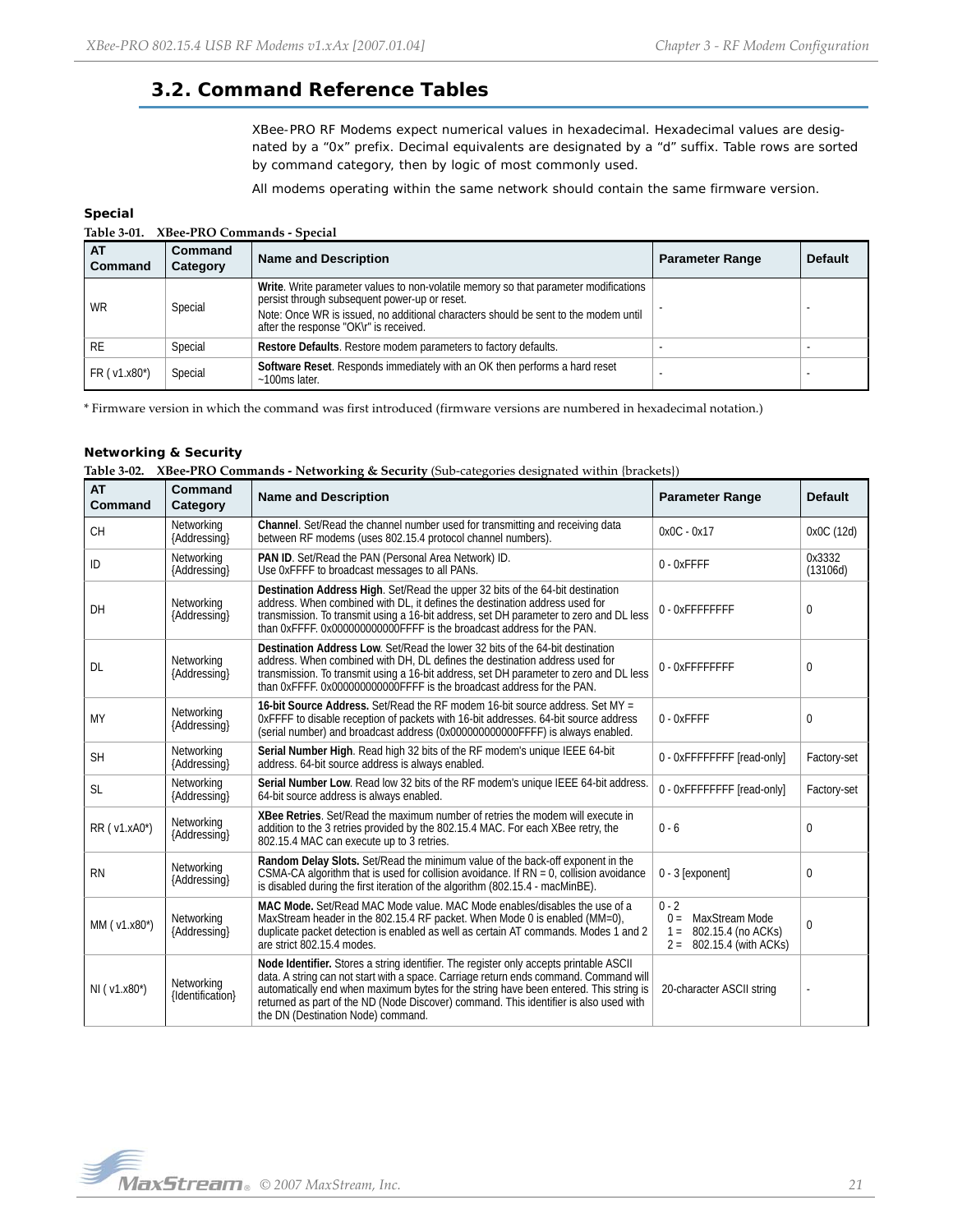# <span id="page-20-0"></span>**3.2. Command Reference Tables**

XBee-PRO RF Modems expect numerical values in hexadecimal. Hexadecimal values are designated by a "0x" prefix. Decimal equivalents are designated by a "d" suffix. Table rows are sorted by command category, then by logic of most commonly used.

All modems operating within the same network should contain the same firmware version.

## **Special**

| AT<br>Command  | Command<br>Category | <b>Name and Description</b>                                                                                                                                                                                                                                            | <b>Parameter Range</b> | <b>Default</b> |
|----------------|---------------------|------------------------------------------------------------------------------------------------------------------------------------------------------------------------------------------------------------------------------------------------------------------------|------------------------|----------------|
| <b>WR</b>      | Special             | Write. Write parameter values to non-volatile memory so that parameter modifications<br>persist through subsequent power-up or reset.<br>Note: Once WR is issued, no additional characters should be sent to the modem until<br>after the response "OK\r" is received. |                        |                |
| <b>RE</b>      | Special             | Restore Defaults. Restore modem parameters to factory defaults.                                                                                                                                                                                                        |                        |                |
| $FR (v1.x80*)$ | Special             | Software Reset. Responds immediately with an OK then performs a hard reset<br>$~100$ ms later.                                                                                                                                                                         |                        |                |

\* Firmware version in which the command was first introduced (firmware versions are numbered in hexadecimal notation.)

## **Networking & Security**

| Table 3-02. XBee-PRO Commands - Networking & Security (Sub-categories designated within {brackets}) |  |  |  |  |
|-----------------------------------------------------------------------------------------------------|--|--|--|--|
|-----------------------------------------------------------------------------------------------------|--|--|--|--|

| <b>AT</b><br>Command | <b>Command</b><br>Category     | <b>Name and Description</b>                                                                                                                                                                                                                                                                                                                                                                             | <b>Parameter Range</b>                                                                             | <b>Default</b>     |
|----------------------|--------------------------------|---------------------------------------------------------------------------------------------------------------------------------------------------------------------------------------------------------------------------------------------------------------------------------------------------------------------------------------------------------------------------------------------------------|----------------------------------------------------------------------------------------------------|--------------------|
| <b>CH</b>            | Networking<br>{Addressing}     | Channel. Set/Read the channel number used for transmitting and receiving data<br>between RF modems (uses 802.15.4 protocol channel numbers).                                                                                                                                                                                                                                                            | $0x0C - 0x17$                                                                                      | 0x0C (12d)         |
| ID                   | Networking<br>{Addressing}     | PAN ID. Set/Read the PAN (Personal Area Network) ID.<br>Use OxFFFF to broadcast messages to all PANs.                                                                                                                                                                                                                                                                                                   | 0 - OxFFFF                                                                                         | 0x3332<br>(13106d) |
| DH                   | Networking<br>{Addressing}     | Destination Address High. Set/Read the upper 32 bits of the 64-bit destination<br>address. When combined with DL, it defines the destination address used for<br>transmission. To transmit using a 16-bit address, set DH parameter to zero and DL less<br>than 0xFFFF. 0x000000000000FFFF is the broadcast address for the PAN.                                                                        | 0 - OxFFFFFFFF                                                                                     | 0                  |
| DL                   | Networking<br>{Addressing}     | Destination Address Low. Set/Read the lower 32 bits of the 64-bit destination<br>address. When combined with DH, DL defines the destination address used for<br>transmission. To transmit using a 16-bit address, set DH parameter to zero and DL less<br>than 0xFFFF. 0x000000000000FFFF is the broadcast address for the PAN.                                                                         | 0-OxFFFFFFFF                                                                                       | 0                  |
| <b>MY</b>            | Networking<br>{Addressing}     | 16-bit Source Address. Set/Read the RF modem 16-bit source address. Set MY =<br>OXFFFF to disable reception of packets with 16-bit addresses. 64-bit source address<br>(serial number) and broadcast address (0x000000000000FFFF) is always enabled.                                                                                                                                                    | $0 - 0x$ FFFF                                                                                      | 0                  |
| <b>SH</b>            | Networking<br>{Addressing}     | Serial Number High. Read high 32 bits of the RF modem's unique IEEE 64-bit<br>address. 64-bit source address is always enabled.                                                                                                                                                                                                                                                                         | 0 - OxFFFFFFFF [read-only]                                                                         | Factory-set        |
| <b>SL</b>            | Networking<br>{Addressing}     | Serial Number Low. Read low 32 bits of the RF modem's unique IEEE 64-bit address.<br>64-bit source address is always enabled.                                                                                                                                                                                                                                                                           | 0 - OxFFFFFFFF [read-only]                                                                         | Factory-set        |
| RR (v1.xA0*)         | Networking<br>{Addressing}     | XBee Retries. Set/Read the maximum number of retries the modem will execute in<br>addition to the 3 retries provided by the 802.15.4 MAC. For each XBee retry, the<br>802.15.4 MAC can execute up to 3 retries.                                                                                                                                                                                         | $0 - 6$                                                                                            | 0                  |
| <b>RN</b>            | Networking<br>{Addressing}     | Random Delay Slots. Set/Read the minimum value of the back-off exponent in the<br>CSMA-CA algorithm that is used for collision avoidance. If $RN = 0$ , collision avoidance<br>is disabled during the first iteration of the algorithm (802.15.4 - macMinBE).                                                                                                                                           | 0 - 3 [exponent]                                                                                   | 0                  |
| MM ( v1.x80*)        | Networking<br>{Addressing}     | MAC Mode. Set/Read MAC Mode value. MAC Mode enables/disables the use of a<br>MaxStream header in the 802.15.4 RF packet. When Mode 0 is enabled (MM=0),<br>duplicate packet detection is enabled as well as certain AT commands. Modes 1 and 2<br>are strict 802.15.4 modes.                                                                                                                            | $0 - 2$<br>MaxStream Mode<br>$0 =$<br>802.15.4 (no ACKs)<br>$1 =$<br>802.15.4 (with ACKs)<br>$2 =$ | 0                  |
| NI (v1.x80*)         | Networking<br>{Identification} | Node Identifier. Stores a string identifier. The register only accepts printable ASCII<br>data. A string can not start with a space. Carriage return ends command. Command will<br>automatically end when maximum bytes for the string have been entered. This string is<br>returned as part of the ND (Node Discover) command. This identifier is also used with<br>the DN (Destination Node) command. | 20-character ASCII string                                                                          |                    |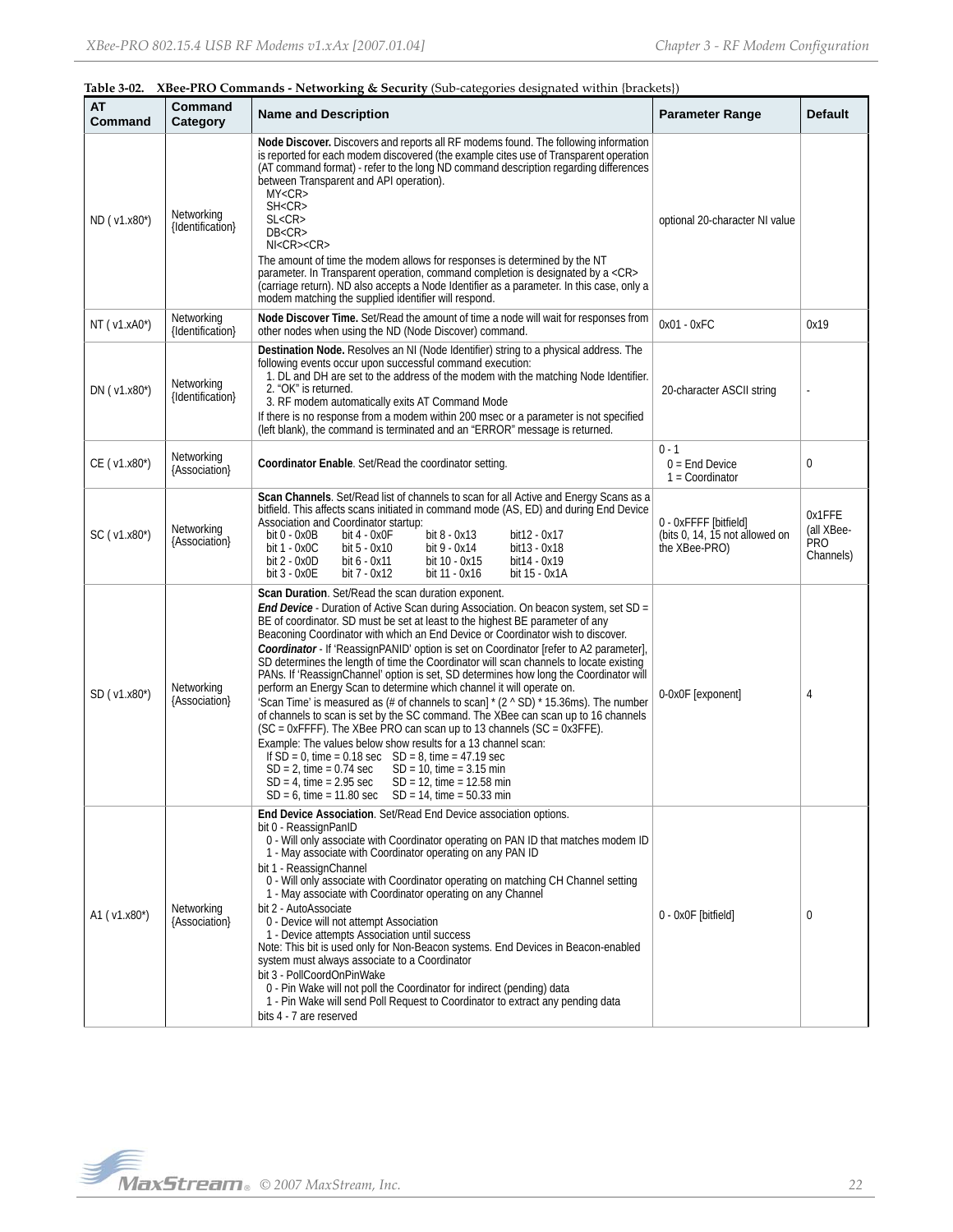| 1401CV 04.    |                                | Abec TWO Communities Treeworking & occurry (our categories designated whilm (praesets)                                                                                                                                                                                                                                                                                                                                                                                                                                                                                                                                                                                                                                                                                                                                                                                                                                                                                                                                                                                                                                                                                                                                                                                   |                                                                          |                                                 |
|---------------|--------------------------------|--------------------------------------------------------------------------------------------------------------------------------------------------------------------------------------------------------------------------------------------------------------------------------------------------------------------------------------------------------------------------------------------------------------------------------------------------------------------------------------------------------------------------------------------------------------------------------------------------------------------------------------------------------------------------------------------------------------------------------------------------------------------------------------------------------------------------------------------------------------------------------------------------------------------------------------------------------------------------------------------------------------------------------------------------------------------------------------------------------------------------------------------------------------------------------------------------------------------------------------------------------------------------|--------------------------------------------------------------------------|-------------------------------------------------|
| АТ<br>Command | Command<br>Category            | <b>Name and Description</b>                                                                                                                                                                                                                                                                                                                                                                                                                                                                                                                                                                                                                                                                                                                                                                                                                                                                                                                                                                                                                                                                                                                                                                                                                                              | <b>Parameter Range</b>                                                   | <b>Default</b>                                  |
| ND (v1.x80*)  | Networking<br>{Identification} | Node Discover. Discovers and reports all RF modems found. The following information<br>is reported for each modem discovered (the example cites use of Transparent operation<br>(AT command format) - refer to the long ND command description regarding differences<br>between Transparent and API operation).<br>MY < CR<br>SH <cr><br/>SL &lt; CR<br/>DB &lt; CR<br/><math>N &lt;</math>CR<math>&gt;</math>CR<math>&gt;</math><br/>The amount of time the modem allows for responses is determined by the NT<br/>parameter. In Transparent operation, command completion is designated by a <cr><br/>(carriage return). ND also accepts a Node Identifier as a parameter. In this case, only a<br/>modem matching the supplied identifier will respond.</cr></cr>                                                                                                                                                                                                                                                                                                                                                                                                                                                                                                     | optional 20-character NI value                                           |                                                 |
| NT (v1.xA0*)  | Networking<br>{Identification} | Node Discover Time. Set/Read the amount of time a node will wait for responses from<br>other nodes when using the ND (Node Discover) command.                                                                                                                                                                                                                                                                                                                                                                                                                                                                                                                                                                                                                                                                                                                                                                                                                                                                                                                                                                                                                                                                                                                            | $0x01 - 0xFC$                                                            | 0x19                                            |
| DN (v1.x80*)  | Networking<br>{Identification} | Destination Node. Resolves an NI (Node Identifier) string to a physical address. The<br>following events occur upon successful command execution:<br>1. DL and DH are set to the address of the modem with the matching Node Identifier.<br>2. "OK" is returned.<br>3. RF modem automatically exits AT Command Mode<br>If there is no response from a modem within 200 msec or a parameter is not specified<br>(left blank), the command is terminated and an "ERROR" message is returned.                                                                                                                                                                                                                                                                                                                                                                                                                                                                                                                                                                                                                                                                                                                                                                               | 20-character ASCII string                                                |                                                 |
| CE (v1.x80*)  | Networking<br>{Association}    | Coordinator Enable. Set/Read the coordinator setting.                                                                                                                                                                                                                                                                                                                                                                                                                                                                                                                                                                                                                                                                                                                                                                                                                                                                                                                                                                                                                                                                                                                                                                                                                    | $0 - 1$<br>$0 =$ End Device<br>$1 =$ Coordinator                         | 0                                               |
| SC (v1.x80*)  | Networking<br>{Association}    | Scan Channels. Set/Read list of channels to scan for all Active and Energy Scans as a<br>bitfield. This affects scans initiated in command mode (AS, ED) and during End Device<br>Association and Coordinator startup:<br>bit 0 - 0x0B<br>bit 8 - 0x13<br>bit 4 - 0x0F<br>bit12 - 0x17<br>bit 1 - 0x0C<br>bit 5 - 0x10<br>bit 9 - 0x14<br>bit13 - 0x18<br>bit 2 - 0x0D<br>bit 6 - 0x11<br>bit14 - 0x19<br>bit 10 - 0x15<br>bit 3 - 0x0E<br>bit 7 - 0x12<br>bit 11 - 0x16<br>bit 15 - 0x1A                                                                                                                                                                                                                                                                                                                                                                                                                                                                                                                                                                                                                                                                                                                                                                                | 0 - OxFFFF [bitfield]<br>(bits 0, 14, 15 not allowed on<br>the XBee-PRO) | 0x1FFE<br>(all XBee-<br><b>PRO</b><br>Channels) |
| SD (v1.x80*)  | Networking<br>{Association}    | Scan Duration. Set/Read the scan duration exponent.<br><b>End Device</b> - Duration of Active Scan during Association. On beacon system, set SD =<br>BE of coordinator. SD must be set at least to the highest BE parameter of any<br>Beaconing Coordinator with which an End Device or Coordinator wish to discover.<br>Coordinator - If 'ReassignPANID' option is set on Coordinator [refer to A2 parameter],<br>SD determines the length of time the Coordinator will scan channels to locate existing<br>PANs. If 'ReassignChannel' option is set, SD determines how long the Coordinator will<br>perform an Energy Scan to determine which channel it will operate on.<br>'Scan Time' is measured as (# of channels to scan] $*(2 \wedge SD) * 15.36 \text{ms})$ . The number<br>of channels to scan is set by the SC command. The XBee can scan up to 16 channels<br>$SC = 0xFFFF$ ). The XBee PRO can scan up to 13 channels $SC = 0x3FFE$ .<br>Example: The values below show results for a 13 channel scan:<br>If $SD = 0$ , time = 0.18 sec $SD = 8$ , time = 47.19 sec<br>$SD = 2$ , time = 0.74 sec<br>$SD = 10$ , time = 3.15 min<br>$SD = 4$ , time = 2.95 sec<br>$SD = 12$ , time = 12.58 min<br>$SD = 6$ , time = 11.80 sec $SD = 14$ , time = 50.33 min | 0-0x0F [exponent]                                                        | 4                                               |
| A1 (v1.x80*)  | Networking<br>{Association}    | End Device Association. Set/Read End Device association options.<br>bit 0 - ReassignPanID<br>0 - Will only associate with Coordinator operating on PAN ID that matches modem ID<br>1 - May associate with Coordinator operating on any PAN ID<br>bit 1 - ReassignChannel<br>0 - Will only associate with Coordinator operating on matching CH Channel setting<br>1 - May associate with Coordinator operating on any Channel<br>bit 2 - AutoAssociate<br>0 - Device will not attempt Association<br>1 - Device attempts Association until success<br>Note: This bit is used only for Non-Beacon systems. End Devices in Beacon-enabled<br>system must always associate to a Coordinator<br>bit 3 - PollCoordOnPinWake<br>0 - Pin Wake will not poll the Coordinator for indirect (pending) data<br>1 - Pin Wake will send Poll Request to Coordinator to extract any pending data<br>bits 4 - 7 are reserved                                                                                                                                                                                                                                                                                                                                                             | 0 - 0x0F [bitfield]                                                      | $\mathbf{0}$                                    |

## **Table 3‐02. XBee‐PRO Commands ‐ Networking & Security** (Sub‐categories designated within {brackets})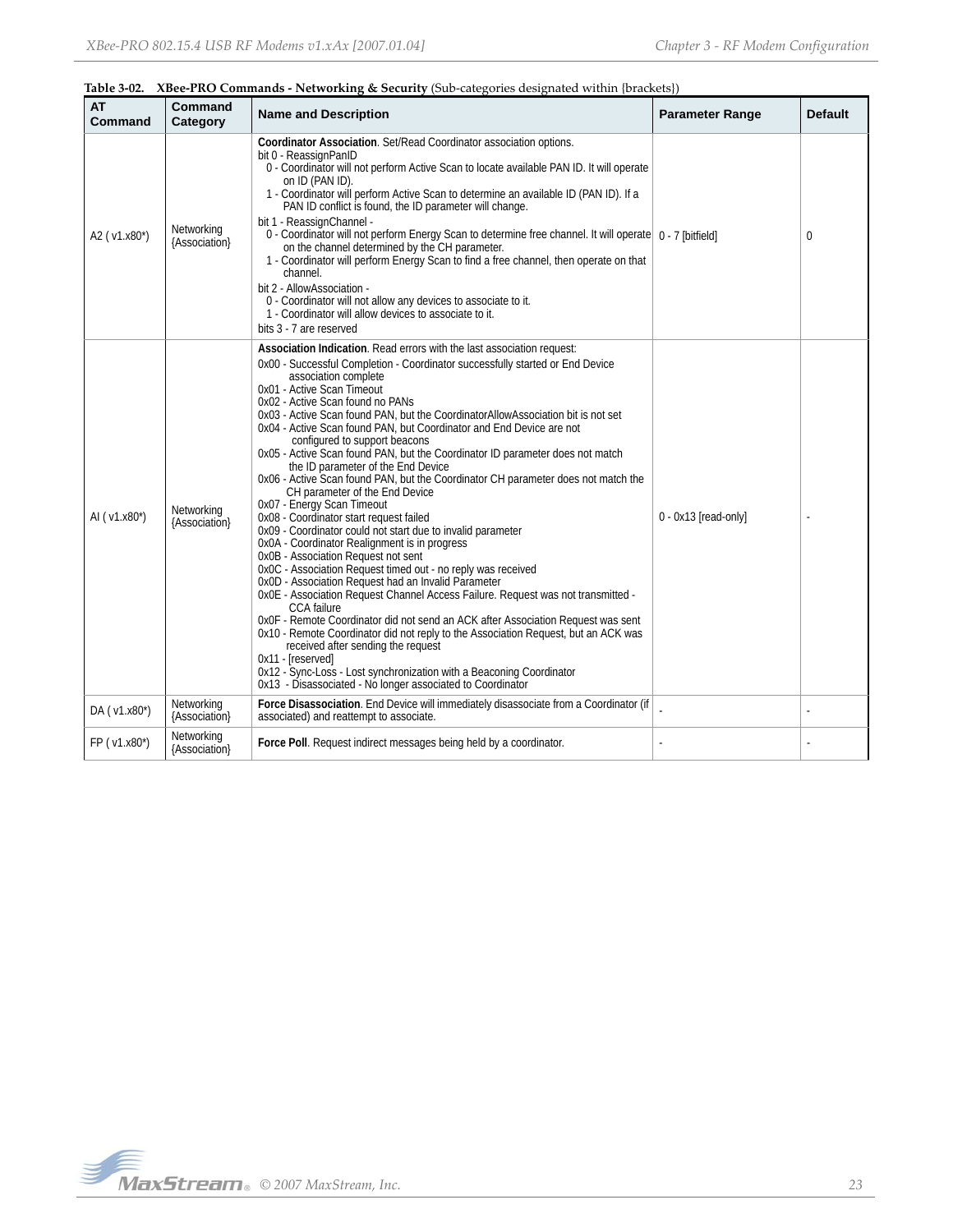| <b>AT</b><br>Command | Command<br>Category         | <b>Name and Description</b>                                                                                                                                                                                                                                                                                                                                                                                                                                                                                                                                                                                                                                                                                                                                                                                                                                                                                                                                                                                                                                                                                                                                                                                                                                                                                                                                                                                                                                                                                                       | <b>Parameter Range</b> | <b>Default</b> |
|----------------------|-----------------------------|-----------------------------------------------------------------------------------------------------------------------------------------------------------------------------------------------------------------------------------------------------------------------------------------------------------------------------------------------------------------------------------------------------------------------------------------------------------------------------------------------------------------------------------------------------------------------------------------------------------------------------------------------------------------------------------------------------------------------------------------------------------------------------------------------------------------------------------------------------------------------------------------------------------------------------------------------------------------------------------------------------------------------------------------------------------------------------------------------------------------------------------------------------------------------------------------------------------------------------------------------------------------------------------------------------------------------------------------------------------------------------------------------------------------------------------------------------------------------------------------------------------------------------------|------------------------|----------------|
| A2 (v1.x80*)         | Networking<br>{Association} | Coordinator Association. Set/Read Coordinator association options.<br>bit 0 - ReassignPanID<br>0 - Coordinator will not perform Active Scan to locate available PAN ID. It will operate<br>on ID (PAN ID).<br>1 - Coordinator will perform Active Scan to determine an available ID (PAN ID). If a<br>PAN ID conflict is found, the ID parameter will change.<br>bit 1 - ReassignChannel -<br>0 - Coordinator will not perform Energy Scan to determine free channel. It will operate   0 - 7 [bitfield]<br>on the channel determined by the CH parameter.<br>1 - Coordinator will perform Energy Scan to find a free channel, then operate on that<br>channel.<br>bit 2 - AllowAssociation -<br>0 - Coordinator will not allow any devices to associate to it.<br>1 - Coordinator will allow devices to associate to it.<br>bits 3 - 7 are reserved                                                                                                                                                                                                                                                                                                                                                                                                                                                                                                                                                                                                                                                                              |                        | 0              |
| AI ( $v1.x80^*$ )    | Networking<br>{Association} | Association Indication. Read errors with the last association request:<br>0x00 - Successful Completion - Coordinator successfully started or End Device<br>association complete<br>0x01 - Active Scan Timeout<br>0x02 - Active Scan found no PANs<br>0x03 - Active Scan found PAN, but the CoordinatorAllowAssociation bit is not set<br>0x04 - Active Scan found PAN, but Coordinator and End Device are not<br>configured to support beacons<br>0x05 - Active Scan found PAN, but the Coordinator ID parameter does not match<br>the ID parameter of the End Device<br>0x06 - Active Scan found PAN, but the Coordinator CH parameter does not match the<br>CH parameter of the End Device<br>0x07 - Energy Scan Timeout<br>0x08 - Coordinator start request failed<br>0x09 - Coordinator could not start due to invalid parameter<br>0x0A - Coordinator Realignment is in progress<br>0x0B - Association Request not sent<br>0x0C - Association Request timed out - no reply was received<br>0x0D - Association Request had an Invalid Parameter<br>OxOE - Association Request Channel Access Failure. Request was not transmitted -<br>CCA failure<br>OxOF - Remote Coordinator did not send an ACK after Association Request was sent<br>0x10 - Remote Coordinator did not reply to the Association Request, but an ACK was<br>received after sending the request<br>0x11 - [reserved]<br>0x12 - Sync-Loss - Lost synchronization with a Beaconing Coordinator<br>0x13 - Disassociated - No longer associated to Coordinator | 0 - 0x13 [read-only]   |                |
| DA (v1.x80*)         | Networking<br>{Association} | Force Disassociation. End Device will immediately disassociate from a Coordinator (if<br>associated) and reattempt to associate.                                                                                                                                                                                                                                                                                                                                                                                                                                                                                                                                                                                                                                                                                                                                                                                                                                                                                                                                                                                                                                                                                                                                                                                                                                                                                                                                                                                                  |                        |                |
| FP (v1.x80*)         | Networking<br>{Association} | Force Poll. Request indirect messages being held by a coordinator.                                                                                                                                                                                                                                                                                                                                                                                                                                                                                                                                                                                                                                                                                                                                                                                                                                                                                                                                                                                                                                                                                                                                                                                                                                                                                                                                                                                                                                                                |                        |                |

# **Table 3‐02. XBee‐PRO Commands ‐ Networking & Security** (Sub‐categories designated within {brackets})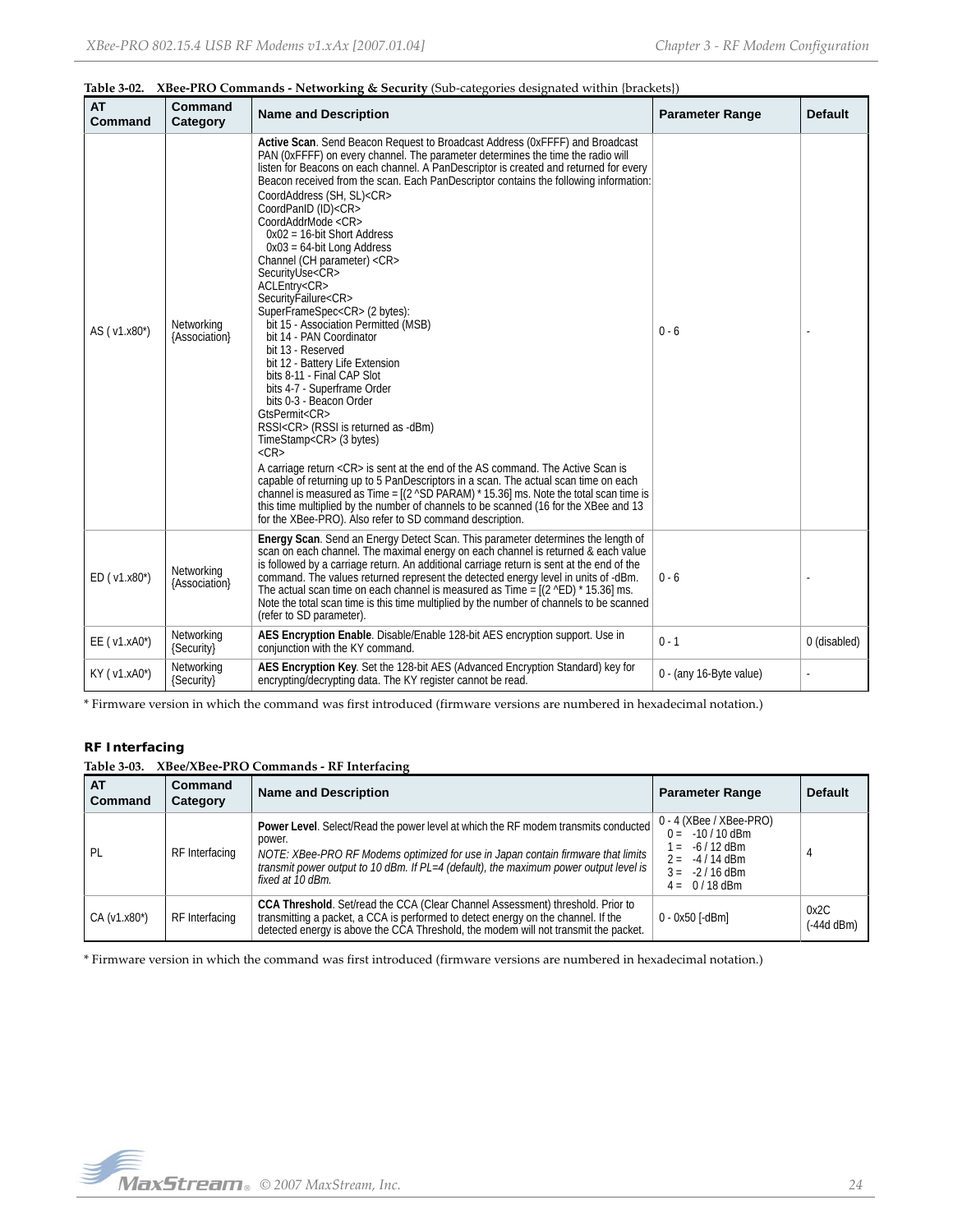| <b>AT</b><br>Command | <b>Command</b><br>Category  | <b>Name and Description</b>                                                                                                                                                                                                                                                                                                                                                                                                                                                                                                                                                                                                                                                                                                                                                                                                                                                                                                                                                                                                                                                                                                                                                                                                                                                                                                                                                                                                                                                                                                           | <b>Parameter Range</b>  | <b>Default</b> |
|----------------------|-----------------------------|---------------------------------------------------------------------------------------------------------------------------------------------------------------------------------------------------------------------------------------------------------------------------------------------------------------------------------------------------------------------------------------------------------------------------------------------------------------------------------------------------------------------------------------------------------------------------------------------------------------------------------------------------------------------------------------------------------------------------------------------------------------------------------------------------------------------------------------------------------------------------------------------------------------------------------------------------------------------------------------------------------------------------------------------------------------------------------------------------------------------------------------------------------------------------------------------------------------------------------------------------------------------------------------------------------------------------------------------------------------------------------------------------------------------------------------------------------------------------------------------------------------------------------------|-------------------------|----------------|
| AS (v1.x80*)         | Networking<br>{Association} | Active Scan. Send Beacon Request to Broadcast Address (OxFFFF) and Broadcast<br>PAN (OxFFFF) on every channel. The parameter determines the time the radio will<br>listen for Beacons on each channel. A PanDescriptor is created and returned for every<br>Beacon received from the scan. Each PanDescriptor contains the following information:<br>CoordAddress (SH, SL) <cr><br/>CoordPanID (ID)<cr><br/>CoordAddrMode <cr><br/><math>0x02 = 16</math>-bit Short Address<br/><math>0x03 = 64</math>-bit Long Address<br/>Channel (CH parameter) <cr><br/>SecurityUse<cr><br/>ACLEntry<cr><br/>Security Failure<cr><br/>SuperFrameSpec<cr>(2 bytes):<br/>bit 15 - Association Permitted (MSB)<br/>bit 14 - PAN Coordinator<br/>bit 13 - Reserved<br/>bit 12 - Battery Life Extension<br/>bits 8-11 - Final CAP Slot<br/>bits 4-7 - Superframe Order<br/>bits 0-3 - Beacon Order<br/>GtsPermit<cr><br/>RSSI<cr> (RSSI is returned as -dBm)<br/>TimeStamp<cr> (3 bytes)<br/><math>&lt;</math>CR<math>&gt;</math><br/>A carriage return <cr> is sent at the end of the AS command. The Active Scan is<br/>capable of returning up to 5 PanDescriptors in a scan. The actual scan time on each<br/>channel is measured as Time = <math>[(2 \text{ }^{\circ}SD) PARAM) * 15.36]</math> ms. Note the total scan time is<br/>this time multiplied by the number of channels to be scanned (16 for the XBee and 13<br/>for the XBee-PRO). Also refer to SD command description.</cr></cr></cr></cr></cr></cr></cr></cr></cr></cr></cr></cr> | $0 - 6$                 |                |
| ED (v1.x80*)         | Networking<br>{Association} | Energy Scan. Send an Energy Detect Scan. This parameter determines the length of<br>scan on each channel. The maximal energy on each channel is returned & each value<br>is followed by a carriage return. An additional carriage return is sent at the end of the<br>command. The values returned represent the detected energy level in units of -dBm.<br>The actual scan time on each channel is measured as $Time = [(2 \nvert 15.36] \text{ ms}]$ .<br>Note the total scan time is this time multiplied by the number of channels to be scanned<br>(refer to SD parameter).                                                                                                                                                                                                                                                                                                                                                                                                                                                                                                                                                                                                                                                                                                                                                                                                                                                                                                                                                      | $0 - 6$                 |                |
| $EE$ ( $v1.xA0^*$ )  | Networking<br>{Security}    | AES Encryption Enable. Disable/Enable 128-bit AES encryption support. Use in<br>conjunction with the KY command.                                                                                                                                                                                                                                                                                                                                                                                                                                                                                                                                                                                                                                                                                                                                                                                                                                                                                                                                                                                                                                                                                                                                                                                                                                                                                                                                                                                                                      | $0 - 1$                 | 0 (disabled)   |
| KY (v1.xA0*)         | Networking<br>{Security}    | AES Encryption Key. Set the 128-bit AES (Advanced Encryption Standard) key for<br>encrypting/decrypting data. The KY register cannot be read.                                                                                                                                                                                                                                                                                                                                                                                                                                                                                                                                                                                                                                                                                                                                                                                                                                                                                                                                                                                                                                                                                                                                                                                                                                                                                                                                                                                         | 0 - (any 16-Byte value) |                |

|  |  | Table 3-02. XBee-PRO Commands - Networking & Security (Sub-categories designated within {brackets}) |  |  |  |  |
|--|--|-----------------------------------------------------------------------------------------------------|--|--|--|--|
|--|--|-----------------------------------------------------------------------------------------------------|--|--|--|--|

\* Firmware version in which the command was first introduced (firmware versions are numbered in hexadecimal notation.)

# **RF Interfacing**

|  | Table 3-03. XBee/XBee-PRO Commands - RF Interfacing |  |  |
|--|-----------------------------------------------------|--|--|
|--|-----------------------------------------------------|--|--|

| <b>AT</b><br>Command | Command<br>Category | <b>Name and Description</b>                                                                                                                                                                                                                                                                   | <b>Parameter Range</b>                                                                                                                | <b>Default</b>       |
|----------------------|---------------------|-----------------------------------------------------------------------------------------------------------------------------------------------------------------------------------------------------------------------------------------------------------------------------------------------|---------------------------------------------------------------------------------------------------------------------------------------|----------------------|
| PL                   | RF Interfacing      | Power Level. Select/Read the power level at which the RF modem transmits conducted<br>power.<br>NOTE: XBee-PRO RF Modems optimized for use in Japan contain firmware that limits<br>transmit power output to 10 dBm. If PL=4 (default), the maximum power output level is<br>fixed at 10 dBm. | $0 - 4$ (XBee / XBee-PRO)<br>$0 = -10/10$ dBm<br>-6 / 12 dBm<br>$=$<br>$2 = -4/14$ dBm<br>$-2/16$ dBm<br>$3 =$<br>$0/18$ dBm<br>$4 =$ |                      |
| $CA (v1.x80*)$       | RF Interfacing      | CCA Threshold. Set/read the CCA (Clear Channel Assessment) threshold. Prior to<br>transmitting a packet, a CCA is performed to detect energy on the channel. If the<br>detected energy is above the CCA Threshold, the modem will not transmit the packet.                                    | 0 - 0x50 [-dBm]                                                                                                                       | 0x2C<br>$(-44d dBm)$ |

\* Firmware version in which the command was first introduced (firmware versions are numbered in hexadecimal notation.)

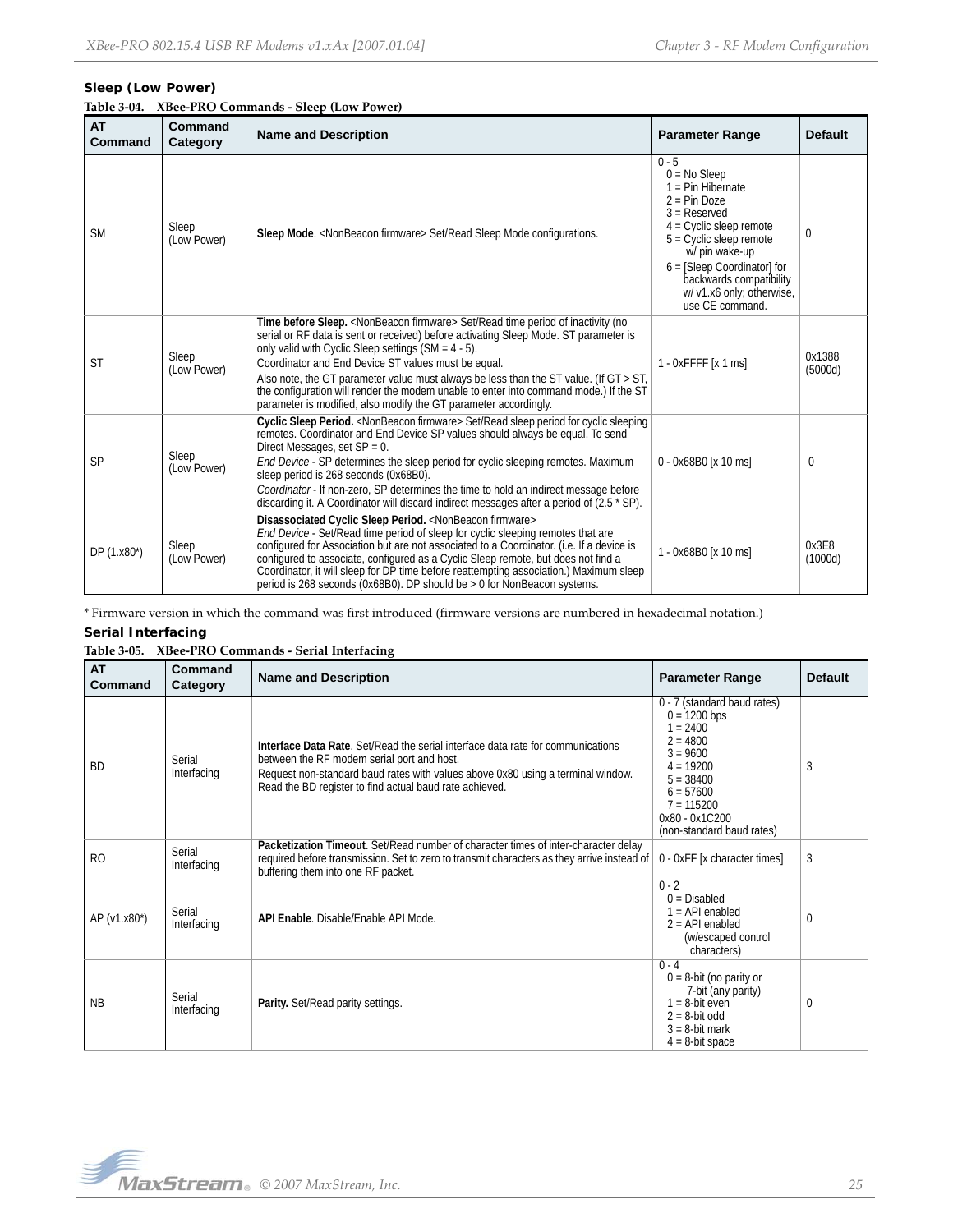# **Sleep (Low Power)**

| <b>AT</b><br>Command | Command<br>Category  | <b>Name and Description</b>                                                                                                                                                                                                                                                                                                                                                                                                                                                                                                                       | <b>Parameter Range</b>                                                                                                                                                                                                                                                       | <b>Default</b>    |
|----------------------|----------------------|---------------------------------------------------------------------------------------------------------------------------------------------------------------------------------------------------------------------------------------------------------------------------------------------------------------------------------------------------------------------------------------------------------------------------------------------------------------------------------------------------------------------------------------------------|------------------------------------------------------------------------------------------------------------------------------------------------------------------------------------------------------------------------------------------------------------------------------|-------------------|
| <b>SM</b>            | Sleep<br>(Low Power) | Sleep Mode. < NonBeacon firmware> Set/Read Sleep Mode configurations.                                                                                                                                                                                                                                                                                                                                                                                                                                                                             | $0 - 5$<br>$0 = No$ Sleep<br>$1 = Pin Hibernate$<br>$2 = Pin Doze$<br>$3 =$ Reserved<br>$4$ = Cyclic sleep remote<br>$5 =$ Cyclic sleep remote<br>w/ pin wake-up<br>$6 =$ [Sleep Coordinator] for<br>backwards compatibility<br>w/ v1.x6 only; otherwise,<br>use CE command. | 0                 |
| <b>ST</b>            | Sleep<br>(Low Power) | Time before Sleep. < NonBeacon firmware> Set/Read time period of inactivity (no<br>serial or RF data is sent or received) before activating Sleep Mode. ST parameter is<br>only valid with Cyclic Sleep settings $(SM = 4 - 5)$ .<br>Coordinator and End Device ST values must be equal.<br>Also note, the GT parameter value must always be less than the ST value. (If $GT > ST$ ,<br>the configuration will render the modem unable to enter into command mode.) If the ST<br>parameter is modified, also modify the GT parameter accordingly. | $1 - 0x$ FFFF $[x 1 ms]$                                                                                                                                                                                                                                                     | 0x1388<br>(5000d) |
| <b>SP</b>            | Sleep<br>(Low Power) | Cyclic Sleep Period. < NonBeacon firmware> Set/Read sleep period for cyclic sleeping<br>remotes. Coordinator and End Device SP values should always be equal. To send<br>Direct Messages, set SP = 0.<br>End Device - SP determines the sleep period for cyclic sleeping remotes. Maximum<br>sleep period is 268 seconds (0x68B0).<br>Coordinator - If non-zero, SP determines the time to hold an indirect message before<br>discarding it. A Coordinator will discard indirect messages after a period of (2.5 * SP).                           | 0 - 0x68B0 [x 10 ms]                                                                                                                                                                                                                                                         | $\Omega$          |
| DP (1.x80*)          | Sleep<br>(Low Power) | Disassociated Cyclic Sleep Period. <nonbeacon firmware=""><br/>End Device - Set/Read time period of sleep for cyclic sleeping remotes that are<br/>configured for Association but are not associated to a Coordinator. (i.e. If a device is<br/>configured to associate, configured as a Cyclic Sleep remote, but does not find a<br/>Coordinator, it will sleep for DP time before reattempting association.) Maximum sleep<br/>period is 268 seconds (<math>0x68B0</math>). DP should be <math>&gt; 0</math> for NonBeacon systems.</nonbeacon> | 1 - 0x68B0 [x 10 ms]                                                                                                                                                                                                                                                         | 0x3E8<br>(1000d)  |

\* Firmware version in which the command was first introduced (firmware versions are numbered in hexadecimal notation.)

# **Serial Interfacing**

# **Table 3‐05. XBee‐PRO Commands ‐ Serial Interfacing**

| <b>AT</b><br>Command | Command<br>Category   | <b>Name and Description</b>                                                                                                                                                                                                                                                 | <b>Parameter Range</b>                                                                                                                                                                            | <b>Default</b> |
|----------------------|-----------------------|-----------------------------------------------------------------------------------------------------------------------------------------------------------------------------------------------------------------------------------------------------------------------------|---------------------------------------------------------------------------------------------------------------------------------------------------------------------------------------------------|----------------|
| <b>BD</b>            | Serial<br>Interfacing | Interface Data Rate. Set/Read the serial interface data rate for communications<br>between the RF modem serial port and host.<br>Request non-standard baud rates with values above 0x80 using a terminal window.<br>Read the BD register to find actual baud rate achieved. | 0 - 7 (standard baud rates)<br>$0 = 1200$ bps<br>$= 2400$<br>$2 = 4800$<br>$3 = 9600$<br>$4 = 19200$<br>$5 = 38400$<br>$6 = 57600$<br>$7 = 115200$<br>0x80 - 0x1C200<br>(non-standard baud rates) | 3              |
| R <sub>O</sub>       | Serial<br>Interfacing | Packetization Timeout. Set/Read number of character times of inter-character delay<br>required before transmission. Set to zero to transmit characters as they arrive instead of<br>buffering them into one RF packet.                                                      | 0 - 0xFF [x character times]                                                                                                                                                                      | 3              |
| AP (v1.x80*)         | Serial<br>Interfacing | API Enable, Disable/Enable API Mode,                                                                                                                                                                                                                                        | $0 - 2$<br>$0 = Disabled$<br>$1 = API$ enabled<br>$2 = API$ enabled<br>(w/escaped control<br>characters)                                                                                          | $\Omega$       |
| <b>NB</b>            | Serial<br>Interfacing | Parity. Set/Read parity settings.                                                                                                                                                                                                                                           | $0 - 4$<br>$0 = 8$ -bit (no parity or<br>7-bit (any parity)<br>$1 = 8$ -bit even<br>$2 = 8$ -bit odd<br>$3 = 8$ -bit mark<br>$4 = 8$ -bit space                                                   | $\Omega$       |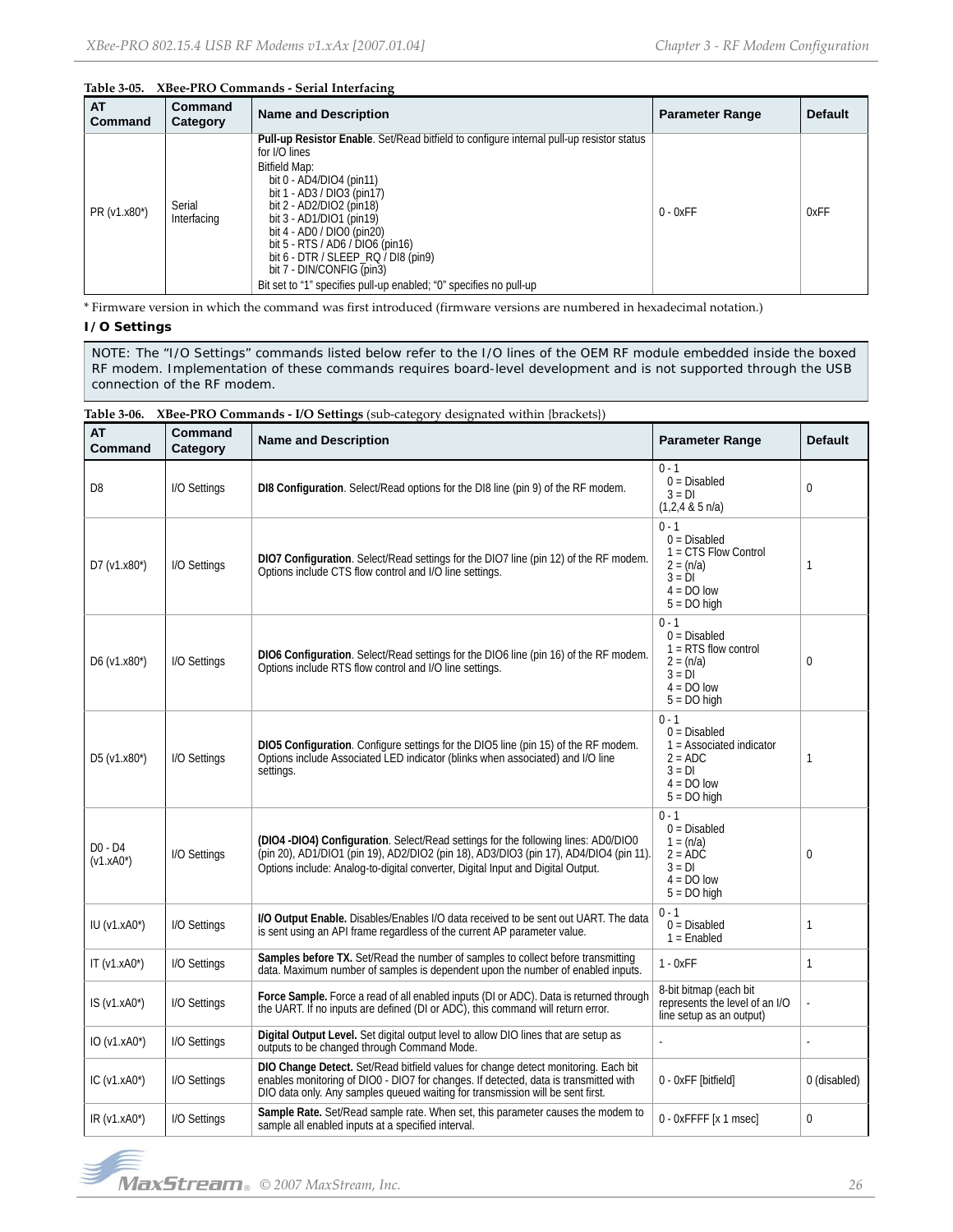# **Table 3‐05. XBee‐PRO Commands ‐ Serial Interfacing**

| <b>AT</b><br>Command | <b>Command</b><br>Category | <b>Name and Description</b>                                                                                                                                                                                                                                                                                                                                                                                                                                              | <b>Parameter Range</b> | <b>Default</b> |
|----------------------|----------------------------|--------------------------------------------------------------------------------------------------------------------------------------------------------------------------------------------------------------------------------------------------------------------------------------------------------------------------------------------------------------------------------------------------------------------------------------------------------------------------|------------------------|----------------|
| PR (v1.x80*)         | Serial<br>Interfacing      | <b>Pull-up Resistor Enable.</b> Set/Read bitfield to configure internal pull-up resistor status<br>for I/O lines<br><b>Bitfield Map:</b><br>bit $0 - AD4/DIO4$ (pin11)<br>bit 1 - AD3 / DIO3 (pin17)<br>bit 2 - AD2/DIO2 (pin18)<br>bit 3 - AD1/DIO1 (pin19)<br>bit 4 - AD0 / DIO0 (pin20)<br>bit 5 - RTS / AD6 / DIO6 (pin16)<br>bit 6 - DTR / SLEEP_RQ / DI8 (pin9)<br>bit 7 - DIN/CONFIG (pin3)<br>Bit set to "1" specifies pull-up enabled; "0" specifies no pull-up | $0 - 0xFF$             | 0xFF           |

\* Firmware version in which the command was first introduced (firmware versions are numbered in hexadecimal notation.)

# **I/O Settings**

NOTE: The "I/O Settings" commands listed below refer to the I/O lines of the OEM RF module embedded inside the boxed RF modem. Implementation of these commands requires board-level development and is not supported through the USB connection of the RF modem.

| <b>AT</b><br>Command      | Command<br>Category | <b>Name and Description</b>                                                                                                                                                                                                                                    | <b>Parameter Range</b>                                                                                            | <b>Default</b> |
|---------------------------|---------------------|----------------------------------------------------------------------------------------------------------------------------------------------------------------------------------------------------------------------------------------------------------------|-------------------------------------------------------------------------------------------------------------------|----------------|
| D <sub>8</sub>            | I/O Settings        | DI8 Configuration. Select/Read options for the DI8 line (pin 9) of the RF modem.                                                                                                                                                                               | $0 - 1$<br>$0 = Disabled$<br>$3 = DI$<br>$(1,2,4 \& 5 \text{ n/a})$                                               | 0              |
| D7 $(v1.x80*)$            | I/O Settings        | DIO7 Configuration. Select/Read settings for the DIO7 line (pin 12) of the RF modem.<br>Options include CTS flow control and I/O line settings.                                                                                                                | $0 - 1$<br>$0 = Disabled$<br>$1 = CTS$ Flow Control<br>$2 = (n/a)$<br>$3 = DI$<br>$4 = DO low$<br>$5 = DO$ high   | $\mathbf{1}$   |
| $D6 (v1.x80*)$            | I/O Settings        | DIO6 Configuration. Select/Read settings for the DIO6 line (pin 16) of the RF modem.<br>Options include RTS flow control and I/O line settings.                                                                                                                | $0 - 1$<br>$0 = Disabled$<br>$1 = RTS$ flow control<br>$2 = (n/a)$<br>$3 = DI$<br>$4 = DO$ low<br>$5 = DO$ high   | $\mathbf{0}$   |
| $D5 (v1.x80*)$            | I/O Settings        | DIO5 Configuration. Configure settings for the DIO5 line (pin 15) of the RF modem.<br>Options include Associated LED indicator (blinks when associated) and I/O line<br>settings.                                                                              | $0 - 1$<br>$0 = Disabled$<br>$1 =$ Associated indicator<br>$2 = ADC$<br>$3 = DI$<br>$4 = DO$ low<br>$5 = DO$ high | 1              |
| $D0 - D4$<br>$(v1.xA0^*)$ | I/O Settings        | (DIO4 -DIO4) Configuration. Select/Read settings for the following lines: AD0/DIO0<br>(pin 20), AD1/DIO1 (pin 19), AD2/DIO2 (pin 18), AD3/DIO3 (pin 17), AD4/DIO4 (pin 11).<br>Options include: Analog-to-digital converter, Digital Input and Digital Output. | $0 - 1$<br>$0 = Disabled$<br>$1 = (n/a)$<br>$2 = ADC$<br>$3 = DI$<br>$4 = DO$ low<br>$5 = DO$ high                | $\mathbf{0}$   |
| $IU (v1.xA0*)$            | I/O Settings        | I/O Output Enable. Disables/Enables I/O data received to be sent out UART. The data<br>is sent using an API frame regardless of the current AP parameter value.                                                                                                | $0 - 1$<br>$0 = Disabled$<br>$1 =$ Enabled                                                                        | $\mathbf{1}$   |
| IT $(v1.xA0^*)$           | I/O Settings        | Samples before TX. Set/Read the number of samples to collect before transmitting<br>data. Maximum number of samples is dependent upon the number of enabled inputs.                                                                                            | $1 - 0xFF$                                                                                                        | $\mathbf{1}$   |
| $IS (v1.xA0*)$            | I/O Settings        | Force Sample. Force a read of all enabled inputs (DI or ADC). Data is returned through<br>the UART. If no inputs are defined (DI or ADC), this command will return error.                                                                                      | 8-bit bitmap (each bit<br>represents the level of an I/O<br>line setup as an output)                              |                |
| $IO (v1.xA0*)$            | I/O Settings        | Digital Output Level. Set digital output level to allow DIO lines that are setup as<br>outputs to be changed through Command Mode.                                                                                                                             |                                                                                                                   |                |
| IC $(v1.xA0^*)$           | I/O Settings        | DIO Change Detect. Set/Read bitfield values for change detect monitoring. Each bit<br>enables monitoring of DIO0 - DIO7 for changes. If detected, data is transmitted with<br>DIO data only. Any samples queued waiting for transmission will be sent first.   | 0 - OxFF [bitfield]                                                                                               | 0 (disabled)   |
| $IR (v1.xA0*)$            | I/O Settings        | Sample Rate. Set/Read sample rate. When set, this parameter causes the modem to<br>sample all enabled inputs at a specified interval.                                                                                                                          | 0 - OxFFFF [x 1 msec]                                                                                             | 0              |

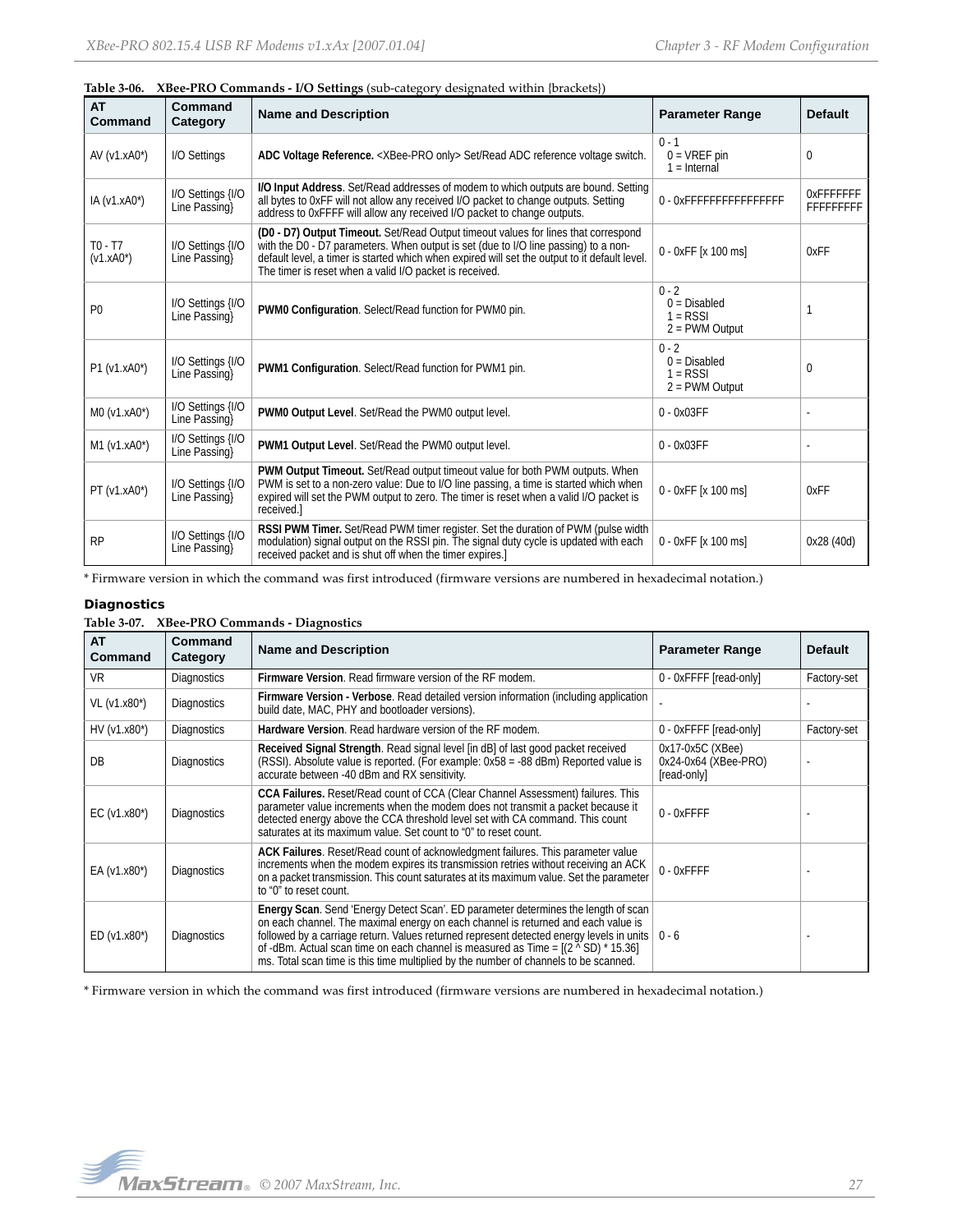|                           |                                    | Table 3-06. ABee-PRO Commands - I/O Settings (sub-category designated within {prackets})                                                                                                                                                                                                                                              |                                                             |                                      |
|---------------------------|------------------------------------|---------------------------------------------------------------------------------------------------------------------------------------------------------------------------------------------------------------------------------------------------------------------------------------------------------------------------------------|-------------------------------------------------------------|--------------------------------------|
| <b>AT</b><br>Command      | Command<br>Category                | <b>Name and Description</b>                                                                                                                                                                                                                                                                                                           | <b>Parameter Range</b>                                      | <b>Default</b>                       |
| AV $(v1.xA0^*)$           | I/O Settings                       | ADC Voltage Reference. < XBee-PRO only> Set/Read ADC reference voltage switch.                                                                                                                                                                                                                                                        | $0 - 1$<br>$0 = VREF$ pin<br>$1 =$ Internal                 | 0                                    |
| IA (v1.xA0*)              | I/O Settings {I/O<br>Line Passing  | I/O Input Address. Set/Read addresses of modem to which outputs are bound. Setting<br>all bytes to 0xFF will not allow any received I/O packet to change outputs. Setting<br>address to OxFFFF will allow any received I/O packet to change outputs.                                                                                  | 0 - OXFFFFFFFFFFFFFFFF                                      | <b>OXFFFFFFF</b><br><b>FFFFFFFFF</b> |
| $TO - T7$<br>$(v1.xA0^*)$ | I/O Settings {I/O<br>Line Passing  | (D0 - D7) Output Timeout. Set/Read Output timeout values for lines that correspond<br>with the D0 - D7 parameters. When output is set (due to I/O line passing) to a non-<br>default level, a timer is started which when expired will set the output to it default level.<br>The timer is reset when a valid I/O packet is received. | 0 - 0xFF [x 100 ms]                                         | 0xFF                                 |
| P <sub>0</sub>            | I/O Settings {I/O<br>Line Passing  | PWM0 Configuration. Select/Read function for PWM0 pin.                                                                                                                                                                                                                                                                                | $0 - 2$<br>$0 = Disabled$<br>$1 = RSSI$<br>$2 =$ PWM Output |                                      |
| P1 (v1.xA0*)              | I/O Settings {I/O<br>Line Passing  | PWM1 Configuration. Select/Read function for PWM1 pin.                                                                                                                                                                                                                                                                                | $0 - 2$<br>$0 = Disabled$<br>$1 =$ RSSI<br>$2 =$ PWM Output | $\Omega$                             |
| M0 (v1.xA0*)              | I/O Settings {I/O<br>Line Passing} | PWM0 Output Level. Set/Read the PWM0 output level.                                                                                                                                                                                                                                                                                    | $0 - 0x03FF$                                                |                                      |
| M1 (v1.xA0*)              | I/O Settings {I/O<br>Line Passing  | PWM1 Output Level. Set/Read the PWM0 output level.                                                                                                                                                                                                                                                                                    | $0 - 0x03FF$                                                |                                      |
| PT (v1.xA0*)              | I/O Settings {I/O<br>Line Passing  | PWM Output Timeout. Set/Read output timeout value for both PWM outputs. When<br>PWM is set to a non-zero value: Due to I/O line passing, a time is started which when<br>expired will set the PWM output to zero. The timer is reset when a valid I/O packet is<br>received.                                                          | 0 - 0xFF [x 100 ms]                                         | 0xFF                                 |
| <b>RP</b>                 | I/O Settings {I/O<br>Line Passing  | RSSI PWM Timer. Set/Read PWM timer register. Set the duration of PWM (pulse width<br>modulation) signal output on the RSSI pin. The signal duty cycle is updated with each<br>received packet and is shut off when the timer expires.                                                                                                 | 0 - 0xFF [x 100 ms]                                         | 0x28 (40d)                           |

**Table 3‐06. XBee‐PRO Commands ‐ I/O Settings** (sub‐category designated within {brackets})

\* Firmware version in which the command was first introduced (firmware versions are numbered in hexadecimal notation.)

# **Diagnostics**

#### **Table 3‐07. XBee‐PRO Commands ‐ Diagnostics**

| <b>AT</b><br>Command | Command<br>Category | <b>Name and Description</b>                                                                                                                                                                                                                                                                                                                                                                                                                              | <b>Parameter Range</b>                                  | <b>Default</b> |
|----------------------|---------------------|----------------------------------------------------------------------------------------------------------------------------------------------------------------------------------------------------------------------------------------------------------------------------------------------------------------------------------------------------------------------------------------------------------------------------------------------------------|---------------------------------------------------------|----------------|
| <b>VR</b>            | <b>Diagnostics</b>  | <b>Firmware Version.</b> Read firmware version of the RF modem.                                                                                                                                                                                                                                                                                                                                                                                          | 0 - 0xFFFF [read-only]                                  | Factory-set    |
| VL (v1.x80*)         | <b>Diagnostics</b>  | Firmware Version - Verbose. Read detailed version information (including application<br>build date, MAC, PHY and bootloader versions).                                                                                                                                                                                                                                                                                                                   |                                                         |                |
| $HV (v1.x80*)$       | <b>Diagnostics</b>  | Hardware Version. Read hardware version of the RF modem.                                                                                                                                                                                                                                                                                                                                                                                                 | 0 - 0xFFFF [read-only]                                  | Factory-set    |
| DB                   | <b>Diagnostics</b>  | Received Signal Strength. Read signal level [in dB] of last good packet received<br>(RSSI). Absolute value is reported. (For example: 0x58 = -88 dBm) Reported value is<br>accurate between -40 dBm and RX sensitivity.                                                                                                                                                                                                                                  | 0x17-0x5C (XBee)<br>0x24-0x64 (XBee-PRO)<br>[read-only] |                |
| EC $(v1.x80^*)$      | <b>Diagnostics</b>  | CCA Failures. Reset/Read count of CCA (Clear Channel Assessment) failures. This<br>parameter value increments when the modem does not transmit a packet because it<br>detected energy above the CCA threshold level set with CA command. This count<br>saturates at its maximum value. Set count to "0" to reset count.                                                                                                                                  | $0 - 0x$ FFFF                                           |                |
| EA $(v1.x80^*)$      | <b>Diagnostics</b>  | ACK Failures. Reset/Read count of acknowledgment failures. This parameter value<br>increments when the modem expires its transmission retries without receiving an ACK<br>on a packet transmission. This count saturates at its maximum value. Set the parameter<br>to "0" to reset count.                                                                                                                                                               | $0 - 0x$ FFFF                                           |                |
| $ED (v1.x80*)$       | <b>Diagnostics</b>  | Energy Scan. Send 'Energy Detect Scan'. ED parameter determines the length of scan<br>on each channel. The maximal energy on each channel is returned and each value is<br>followed by a carriage return. Values returned represent detected energy levels in units<br>of -dBm. Actual scan time on each channel is measured as Time = $[(2 \times SD) * 15.36]$<br>ms. Total scan time is this time multiplied by the number of channels to be scanned. | $0 - 6$                                                 |                |

\* Firmware version in which the command was first introduced (firmware versions are numbered in hexadecimal notation.)

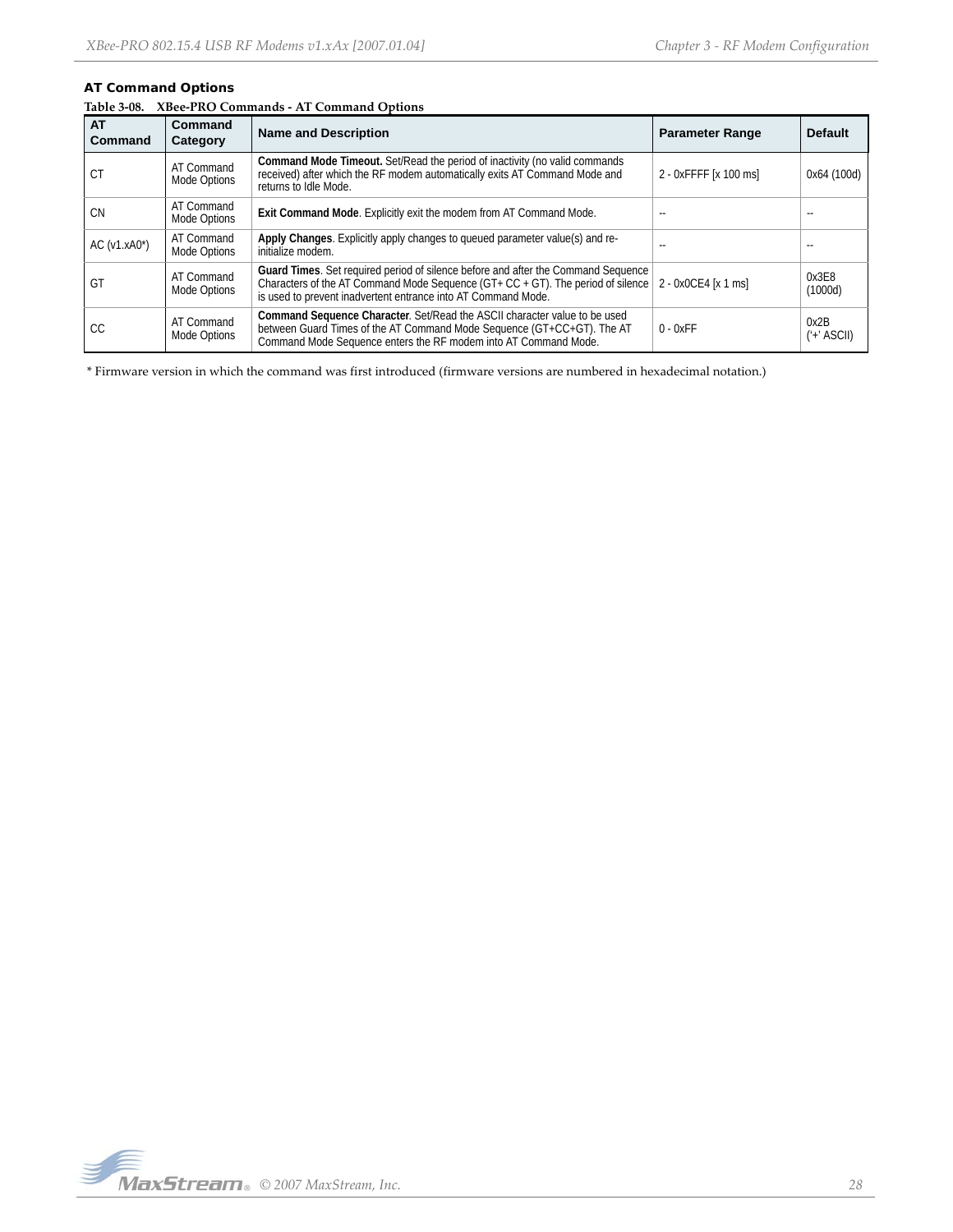# **AT Command Options**

|  |  | Table 3-08. XBee-PRO Commands - AT Command Options |  |  |
|--|--|----------------------------------------------------|--|--|
|--|--|----------------------------------------------------|--|--|

| <b>AT</b><br><b>Command</b> | Command<br>Category        | <b>Name and Description</b>                                                                                                                                                                                                                                       | <b>Parameter Range</b> | <b>Default</b>       |
|-----------------------------|----------------------------|-------------------------------------------------------------------------------------------------------------------------------------------------------------------------------------------------------------------------------------------------------------------|------------------------|----------------------|
| СT                          | AT Command<br>Mode Options | <b>Command Mode Timeout.</b> Set/Read the period of inactivity (no valid commands<br>received) after which the RF modem automatically exits AT Command Mode and<br>returns to Idle Mode.                                                                          | 2 - 0xFFFF [x 100 ms]  | 0x64 (100d)          |
| <b>CN</b>                   | AT Command<br>Mode Options | Exit Command Mode. Explicitly exit the modem from AT Command Mode.                                                                                                                                                                                                |                        |                      |
| $AC$ ( $v1.xA0^*$ )         | AT Command<br>Mode Options | Apply Changes. Explicitly apply changes to queued parameter value(s) and re-<br>initialize modem.                                                                                                                                                                 | $-$                    |                      |
| GT                          | AT Command<br>Mode Options | Guard Times. Set required period of silence before and after the Command Sequence<br>Characters of the AT Command Mode Sequence (GT+ CC + GT). The period of silence $\vert$ 2 - 0x0CE4 [x 1 ms]<br>is used to prevent inadvertent entrance into AT Command Mode. |                        | 0x3E8<br>(1000d)     |
| СC                          | AT Command<br>Mode Options | Command Sequence Character. Set/Read the ASCII character value to be used<br>between Guard Times of the AT Command Mode Sequence (GT+CC+GT). The AT<br>Command Mode Sequence enters the RF modem into AT Command Mode.                                            | $0 - 0xFF$             | 0x2B<br>$('+'ASCII)$ |

\* Firmware version in which the command was first introduced (firmware versions are numbered in hexadecimal notation.)

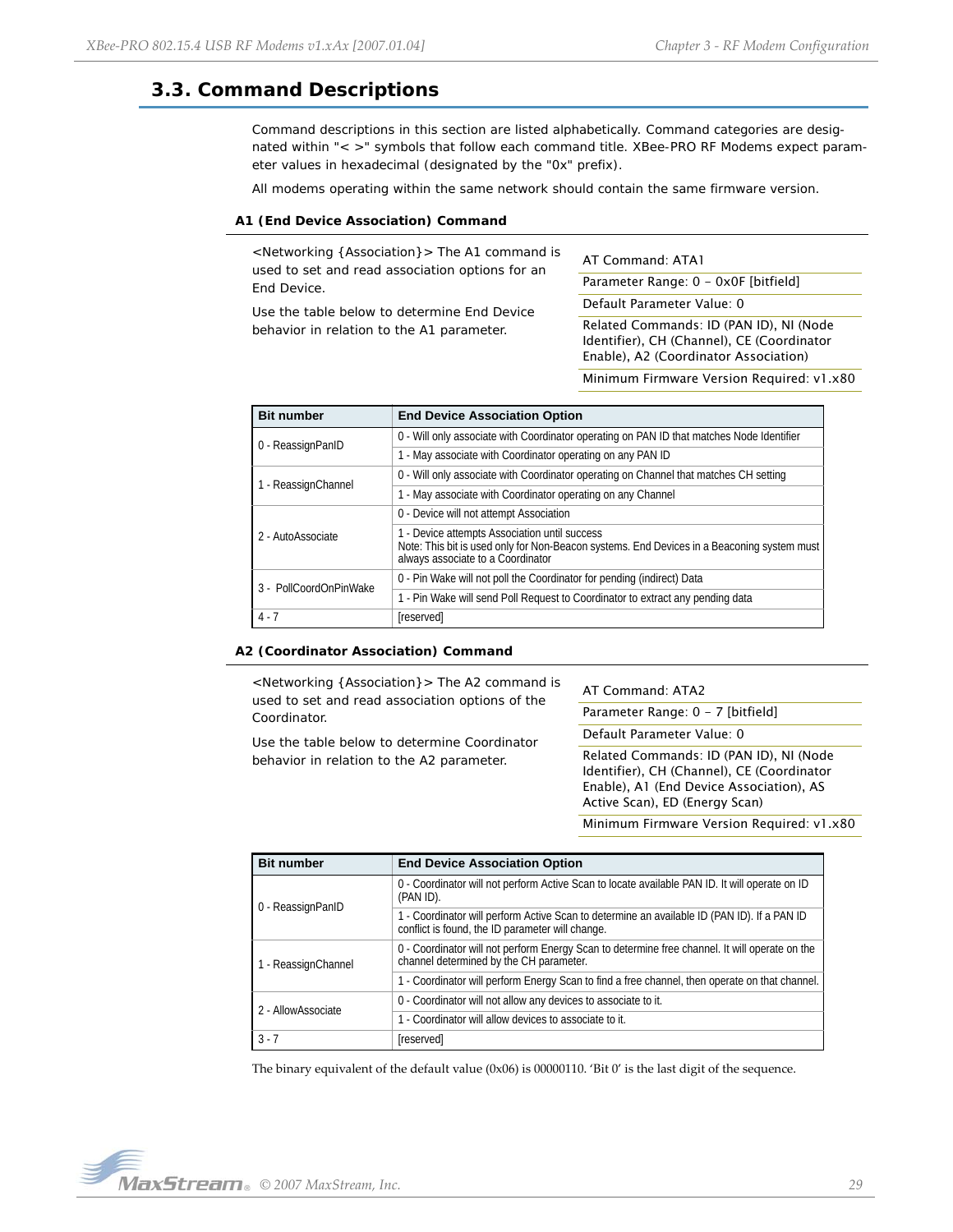# <span id="page-28-0"></span>**3.3. Command Descriptions**

Command descriptions in this section are listed alphabetically. Command categories are designated within "< >" symbols that follow each command title. XBee-PRO RF Modems expect parameter values in hexadecimal (designated by the "0x" prefix).

All modems operating within the same network should contain the same firmware version.

### **A1 (End Device Association) Command**

<Networking {Association}> The A1 command is used to set and read association options for an End Device.

Use the table below to determine End Device behavior in relation to the A1 parameter.

AT Command: ATA1

Parameter Range: 0 - 0x0F [bitfield]

Default Parameter Value: 0

Related Commands: ID (PAN ID), NI (Node Identifier), CH (Channel), CE (Coordinator Enable), A2 (Coordinator Association)

Minimum Firmware Version Required: v1.x80

| <b>Bit number</b>      | <b>End Device Association Option</b>                                                                                                                                             |
|------------------------|----------------------------------------------------------------------------------------------------------------------------------------------------------------------------------|
| 0 - ReassignPanID      | 0 - Will only associate with Coordinator operating on PAN ID that matches Node Identifier                                                                                        |
|                        | 1 - May associate with Coordinator operating on any PAN ID                                                                                                                       |
| 1 - ReassignChannel    | 0 - Will only associate with Coordinator operating on Channel that matches CH setting                                                                                            |
|                        | 1 - May associate with Coordinator operating on any Channel                                                                                                                      |
|                        | 0 - Device will not attempt Association                                                                                                                                          |
| 2 - AutoAssociate      | 1 - Device attempts Association until success<br>Note: This bit is used only for Non-Beacon systems. End Devices in a Beaconing system must<br>always associate to a Coordinator |
| 3 - PollCoordOnPinWake | 0 - Pin Wake will not poll the Coordinator for pending (indirect) Data                                                                                                           |
|                        | 1 - Pin Wake will send Poll Request to Coordinator to extract any pending data                                                                                                   |
| $4 - 7$                | [reserved]                                                                                                                                                                       |

#### **A2 (Coordinator Association) Command**

<Networking {Association}> The A2 command is used to set and read association options of the Coordinator.

Use the table below to determine Coordinator behavior in relation to the A2 parameter.

AT Command: ATA2

Parameter Range: 0 - 7 [bitfield]

Default Parameter Value: 0

Related Commands: ID (PAN ID), NI (Node Identifier), CH (Channel), CE (Coordinator Enable), A1 (End Device Association), AS Active Scan), ED (Energy Scan)

Minimum Firmware Version Required: v1.x80

| <b>Bit number</b>   | <b>End Device Association Option</b>                                                                                                            |
|---------------------|-------------------------------------------------------------------------------------------------------------------------------------------------|
| 0 - ReassignPanID   | 0 - Coordinator will not perform Active Scan to locate available PAN ID. It will operate on ID<br>(PAN ID).                                     |
|                     | 1 - Coordinator will perform Active Scan to determine an available ID (PAN ID). If a PAN ID<br>conflict is found, the ID parameter will change. |
| 1 - ReassignChannel | 0 - Coordinator will not perform Energy Scan to determine free channel. It will operate on the<br>channel determined by the CH parameter.       |
|                     | 1 - Coordinator will perform Energy Scan to find a free channel, then operate on that channel.                                                  |
| 2 - AllowAssociate  | 0 - Coordinator will not allow any devices to associate to it.                                                                                  |
|                     | 1 - Coordinator will allow devices to associate to it.                                                                                          |
| $3 - 7$             | [reserved]                                                                                                                                      |

The binary equivalent of the default value (0x06) is 00000110. 'Bit 0' is the last digit of the sequence.

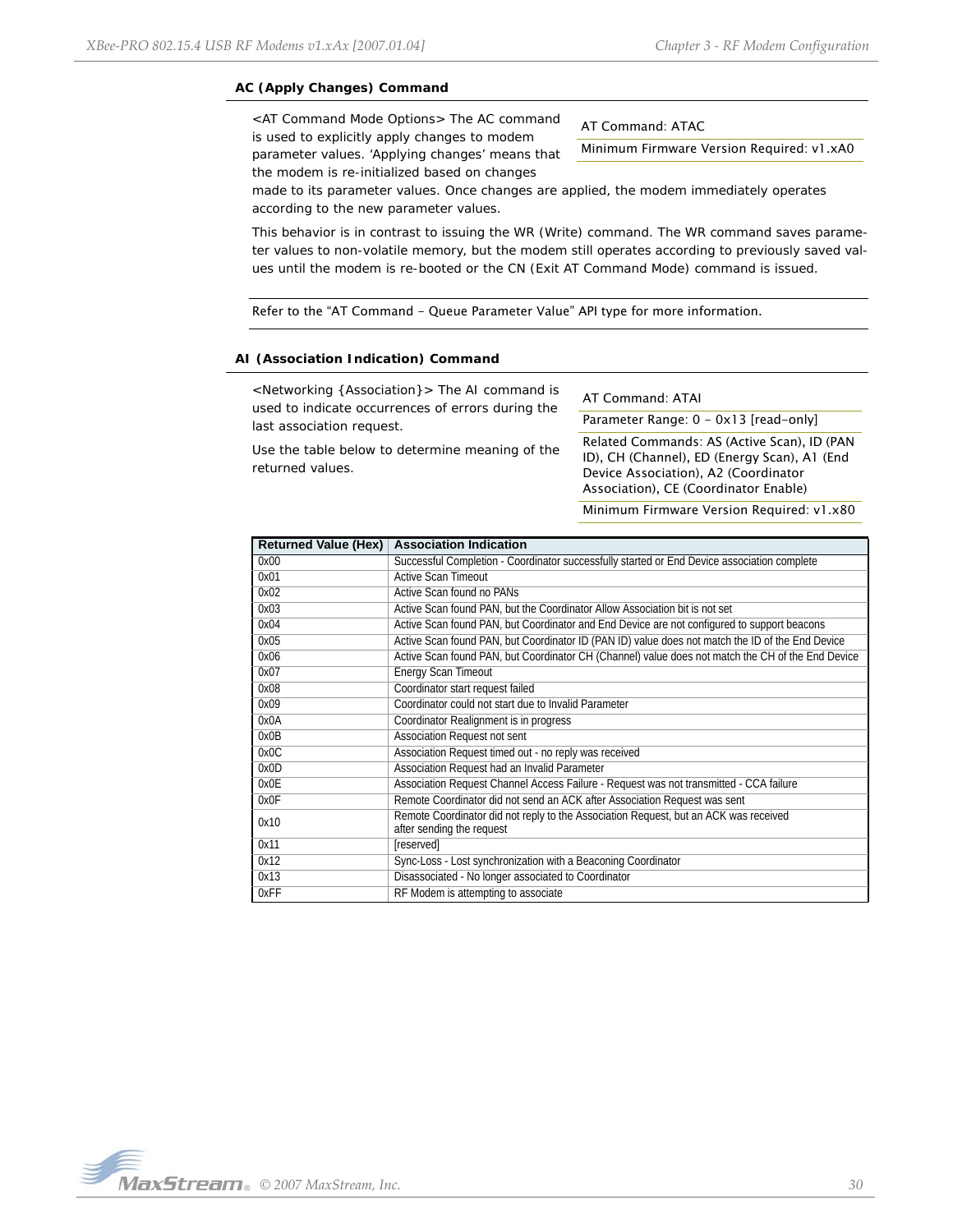# **AC (Apply Changes) Command**

<AT Command Mode Options> The AC command is used to explicitly apply changes to modem parameter values. 'Applying changes' means that the modem is re-initialized based on changes

AT Command: ATAC

Minimum Firmware Version Required: v1.xA0

made to its parameter values. Once changes are applied, the modem immediately operates according to the new parameter values.

This behavior is in contrast to issuing the WR (Write) command. The WR command saves parameter values to non-volatile memory, but the modem still operates according to previously saved values until the modem is re-booted or the CN (Exit AT Command Mode) command is issued.

Refer to the "AT Command - Queue Parameter Value" API type for more information.

### **AI (Association Indication) Command**

<Networking {Association}> The AI command is used to indicate occurrences of errors during the last association request.

Use the table below to determine meaning of the returned values.

AT Command: ATAI

Parameter Range: 0 - 0x13 [read-only]

Related Commands: AS (Active Scan), ID (PAN ID), CH (Channel), ED (Energy Scan), A1 (End Device Association), A2 (Coordinator Association), CE (Coordinator Enable)

Minimum Firmware Version Required: v1.x80

| <b>Returned Value (Hex)</b> | <b>Association Indication</b>                                                                                     |
|-----------------------------|-------------------------------------------------------------------------------------------------------------------|
| 0x00                        | Successful Completion - Coordinator successfully started or End Device association complete                       |
| 0x01                        | <b>Active Scan Timeout</b>                                                                                        |
| 0x02                        | Active Scan found no PANs                                                                                         |
| 0x03                        | Active Scan found PAN, but the Coordinator Allow Association bit is not set                                       |
| 0x04                        | Active Scan found PAN, but Coordinator and End Device are not configured to support beacons                       |
| 0x05                        | Active Scan found PAN, but Coordinator ID (PAN ID) value does not match the ID of the End Device                  |
| 0x06                        | Active Scan found PAN, but Coordinator CH (Channel) value does not match the CH of the End Device                 |
| 0x07                        | <b>Energy Scan Timeout</b>                                                                                        |
| 0x08                        | Coordinator start request failed                                                                                  |
| 0x09                        | Coordinator could not start due to Invalid Parameter                                                              |
| 0x0A                        | Coordinator Realignment is in progress                                                                            |
| 0x0B                        | Association Request not sent                                                                                      |
| 0x0C                        | Association Request timed out - no reply was received                                                             |
| 0x0D                        | Association Request had an Invalid Parameter                                                                      |
| 0x0E                        | Association Request Channel Access Failure - Request was not transmitted - CCA failure                            |
| 0x0F                        | Remote Coordinator did not send an ACK after Association Request was sent                                         |
| 0x10                        | Remote Coordinator did not reply to the Association Request, but an ACK was received<br>after sending the request |
| 0x11                        | [reserved]                                                                                                        |
| 0x12                        | Sync-Loss - Lost synchronization with a Beaconing Coordinator                                                     |
| 0x13                        | Disassociated - No longer associated to Coordinator                                                               |
| 0xFF                        | RF Modem is attempting to associate                                                                               |

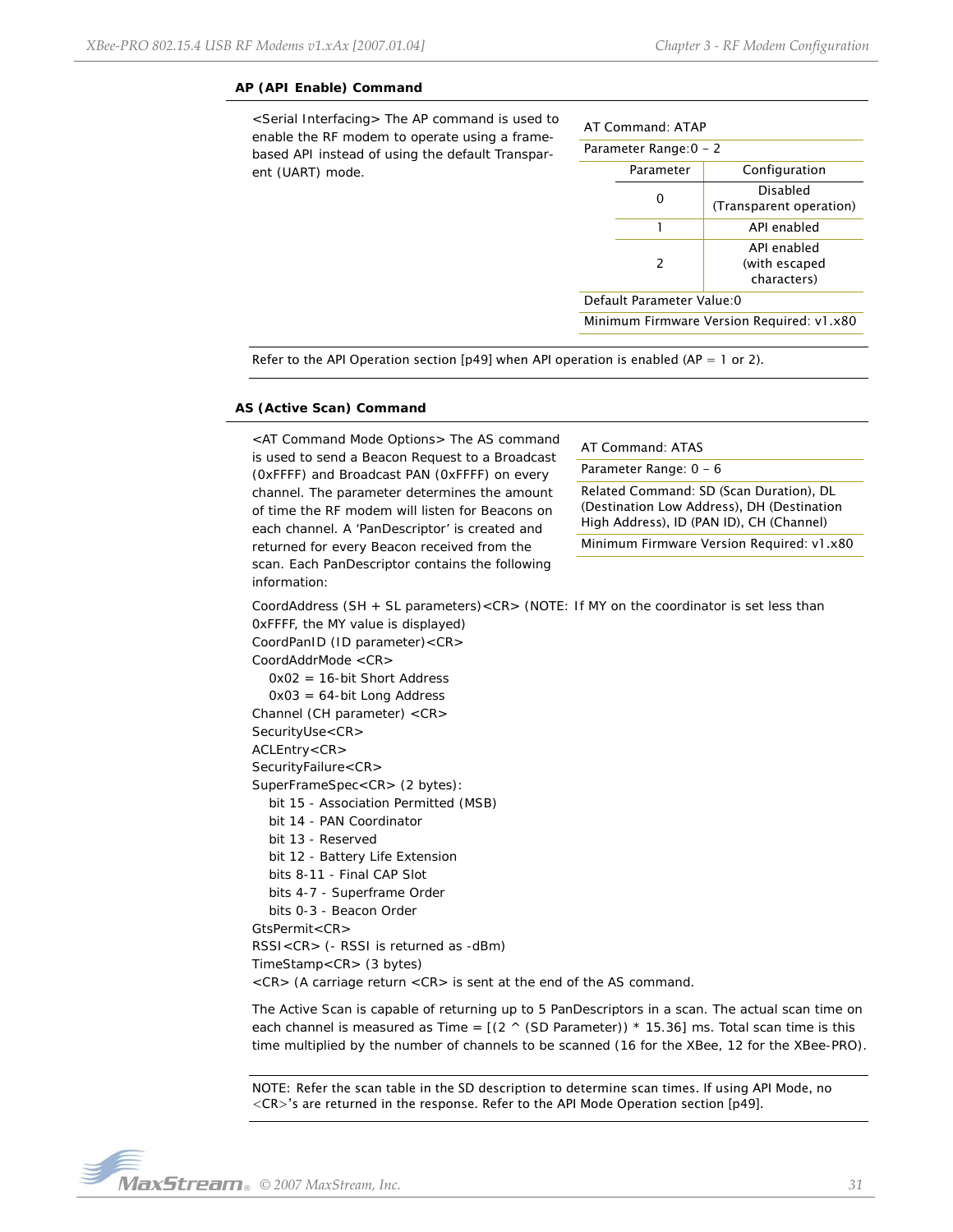#### **AP (API Enable) Command**

<Serial Interfacing> The AP command is used to enable the RF modem to operate using a framebased API instead of using the default Transparent (UART) mode.

| AT Command: ATAP           |                        |                                             |  |
|----------------------------|------------------------|---------------------------------------------|--|
|                            | Parameter Range: 0 - 2 |                                             |  |
|                            | Parameter              | Configuration                               |  |
|                            |                        | Disabled<br>(Transparent operation)         |  |
|                            |                        | API enabled                                 |  |
|                            | 2                      | API enabled<br>(with escaped<br>characters) |  |
| Default Parameter Value: 0 |                        |                                             |  |

Minimum Firmware Version Required: v1.x80

Refer to the API Operation section [[p49\]](#page-48-0) when API operation is enabled (AP = 1 or 2).

#### **AS (Active Scan) Command**

<AT Command Mode Options> The AS command is used to send a Beacon Request to a Broadcast (0xFFFF) and Broadcast PAN (0xFFFF) on every channel. The parameter determines the amount of time the RF modem will listen for Beacons on each channel. A 'PanDescriptor' is created and returned for every Beacon received from the scan. Each PanDescriptor contains the following information:

AT Command: ATAS

Parameter Range: 0 - 6

Related Command: SD (Scan Duration), DL (Destination Low Address), DH (Destination High Address), ID (PAN ID), CH (Channel)

Minimum Firmware Version Required: v1.x80

CoordAddress (SH + SL parameters)<CR> (NOTE: If MY on the coordinator is set less than 0xFFFF, the MY value is displayed) CoordPanID (ID parameter)<CR>

CoordAddrMode <CR> 0x02 = 16-bit Short Address 0x03 = 64-bit Long Address Channel (CH parameter) <CR> SecurityUse<CR> ACLEntry<CR> SecurityFailure<CR> SuperFrameSpec<CR> (2 bytes): bit 15 - Association Permitted (MSB) bit 14 - PAN Coordinator bit 13 - Reserved bit 12 - Battery Life Extension bits 8-11 - Final CAP Slot bits 4-7 - Superframe Order bits 0-3 - Beacon Order GtsPermit<CR> RSSI<CR> (- RSSI is returned as -dBm) TimeStamp<CR> (3 bytes) <CR> (A carriage return <CR> is sent at the end of the AS command.

The Active Scan is capable of returning up to 5 PanDescriptors in a scan. The actual scan time on each channel is measured as Time =  $[(2 \land (SD Parameter)) * 15.36]$  ms. Total scan time is this time multiplied by the number of channels to be scanned (16 for the XBee, 12 for the XBee-PRO).

NOTE: Refer the scan table in the SD description to determine scan times. If using API Mode, no <CR>'s are returned in the response. Refer to the API Mode Operation section [[p49\]](#page-48-0).

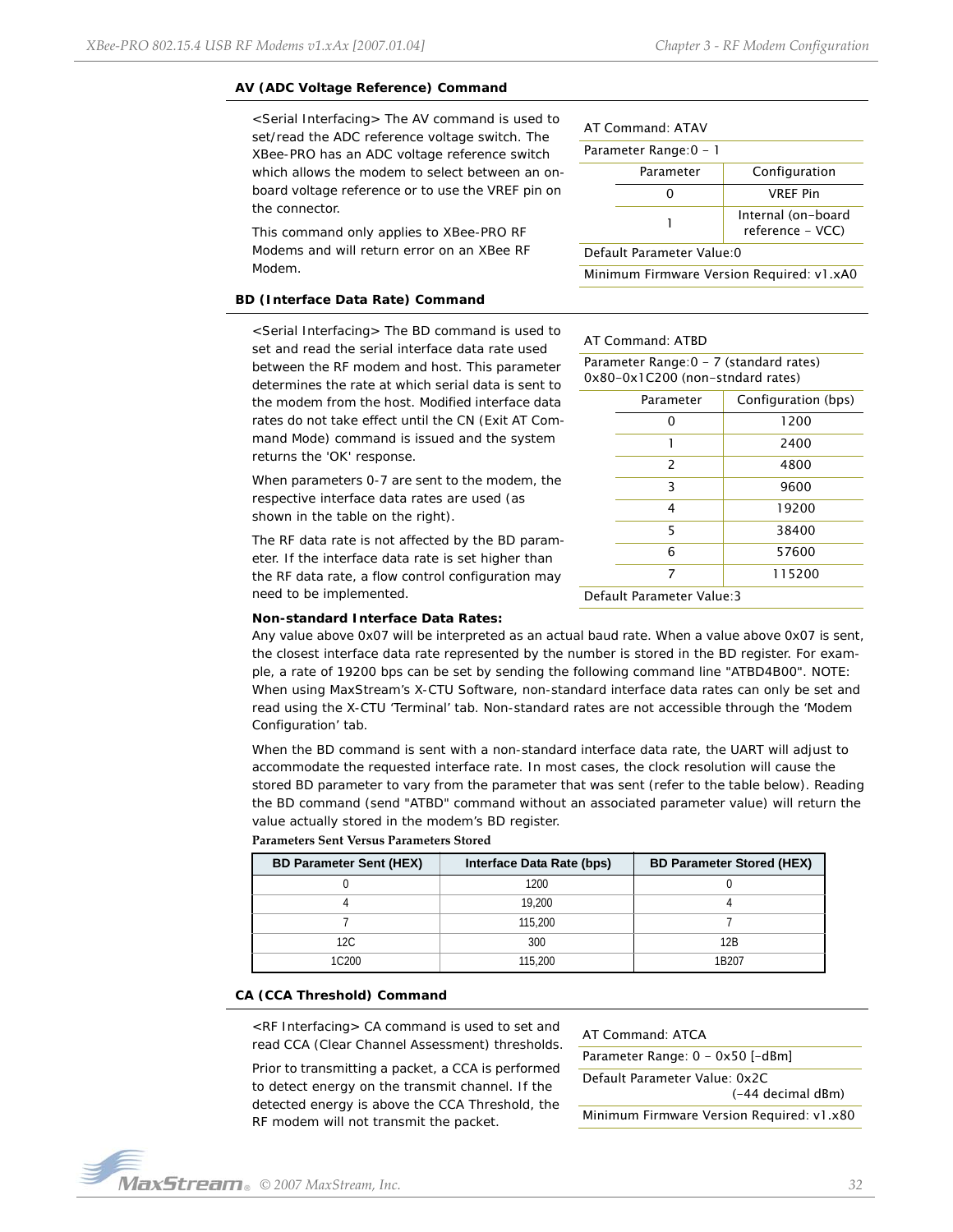#### **AV (ADC Voltage Reference) Command**

<Serial Interfacing> The AV command is used to set/read the ADC reference voltage switch. The XBee-PRO has an ADC voltage reference switch which allows the modem to select between an onboard voltage reference or to use the VREF pin on the connector.

This command only applies to XBee-PRO RF Modems and will return error on an XBee RF Modem.

#### **BD (Interface Data Rate) Command**

<Serial Interfacing> The BD command is used to set and read the serial interface data rate used between the RF modem and host. This parameter determines the rate at which serial data is sent to the modem from the host. Modified interface data rates do not take effect until the CN (Exit AT Command Mode) command is issued and the system returns the 'OK' response.

When parameters 0-7 are sent to the modem, the respective interface data rates are used (as shown in the table on the right).

The RF data rate is not affected by the BD parameter. If the interface data rate is set higher than the RF data rate, a flow control configuration may need to be implemented.

| AT Command: ATAV           |                                        |  |
|----------------------------|----------------------------------------|--|
| Parameter Range: 0 - 1     |                                        |  |
| Parameter                  | Configuration                          |  |
|                            | <b>VRFF Pin</b>                        |  |
|                            | Internal (on-board<br>reference - VCC) |  |
| Default Parameter Value: 0 |                                        |  |

Minimum Firmware Version Required: v1.xA0

#### AT Command: ATBD

| Parameter Range: 0 - 7 (standard rates)<br>0x80-0x1C200 (non-stndard rates) |               |                     |
|-----------------------------------------------------------------------------|---------------|---------------------|
|                                                                             | Parameter     | Configuration (bps) |
|                                                                             | ი             | 1200                |
|                                                                             | 1             | 2400                |
|                                                                             | $\mathcal{P}$ | 4800                |
|                                                                             | 3             | 9600                |
|                                                                             | 4             | 19200               |
|                                                                             | 5             | 38400               |
|                                                                             | 6             | 57600               |
|                                                                             | 7             | 115200              |
| Default Parameter Value:3                                                   |               |                     |

#### **Non-standard Interface Data Rates:**

Any value above 0x07 will be interpreted as an actual baud rate. When a value above 0x07 is sent, the closest interface data rate represented by the number is stored in the BD register. For example, a rate of 19200 bps can be set by sending the following command line "ATBD4B00". NOTE: When using MaxStream's X-CTU Software, non-standard interface data rates can only be set and read using the X-CTU 'Terminal' tab. Non-standard rates are not accessible through the 'Modem Configuration' tab.

When the BD command is sent with a non-standard interface data rate, the UART will adjust to accommodate the requested interface rate. In most cases, the clock resolution will cause the stored BD parameter to vary from the parameter that was sent (refer to the table below). Reading the BD command (send "ATBD" command without an associated parameter value) will return the value actually stored in the modem's BD register.

#### **Parameters Sent Versus Parameters Stored**

| <b>BD Parameter Sent (HEX)</b> | Interface Data Rate (bps) | <b>BD Parameter Stored (HEX)</b> |
|--------------------------------|---------------------------|----------------------------------|
|                                | 1200                      |                                  |
|                                | 19.200                    |                                  |
|                                | 115,200                   |                                  |
| 12C                            | 300                       | 12B                              |
| 10200                          | 115,200                   | 1R207                            |

#### **CA (CCA Threshold) Command**

<RF Interfacing> CA command is used to set and read CCA (Clear Channel Assessment) thresholds.

Prior to transmitting a packet, a CCA is performed to detect energy on the transmit channel. If the detected energy is above the CCA Threshold, the RF modem will not transmit the packet.

#### AT Command: ATCA

Parameter Range: 0 - 0x50 [-dBm] Default Parameter Value: 0x2C (-44 decimal dBm) Minimum Firmware Version Required: v1.x80

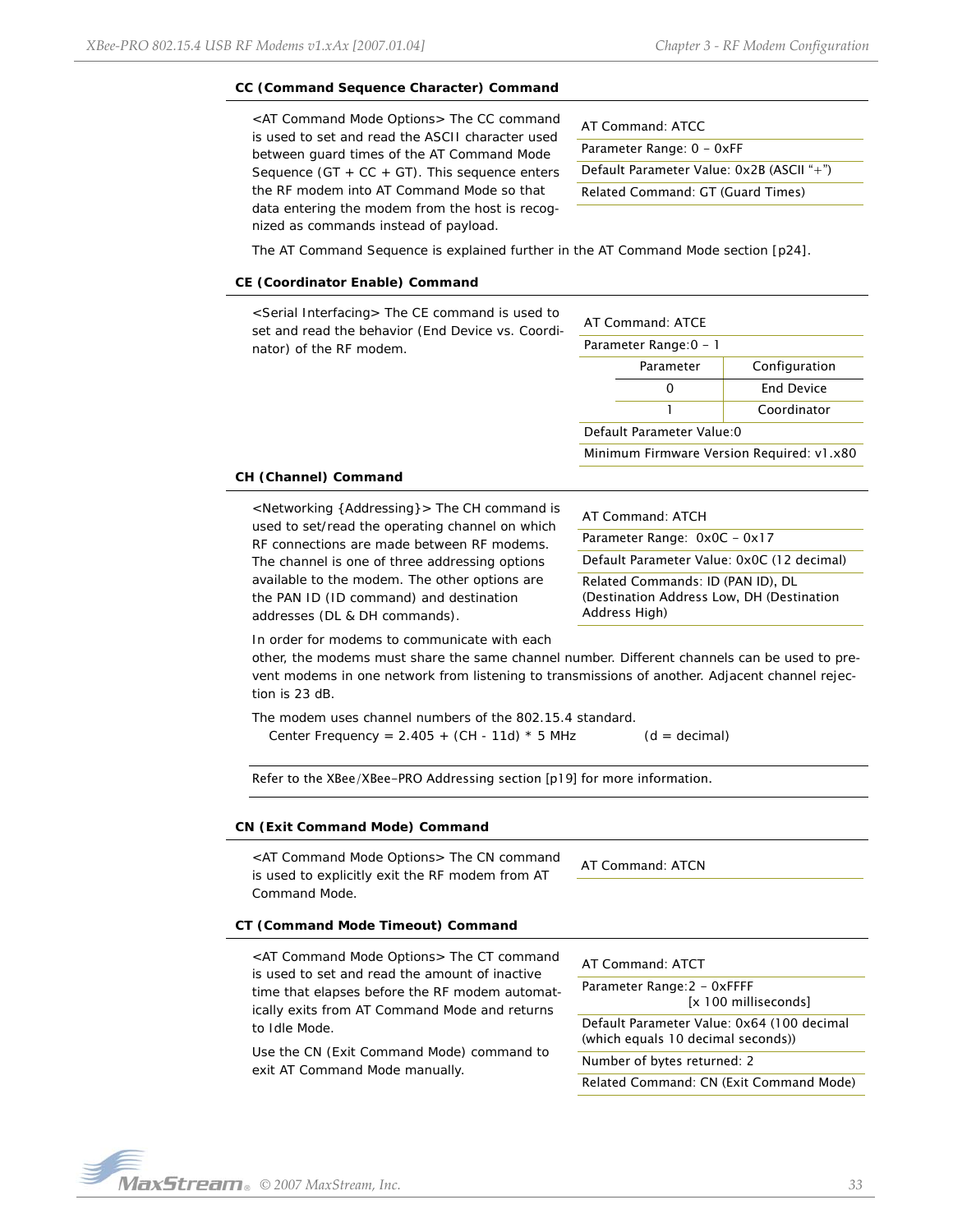#### **CC (Command Sequence Character) Command**

<AT Command Mode Options> The CC command is used to set and read the ASCII character used between guard times of the AT Command Mode Sequence (GT  $+$  CC  $+$  GT). This sequence enters the RF modem into AT Command Mode so that data entering the modem from the host is recognized as commands instead of payload.

| AT Command: ATCC                          |
|-------------------------------------------|
| Parameter Range: 0 - 0xFF                 |
| Default Parameter Value: 0x2B (ASCII "+") |
| Related Command: GT (Guard Times)         |

The AT Command Sequence is explained further in the AT Command Mode section [p24].

#### **CE (Coordinator Enable) Command**

| <serial interfacing=""> The CE command is used to<br/>set and read the behavior (End Device vs. Coordi-<br/>nator) of the RF modem.</serial> |                        | AT Command: ATCE           |                                           |
|----------------------------------------------------------------------------------------------------------------------------------------------|------------------------|----------------------------|-------------------------------------------|
|                                                                                                                                              | Parameter Range: 0 - 1 |                            |                                           |
|                                                                                                                                              |                        | Parameter                  | Configuration                             |
|                                                                                                                                              |                        | 0                          | <b>End Device</b>                         |
|                                                                                                                                              |                        |                            | Coordinator                               |
|                                                                                                                                              |                        | Default Parameter Value: 0 |                                           |
|                                                                                                                                              |                        |                            | Minimum Firmware Version Required: v1.x80 |

#### **CH (Channel) Command**

<Networking {Addressing}> The CH command is used to set/read the operating channel on which RF connections are made between RF modems. The channel is one of three addressing options available to the modem. The other options are the PAN ID (ID command) and destination addresses (DL & DH commands).

| AT Command: ATCH                                                                                 |
|--------------------------------------------------------------------------------------------------|
| Parameter Range: 0x0C - 0x17                                                                     |
| Default Parameter Value: 0x0C (12 decimal)                                                       |
| Related Commands: ID (PAN ID), DL<br>(Destination Address Low, DH (Destination)<br>Address High) |
|                                                                                                  |

In order for modems to communicate with each

other, the modems must share the same channel number. Different channels can be used to prevent modems in one network from listening to transmissions of another. Adjacent channel rejection is 23 dB.

The modem uses channel numbers of the 802.15.4 standard. Center Frequency =  $2.405 + (CH - 11d) * 5 MHz$  (d = decimal)

Refer to the XBee/XBee-PRO Addressing section [p19] for more information.

#### **CN (Exit Command Mode) Command**

<AT Command Mode Options> The CN command is used to explicitly exit the RF modem from AT Command Mode.

AT Command: ATCN

#### **CT (Command Mode Timeout) Command**

<AT Command Mode Options> The CT command is used to set and read the amount of inactive time that elapses before the RF modem automatically exits from AT Command Mode and returns to Idle Mode.

Use the CN (Exit Command Mode) command to exit AT Command Mode manually.

| AT Command: ATCT                                                                 |
|----------------------------------------------------------------------------------|
| Parameter Range:2 - 0xFFFF<br>[x 100 milliseconds]                               |
| Default Parameter Value: 0x64 (100 decimal<br>(which equals 10 decimal seconds)) |
| Number of bytes returned: 2                                                      |

Related Command: CN (Exit Command Mode)

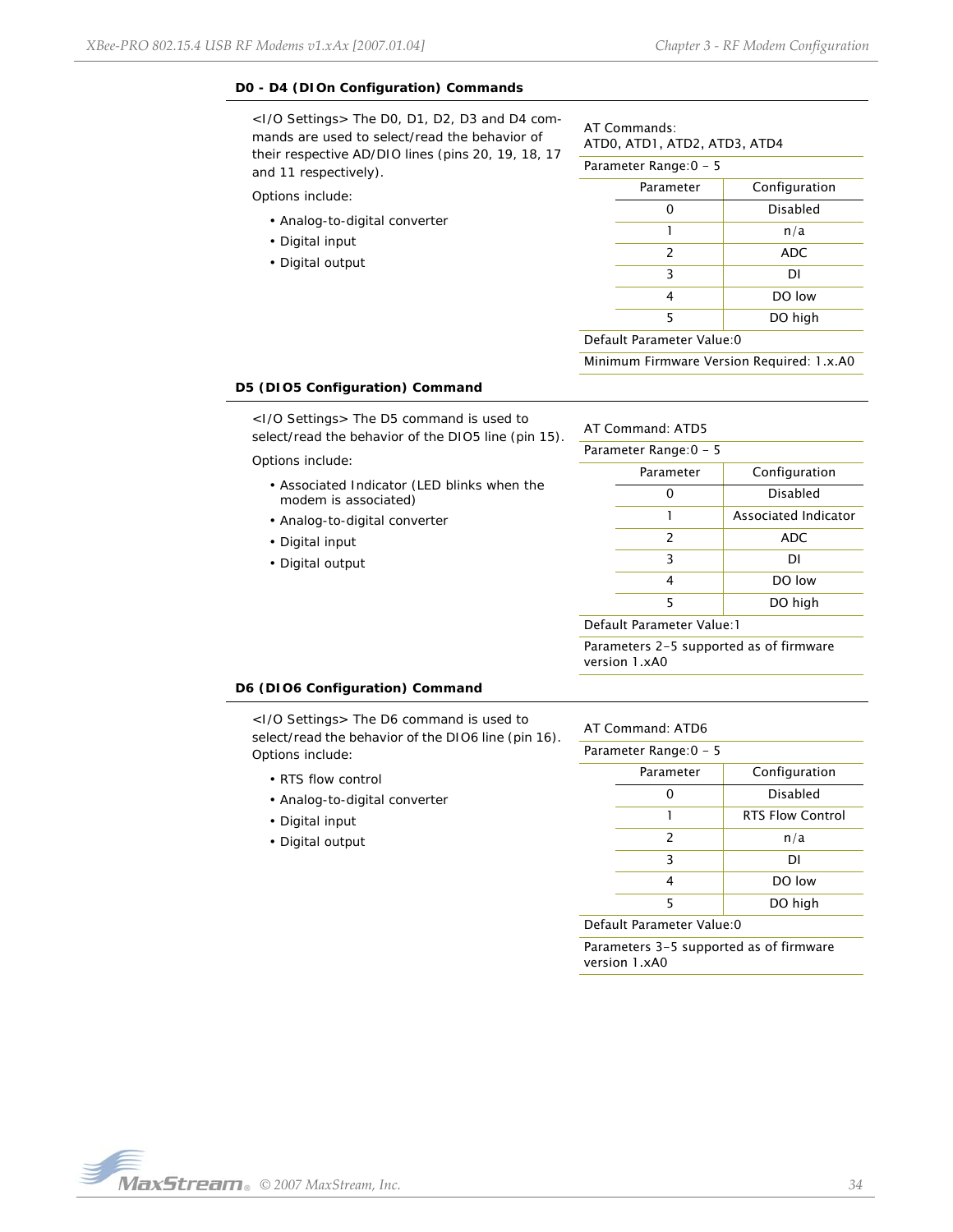## **D0 - D4 (DIOn Configuration) Commands**

<I/O Settings> The D0, D1, D2, D3 and D4 commands are used to select/read the behavior of their respective AD/DIO lines (pins 20, 19, 18, 17 and 11 respectively).

Options include:

- Analog-to-digital converter
- Digital input
- Digital output

# AT Commands: ATD0, ATD1, ATD2, ATD3, ATD4

| Parameter Range:0 – 5 |           |                 |
|-----------------------|-----------|-----------------|
|                       | Parameter | Configuration   |
|                       |           | <b>Disabled</b> |
|                       |           | n/a             |
|                       | 2         | ADC             |
|                       | 3         | DI              |
|                       | 4         | DO low          |
|                       | 5         | DO high         |
|                       |           |                 |

#### Default Parameter Value:0

Minimum Firmware Version Required: 1.x.A0

#### **D5 (DIO5 Configuration) Command**

<I/O Settings> The D5 command is used to select/read the behavior of the DIO5 line (pin 15).

Options include:

- Associated Indicator (LED blinks when the modem is associated)
- Analog-to-digital converter
- Digital input
- Digital output

AT Command: ATD5

|   | Parameter Range: 0 - 5 |                      |
|---|------------------------|----------------------|
|   | Parameter              | Configuration        |
|   |                        | <b>Disabled</b>      |
|   |                        | Associated Indicator |
|   | $\mathcal{P}$          | <b>ADC</b>           |
|   | 3                      | DI                   |
|   | 4                      | DO low               |
|   | 5                      | DO high              |
| . |                        |                      |

Default Parameter Value:1

Parameters 2-5 supported as of firmware version 1.xA0

#### **D6 (DIO6 Configuration) Command**

<I/O Settings> The D6 command is used to select/read the behavior of the DIO6 line (pin 16). Options include:

- RTS flow control
- Analog-to-digital converter
- Digital input
- Digital output

# AT Command: ATD6

| Parameter Range:0 – 5 |               |                         |
|-----------------------|---------------|-------------------------|
|                       | Parameter     | Configuration           |
|                       |               | Disabled                |
|                       |               | <b>RTS Flow Control</b> |
|                       | $\mathcal{P}$ | n/a                     |
|                       | 3             | DI                      |
|                       |               | DO low                  |
|                       | 5             | DO high                 |
|                       |               |                         |

Default Parameter Value:0

Parameters 3-5 supported as of firmware version 1.xA0

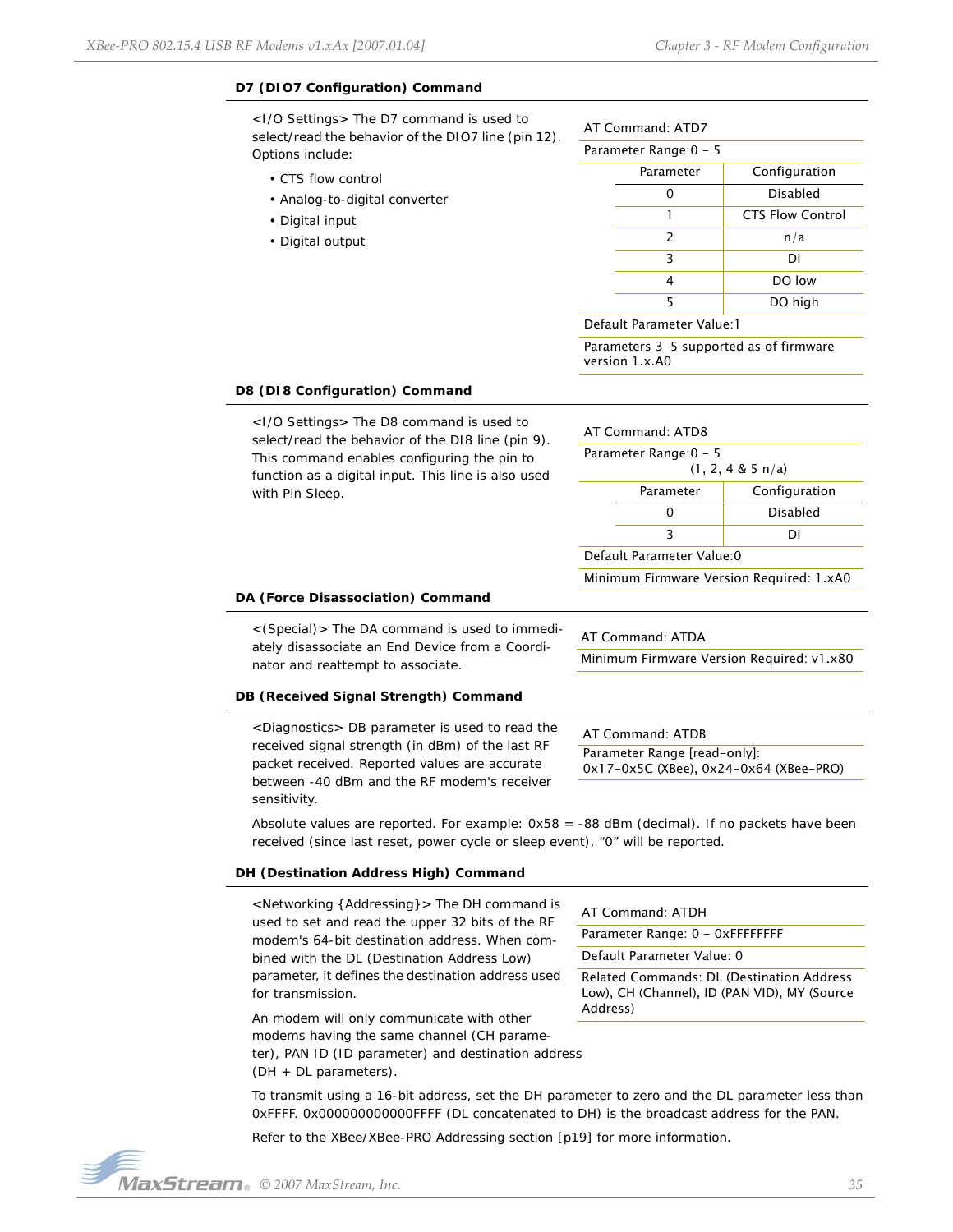# **D7 (DIO7 Configuration) Command**

<I/O Settings> The D7 command is used to select/read the behavior of the DIO7 line (pin 12). Options include:

- CTS flow control
- Analog-to-digital converter
- Digital input
- Digital output

| AT Command: ATD7 |  |
|------------------|--|
|                  |  |

| Parameter Range: 0 - 5 |           |                         |
|------------------------|-----------|-------------------------|
|                        | Parameter | Configuration           |
|                        |           | <b>Disabled</b>         |
|                        | 1         | <b>CTS Flow Control</b> |
|                        | 2         | n/a                     |
|                        | 3         | DI                      |
|                        | 4         | DO low                  |
|                        | 5         | DO high                 |
|                        |           |                         |

Default Parameter Value:1

Parameters 3-5 supported as of firmware version 1.x.A0

#### **D8 (DI8 Configuration) Command**

<I/O Settings> The D8 command is used to select/read the behavior of the DI8 line (pin 9). This command enables configuring the pin to function as a digital input. This line is also used with Pin Sleep.

|                                                        | DΙ              |  |
|--------------------------------------------------------|-----------------|--|
|                                                        | <b>Disabled</b> |  |
| Parameter                                              | Configuration   |  |
| Parameter Range: 0 - 5<br>$(1, 2, 4 \& 5 \text{ n/a})$ |                 |  |
| AT Command: ATD8                                       |                 |  |

Default Parameter Value:0

AT Command: ATDA

Minimum Firmware Version Required: 1.xA0

Minimum Firmware Version Required: v1.x80

#### **DA (Force Disassociation) Command**

<(Special)> The DA command is used to immediately disassociate an End Device from a Coordinator and reattempt to associate.

# **DB (Received Signal Strength) Command**

<Diagnostics> DB parameter is used to read the received signal strength (in dBm) of the last RF packet received. Reported values are accurate between -40 dBm and the RF modem's receiver sensitivity.

AT Command: ATDB Parameter Range [read-only]:

0x17-0x5C (XBee), 0x24-0x64 (XBee-PRO)

Absolute values are reported. For example: 0x58 = -88 dBm (decimal). If no packets have been received (since last reset, power cycle or sleep event), "0" will be reported.

#### **DH (Destination Address High) Command**

| <networking {addressing}=""> The DH command is<br/>used to set and read the upper 32 bits of the RF<br/>modem's 64-bit destination address. When com-</networking> | AT Command: ATDH<br>Parameter Range: 0 - |
|--------------------------------------------------------------------------------------------------------------------------------------------------------------------|------------------------------------------|
| bined with the DL (Destination Address Low)                                                                                                                        | Default Parameter Va                     |
| parameter, it defines the destination address used                                                                                                                 | Related Commands:                        |
| for transmission.                                                                                                                                                  | Low), CH (Channel), I                    |
| An modem will only communicate with other                                                                                                                          | Address)                                 |

Range: 0 - 0xFFFFFFFF ameter Value: 0 mmands: DL (Destination Address Channel), ID (PAN VID), MY (Source Address)

modems having the same channel (CH parame-

ter), PAN ID (ID parameter) and destination address (DH + DL parameters).

To transmit using a 16-bit address, set the DH parameter to zero and the DL parameter less than 0xFFFF. 0x000000000000FFFF (DL concatenated to DH) is the broadcast address for the PAN.

Refer to the XBee/XBee-PRO Addressing section [p19] for more information.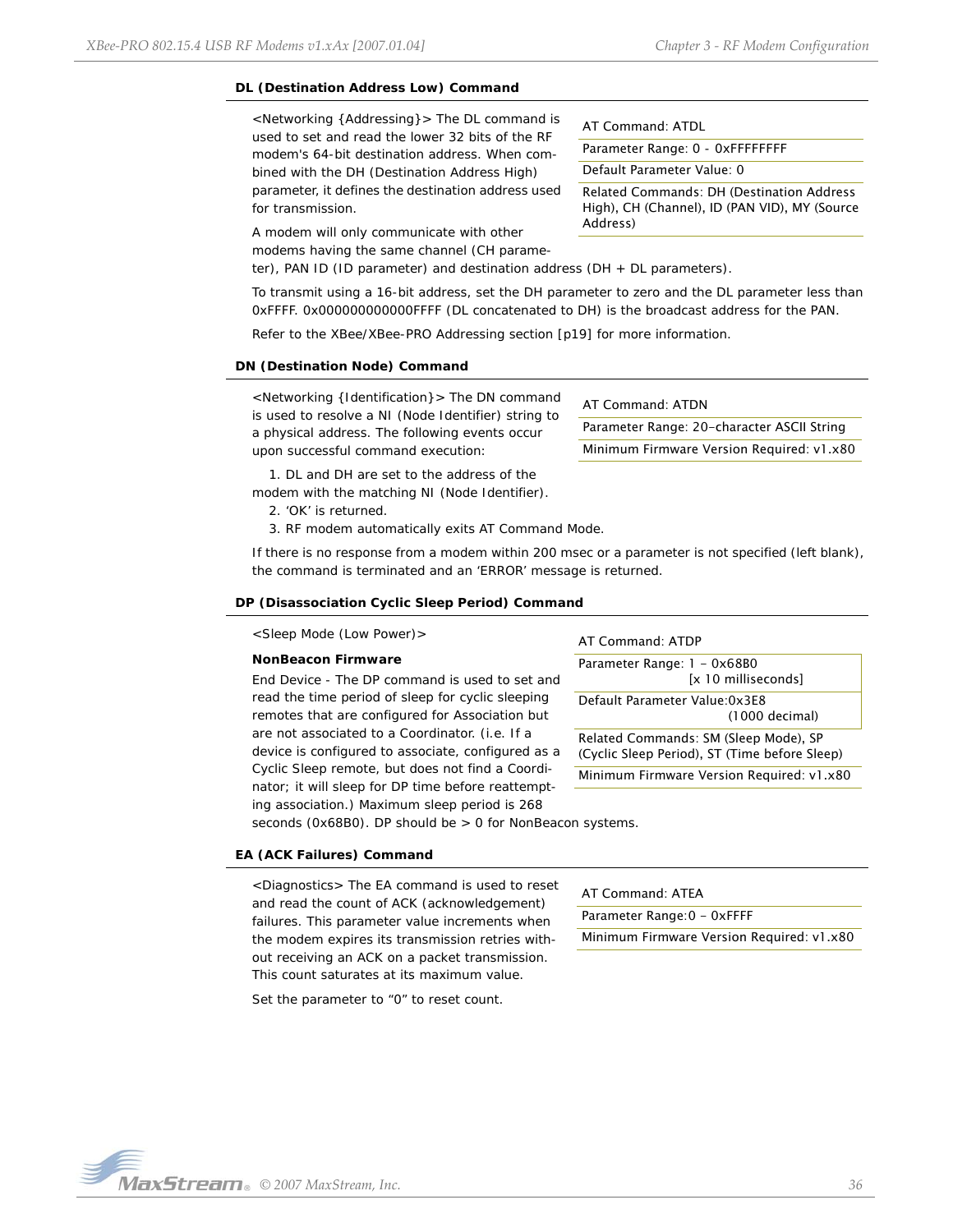## **DL (Destination Address Low) Command**

<Networking {Addressing}> The DL command is used to set and read the lower 32 bits of the RF modem's 64-bit destination address. When combined with the DH (Destination Address High) parameter, it defines the destination address used for transmission.

AT Command: ATDL

Parameter Range: 0 - 0xFFFFFFFF

Default Parameter Value: 0

Related Commands: DH (Destination Address High), CH (Channel), ID (PAN VID), MY (Source Address)

A modem will only communicate with other modems having the same channel (CH parame-

ter), PAN ID (ID parameter) and destination address (DH + DL parameters).

To transmit using a 16-bit address, set the DH parameter to zero and the DL parameter less than 0xFFFF. 0x000000000000FFFF (DL concatenated to DH) is the broadcast address for the PAN.

Refer to the XBee/XBee-PRO Addressing section [p19] for more information.

#### **DN (Destination Node) Command**

<Networking {Identification}> The DN command is used to resolve a NI (Node Identifier) string to a physical address. The following events occur upon successful command execution:

1. DL and DH are set to the address of the modem with the matching NI (Node Identifier).

2. 'OK' is returned.

3. RF modem automatically exits AT Command Mode.

If there is no response from a modem within 200 msec or a parameter is not specified (left blank), the command is terminated and an 'ERROR' message is returned.

#### **DP (Disassociation Cyclic Sleep Period) Command**

<Sleep Mode (Low Power)>

#### **NonBeacon Firmware**

*End Device* - The DP command is used to set and read the time period of sleep for cyclic sleeping remotes that are configured for Association but are not associated to a Coordinator. (i.e. If a device is configured to associate, configured as a Cyclic Sleep remote, but does not find a Coordinator; it will sleep for DP time before reattempting association.) Maximum sleep period is 268

#### AT Command: ATDP

Parameter Range: 1 - 0x68B0 [x 10 milliseconds] Default Parameter Value:0x3E8 (1000 decimal) Related Commands: SM (Sleep Mode), SP (Cyclic Sleep Period), ST (Time before Sleep)

Minimum Firmware Version Required: v1.x80

seconds (0x68B0). DP should be > 0 for NonBeacon systems.

#### **EA (ACK Failures) Command**

<Diagnostics> The EA command is used to reset and read the count of ACK (acknowledgement) failures. This parameter value increments when the modem expires its transmission retries without receiving an ACK on a packet transmission. This count saturates at its maximum value.

Set the parameter to "0" to reset count.

#### AT Command: ATEA

Parameter Range: 0 - 0xFFFF

Minimum Firmware Version Required: v1.x80

AT Command: ATDN Parameter Range: 20-character ASCII String Minimum Firmware Version Required: v1.x80

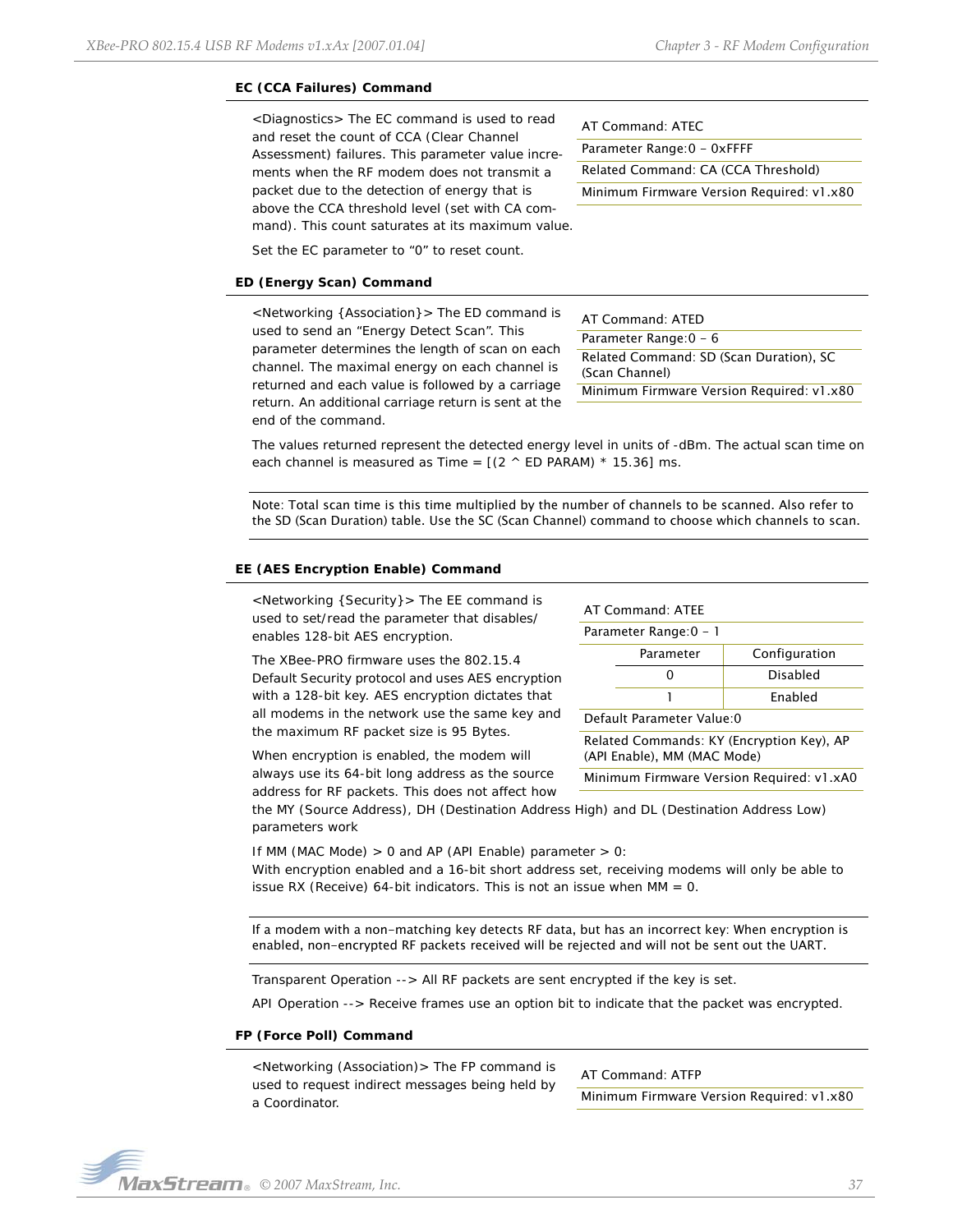# **EC (CCA Failures) Command**

<Diagnostics> The EC command is used to read and reset the count of CCA (Clear Channel Assessment) failures. This parameter value increments when the RF modem does not transmit a packet due to the detection of energy that is above the CCA threshold level (set with CA command). This count saturates at its maximum value.

AT Command: ATEC

Parameter Range:0 - 0xFFFF

Related Command: CA (CCA Threshold)

Minimum Firmware Version Required: v1.x80

Set the EC parameter to "0" to reset count.

## **ED (Energy Scan) Command**

<Networking {Association}> The ED command is used to send an "Energy Detect Scan". This parameter determines the length of scan on each channel. The maximal energy on each channel is returned and each value is followed by a carriage return. An additional carriage return is sent at the end of the command.

AT Command: ATED Parameter Range: 0 - 6 Related Command: SD (Scan Duration), SC (Scan Channel) Minimum Firmware Version Required: v1.x80

The values returned represent the detected energy level in units of -dBm. The actual scan time on each channel is measured as Time =  $[(2 \land ED$  PARAM)  $*$  15.36] ms.

Note: Total scan time is this time multiplied by the number of channels to be scanned. Also refer to the SD (Scan Duration) table. Use the SC (Scan Channel) command to choose which channels to scan.

### **EE (AES Encryption Enable) Command**

<Networking {Security}> The EE command is used to set/read the parameter that disables/ enables 128-bit AES encryption.

The XBee-PRO firmware uses the 802.15.4 Default Security protocol and uses AES encryption with a 128-bit key. AES encryption dictates that all modems in the network use the same key and the maximum RF packet size is 95 Bytes.

When encryption is enabled, the modem will always use its 64-bit long address as the source address for RF packets. This does not affect how

#### AT Command: ATEE

Parameter Range: 0 - 1 Parameter Configuration

| <b>Γαιαιιιτιτι</b> | Comiguiation    |
|--------------------|-----------------|
|                    | <b>Disabled</b> |
|                    | Enabled         |

Default Parameter Value:0

Related Commands: KY (Encryption Key), AP (API Enable), MM (MAC Mode)

Minimum Firmware Version Required: v1.xA0

the MY (Source Address), DH (Destination Address High) and DL (Destination Address Low) parameters work

If MM (MAC Mode)  $> 0$  and AP (API Enable) parameter  $> 0$ : With encryption enabled and a 16-bit short address set, receiving modems will only be able to issue RX (Receive) 64-bit indicators. This is not an issue when  $MM = 0$ .

If a modem with a non-matching key detects RF data, but has an incorrect key: When encryption is enabled, non-encrypted RF packets received will be rejected and will not be sent out the UART.

Transparent Operation --> All RF packets are sent encrypted if the key is set.

API Operation --> Receive frames use an option bit to indicate that the packet was encrypted.

#### **FP (Force Poll) Command**

<Networking (Association)> The FP command is used to request indirect messages being held by a Coordinator.

AT Command: ATFP Minimum Firmware Version Required: v1.x80

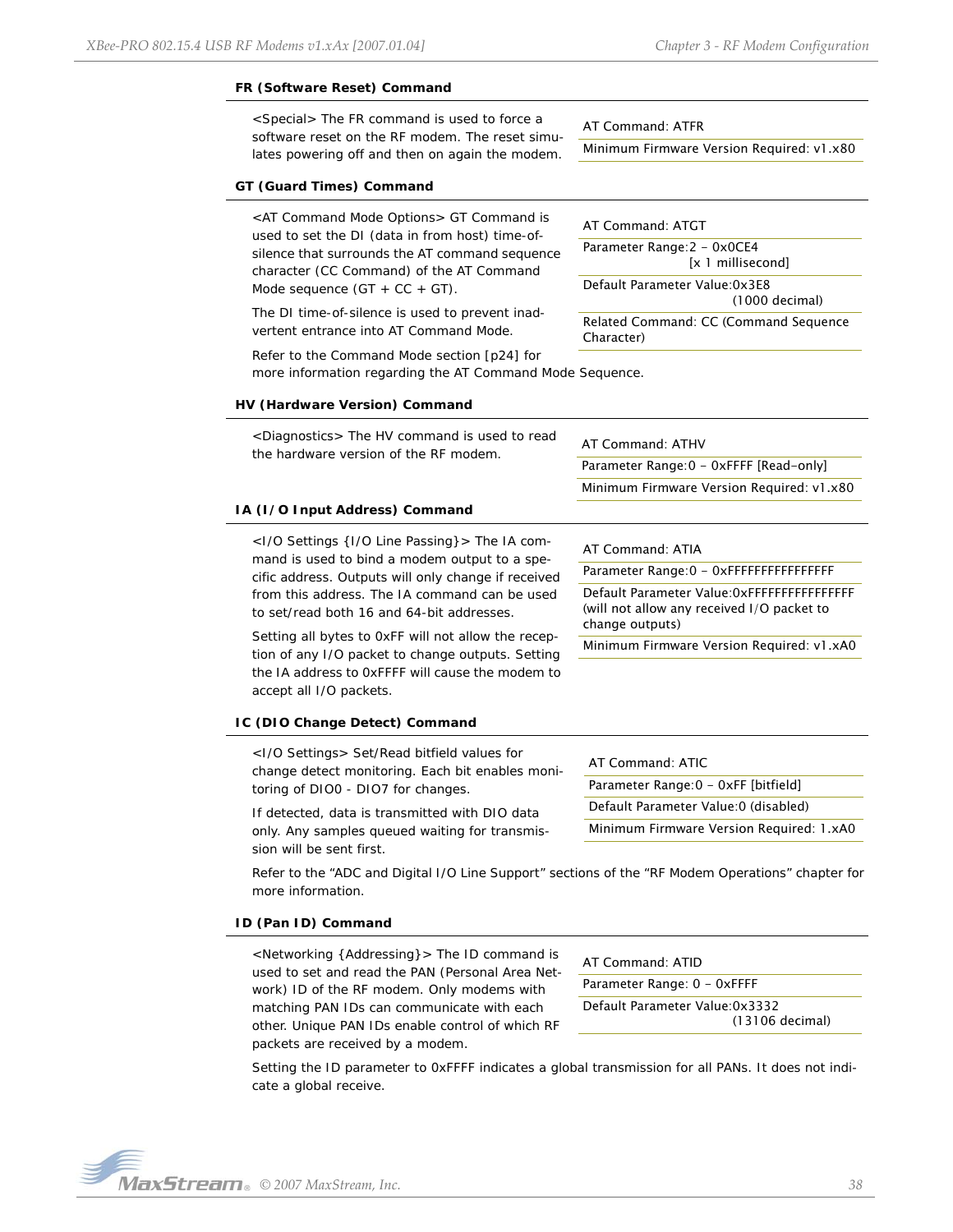#### **FR (Software Reset) Command**

<Special> The FR command is used to force a software reset on the RF modem. The reset simulates powering off and then on again the modem.

## **GT (Guard Times) Command**

<AT Command Mode Options> GT Command is used to set the DI (data in from host) time-ofsilence that surrounds the AT command sequence character (CC Command) of the AT Command Mode sequence  $(GT + CC + GT)$ .

The DI time-of-silence is used to prevent inadvertent entrance into AT Command Mode.

AT Command: ATFR Minimum Firmware Version Required: v1.x80

# AT Command: ATGT

Parameter Range: 2 - 0x0CE4 [x 1 millisecond]

Default Parameter Value:0x3E8 (1000 decimal)

Related Command: CC (Command Sequence Character)

Refer to the Command Mode section [p24] for more information regarding the AT Command Mode Sequence.

#### **HV (Hardware Version) Command**

| <diagnostics> The HV command is used to read<br/>the hardware version of the RF modem.</diagnostics>                                                                                                                                                                                  | AT Command: ATHV<br>Parameter Range: 0 - 0xFFFF [Read-only]<br>Minimum Firmware Version Required: v1.x80       |
|---------------------------------------------------------------------------------------------------------------------------------------------------------------------------------------------------------------------------------------------------------------------------------------|----------------------------------------------------------------------------------------------------------------|
| IA (I/O Input Address) Command                                                                                                                                                                                                                                                        |                                                                                                                |
| <1/0 Settings {1/0 Line Passing} > The IA com-<br>mand is used to bind a modem output to a spe-                                                                                                                                                                                       | AT Command: ATIA                                                                                               |
| cific address. Outputs will only change if received                                                                                                                                                                                                                                   |                                                                                                                |
| from this address. The IA command can be used<br>to set/read both 16 and 64-bit addresses.<br>Setting all bytes to OxFF will not allow the recep-<br>tion of any I/O packet to change outputs. Setting<br>the IA address to OxFFFF will cause the modem to<br>accept all I/O packets. | Default Parameter Value: 0xFFFFFFFFFFFFFFFFFF<br>(will not allow any received I/O packet to<br>change outputs) |
|                                                                                                                                                                                                                                                                                       | Minimum Firmware Version Required: v1.xA0                                                                      |
| IC (DIO Change Detect) Command                                                                                                                                                                                                                                                        |                                                                                                                |
| <1/0 Settings> Set/Read bitfield values for<br>change detect monitoring. Each bit enables moni-<br>toring of DIO0 - DIO7 for changes.                                                                                                                                                 | AT Command: ATIC<br>Parameter Range: 0 - 0xFF [bitfield]                                                       |
| If detected, data is transmitted with DIO data                                                                                                                                                                                                                                        | Default Parameter Value:0 (disabled)                                                                           |
| only. Any samples queued waiting for transmis-                                                                                                                                                                                                                                        | Minimum Firmware Version Required: 1.xA0                                                                       |

Refer to the "ADC and Digital I/O Line Support" sections of the "RF Modem Operations" chapter for more information.

#### **ID (Pan ID) Command**

sion will be sent first.

<Networking {Addressing}> The ID command is used to set and read the PAN (Personal Area Network) ID of the RF modem. Only modems with matching PAN IDs can communicate with each other. Unique PAN IDs enable control of which RF packets are received by a modem.

AT Command: ATID Parameter Range: 0 - 0xFFFF Default Parameter Value:0x3332 (13106 decimal)

Setting the ID parameter to 0xFFFF indicates a global transmission for all PANs. It does not indicate a global receive.

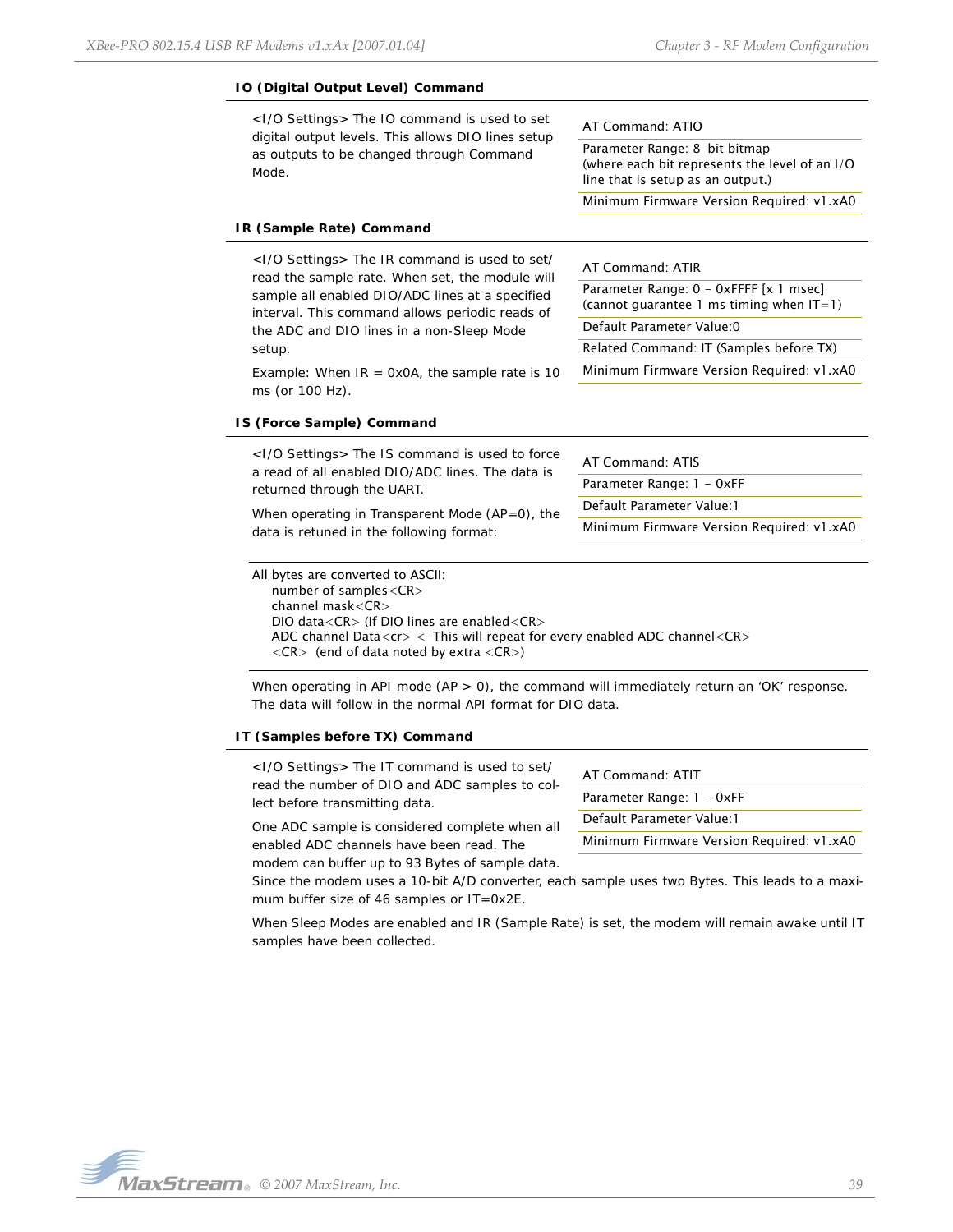#### **IO (Digital Output Level) Command** <I/O Settings> The IO command is used to set digital output levels. This allows DIO lines setup as outputs to be changed through Command Mode. **IR (Sample Rate) Command** <I/O Settings> The IR command is used to set/ read the sample rate. When set, the module will sample all enabled DIO/ADC lines at a specified interval. This command allows periodic reads of the ADC and DIO lines in a non-Sleep Mode setup. Example: When  $IR = 0x0A$ , the sample rate is 10 ms (or 100 Hz). **IS (Force Sample) Command** <I/O Settings> The IS command is used to force a read of all enabled DIO/ADC lines. The data is returned through the UART. When operating in Transparent Mode (AP=0), the data is retuned in the following format: All bytes are converted to ASCII: number of samples<CR> channel mask<CR> DIO data<CR> (If DIO lines are enabled<CR> AT Command: ATIO Parameter Range: 8-bit bitmap (where each bit represents the level of an I/O line that is setup as an output.) Minimum Firmware Version Required: v1.xA0 AT Command: ATIR Parameter Range: 0 - 0xFFFF [x 1 msec] (cannot guarantee 1 ms timing when  $|T=1$ ) Default Parameter Value:0 Related Command: IT (Samples before TX) Minimum Firmware Version Required: v1.xA0 AT Command: ATIS Parameter Range: 1 - 0xFF Default Parameter Value:1 Minimum Firmware Version Required: v1.xA0

When operating in API mode  $(AP > 0)$ , the command will immediately return an 'OK' response. The data will follow in the normal API format for DIO data.

ADC channel Data<cr> <-This will repeat for every enabled ADC channel<CR>

#### **IT (Samples before TX) Command**

<I/O Settings> The IT command is used to set/ read the number of DIO and ADC samples to collect before transmitting data.

 $\langle CR \rangle$  (end of data noted by extra  $\langle CR \rangle$ )

One ADC sample is considered complete when all enabled ADC channels have been read. The

modem can buffer up to 93 Bytes of sample data.

Since the modem uses a 10-bit A/D converter, each sample uses two Bytes. This leads to a maximum buffer size of 46 samples or IT=0x2E.

AT Command: ATIT Parameter Range: 1 - 0xFF Default Parameter Value:1

Minimum Firmware Version Required: v1.xA0

When Sleep Modes are enabled and IR (Sample Rate) is set, the modem will remain awake until IT samples have been collected.

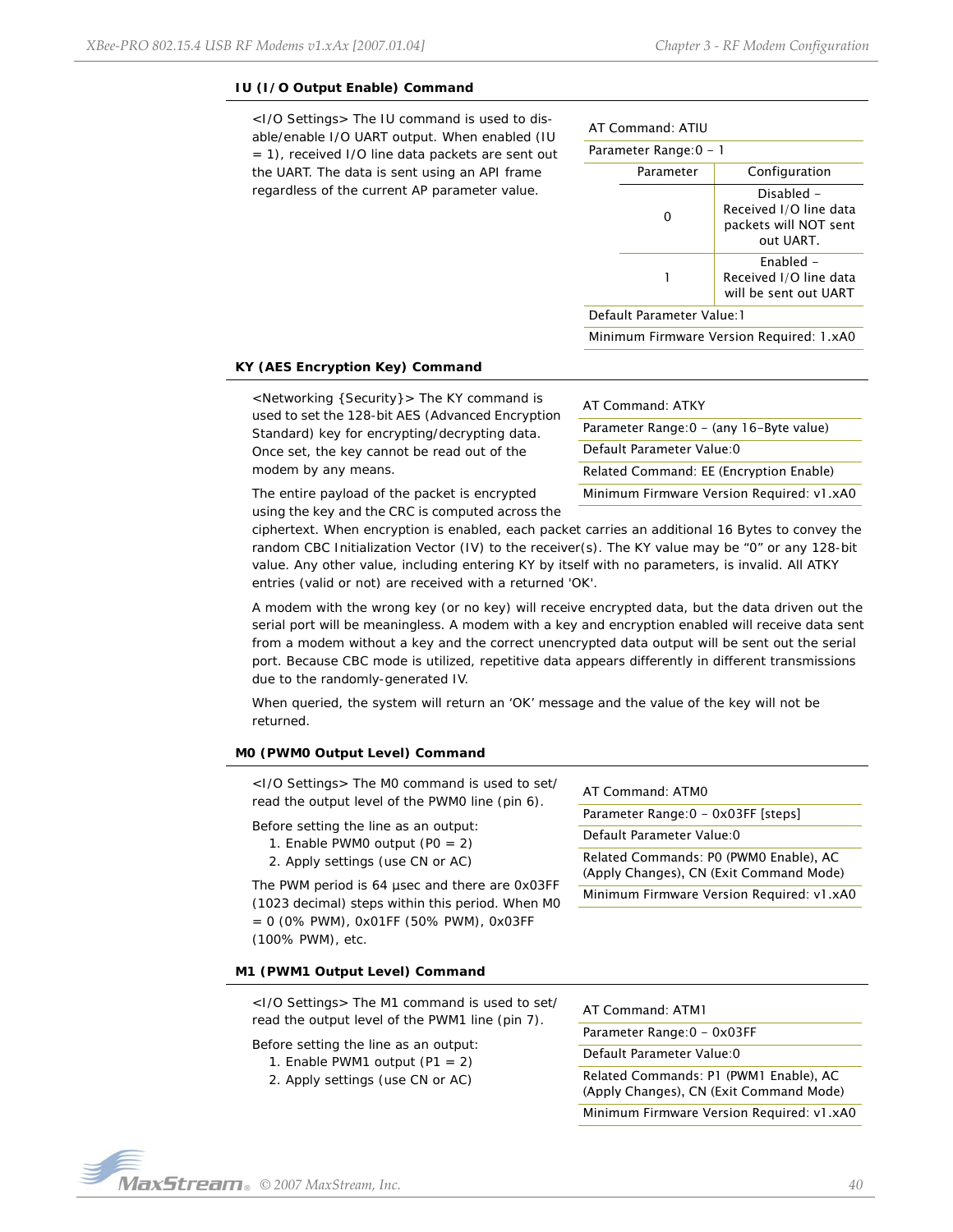#### **IU (I/O Output Enable) Command**

<I/O Settings> The IU command is used to disable/enable I/O UART output. When enabled (IU = 1), received I/O line data packets are sent out the UART. The data is sent using an API frame regardless of the current AP parameter value.

| AT Command: ATIU          |                            |                                                                            |  |
|---------------------------|----------------------------|----------------------------------------------------------------------------|--|
|                           | Parameter Range: 0 - 1     |                                                                            |  |
|                           | Configuration<br>Parameter |                                                                            |  |
|                           | O                          | Disabled –<br>Received I/O line data<br>packets will NOT sent<br>out UART. |  |
|                           |                            | Fnabled -<br>Received I/O line data<br>will be sent out UART               |  |
| Default Parameter Value:1 |                            |                                                                            |  |

Minimum Firmware Version Required: 1.xA0

#### **KY (AES Encryption Key) Command**

<Networking {Security}> The KY command is used to set the 128-bit AES (Advanced Encryption Standard) key for encrypting/decrypting data. Once set, the key cannot be read out of the modem by any means.

AT Command: ATKY Parameter Range: 0 - (any 16-Byte value) Default Parameter Value:0 Related Command: EE (Encryption Enable) Minimum Firmware Version Required: v1.xA0

The entire payload of the packet is encrypted using the key and the CRC is computed across the

ciphertext. When encryption is enabled, each packet carries an additional 16 Bytes to convey the random CBC Initialization Vector (IV) to the receiver(s). The KY value may be "0" or any 128-bit value. Any other value, including entering KY by itself with no parameters, is invalid. All ATKY entries (valid or not) are received with a returned 'OK'.

A modem with the wrong key (or no key) will receive encrypted data, but the data driven out the serial port will be meaningless. A modem with a key and encryption enabled will receive data sent from a modem without a key and the correct unencrypted data output will be sent out the serial port. Because CBC mode is utilized, repetitive data appears differently in different transmissions due to the randomly-generated IV.

When queried, the system will return an 'OK' message and the value of the key will not be returned.

#### **M0 (PWM0 Output Level) Command**

| <1/0 Settings> The M0 command is used to set/<br>read the output level of the PWM0 line (pin 6).<br>Before setting the line as an output:<br>1. Enable PWMO output $(PO = 2)$<br>2. Apply settings (use CN or AC)<br>The PWM period is 64 usec and there are 0x03FF<br>(1023 decimal) steps within this period. When MO<br>$= 0$ (0% PWM), 0x01FF (50% PWM), 0x03FF<br>(100% PWM), etc.<br>M1 (PWM1 Output Level) Command | AT Command: ATM0<br>Parameter Range: 0 - 0x03FF [steps]<br>Default Parameter Value: 0<br>Related Commands: PO (PWMO Enable), AC<br>(Apply Changes), CN (Exit Command Mode)<br>Minimum Firmware Version Required: v1.xA0 |
|---------------------------------------------------------------------------------------------------------------------------------------------------------------------------------------------------------------------------------------------------------------------------------------------------------------------------------------------------------------------------------------------------------------------------|-------------------------------------------------------------------------------------------------------------------------------------------------------------------------------------------------------------------------|
| <1/0 Settings> The M1 command is used to set/                                                                                                                                                                                                                                                                                                                                                                             | AT Command: ATM1                                                                                                                                                                                                        |
| read the output level of the PWM1 line (pin 7).                                                                                                                                                                                                                                                                                                                                                                           | Parameter Range: 0 - 0x03FF                                                                                                                                                                                             |

Before setting the line as an output:

1. Enable PWM1 output  $(P1 = 2)$ 2. Apply settings (use CN or AC) Default Parameter Value:0 Related Commands: P1 (PWM1 Enable), AC (Apply Changes), CN (Exit Command Mode) Minimum Firmware Version Required: v1.xA0

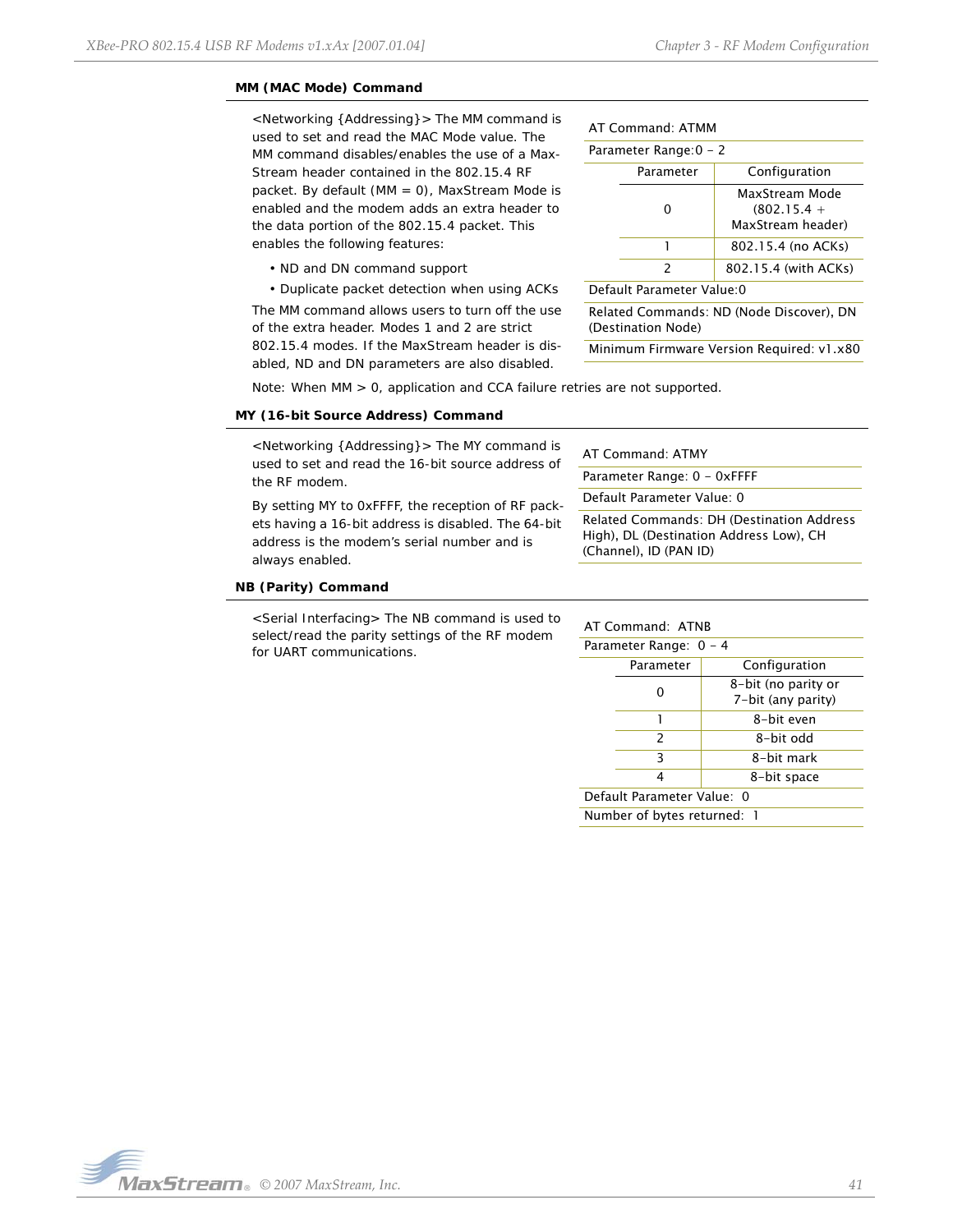## **MM (MAC Mode) Command**

<Networking {Addressing}> The MM command is used to set and read the MAC Mode value. The MM command disables/enables the use of a Max-Stream header contained in the 802.15.4 RF packet. By default (MM = 0), MaxStream Mode is enabled and the modem adds an extra header to the data portion of the 802.15.4 packet. This enables the following features:

- ND and DN command support
- Duplicate packet detection when using ACKs

The MM command allows users to turn off the use of the extra header. Modes 1 and 2 are strict 802.15.4 modes. If the MaxStream header is disabled, ND and DN parameters are also disabled.

|  | AT Command: ATMM |  |
|--|------------------|--|
|--|------------------|--|

| Parameter Range: 0 - 2                                         |               |                                                      |
|----------------------------------------------------------------|---------------|------------------------------------------------------|
|                                                                | Parameter     | Configuration                                        |
|                                                                | O             | MaxStream Mode<br>$(802.15.4 +$<br>MaxStream header) |
|                                                                | 1             | 802.15.4 (no ACKs)                                   |
|                                                                | $\mathcal{P}$ | 802.15.4 (with ACKs)                                 |
| Default Parameter Value: 0                                     |               |                                                      |
| Related Commands: ND (Node Discover), DN<br>(Destination Node) |               |                                                      |

Minimum Firmware Version Required: v1.x80

Note: When MM > 0, application and CCA failure retries are not supported.

#### **MY (16-bit Source Address) Command**

<Networking {Addressing}> The MY command is used to set and read the 16-bit source address of the RF modem.

By setting MY to 0xFFFF, the reception of RF packets having a 16-bit address is disabled. The 64-bit address is the modem's serial number and is always enabled.

| AT Command: ATMY                                                                                                      |
|-----------------------------------------------------------------------------------------------------------------------|
| Parameter Range: 0 - OxFFFF                                                                                           |
| Default Parameter Value: 0                                                                                            |
| <b>Related Commands: DH (Destination Address</b><br>High), DL (Destination Address Low), CH<br>(Channel), ID (PAN ID) |
|                                                                                                                       |

#### **NB (Parity) Command**

<Serial Interfacing> The NB command is used to select/read the parity settings of the RF modem for UART communications.

#### AT Command: ATNB

| Parameter Range: 0 - 4      |               |                                           |  |
|-----------------------------|---------------|-------------------------------------------|--|
|                             | Parameter     | Configuration                             |  |
|                             |               | 8-bit (no parity or<br>7-bit (any parity) |  |
|                             |               | 8-bit even                                |  |
|                             | $\mathcal{P}$ | 8-bit odd                                 |  |
|                             | 3             | 8-bit mark                                |  |
| 8-bit space<br>4            |               |                                           |  |
| Default Parameter Value: 0  |               |                                           |  |
| Number of bytes returned: 1 |               |                                           |  |

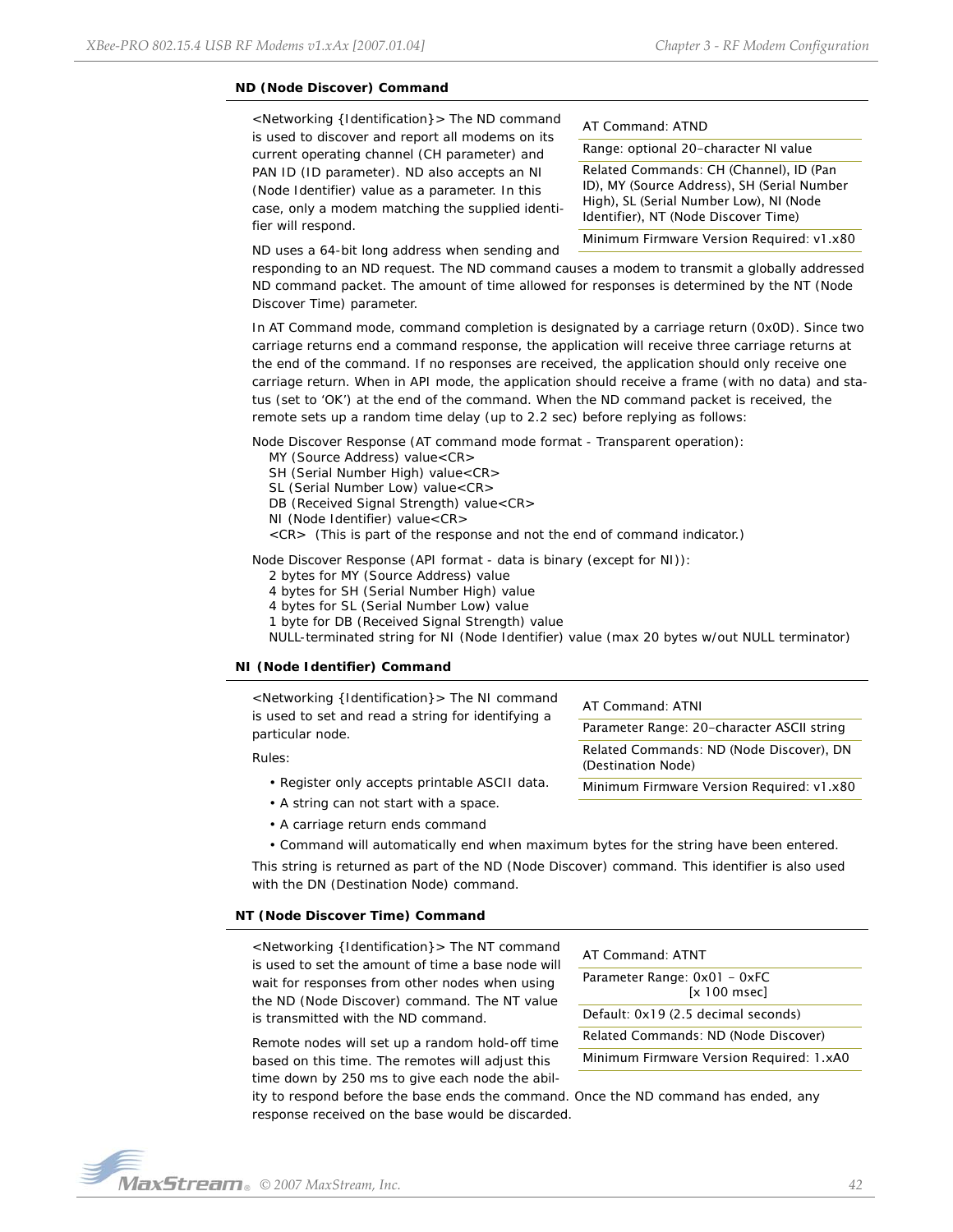# **ND (Node Discover) Command**

<Networking {Identification}> The ND command is used to discover and report all modems on its current operating channel (CH parameter) and PAN ID (ID parameter). ND also accepts an NI (Node Identifier) value as a parameter. In this case, only a modem matching the supplied identifier will respond.

AT Command: ATND

Range: optional 20-character NI value

Related Commands: CH (Channel), ID (Pan ID), MY (Source Address), SH (Serial Number High), SL (Serial Number Low), NI (Node Identifier), NT (Node Discover Time) Minimum Firmware Version Required: v1.x80

ND uses a 64-bit long address when sending and

responding to an ND request. The ND command causes a modem to transmit a globally addressed ND command packet. The amount of time allowed for responses is determined by the NT (Node Discover Time) parameter.

In AT Command mode, command completion is designated by a carriage return (0x0D). Since two carriage returns end a command response, the application will receive three carriage returns at the end of the command. If no responses are received, the application should only receive one carriage return. When in API mode, the application should receive a frame (with no data) and status (set to 'OK') at the end of the command. When the ND command packet is received, the remote sets up a random time delay (up to 2.2 sec) before replying as follows:

Node Discover Response (AT command mode format - Transparent operation):

MY (Source Address) value<CR>

SH (Serial Number High) value<CR>

- SL (Serial Number Low) value<CR>
- DB (Received Signal Strength) value<CR>
- NI (Node Identifier) value<CR>
- <CR> (This is part of the response and not the end of command indicator.)

Node Discover Response (API format - data is binary (except for NI)):

2 bytes for MY (Source Address) value

4 bytes for SH (Serial Number High) value

4 bytes for SL (Serial Number Low) value

1 byte for DB (Received Signal Strength) value

NULL-terminated string for NI (Node Identifier) value (max 20 bytes w/out NULL terminator)

## **NI (Node Identifier) Command**

| <networking {identification}=""> The NI command<br/>is used to set and read a string for identifying a</networking> | AT Command: ATNI                                               |
|---------------------------------------------------------------------------------------------------------------------|----------------------------------------------------------------|
| particular node.                                                                                                    | Parameter Range: 20-character ASCII string                     |
| Rules:                                                                                                              | Related Commands: ND (Node Discover), DN<br>(Destination Node) |
| • Register only accepts printable ASCII data.                                                                       | Minimum Firmware Version Required: v1.x80                      |
| • A string can not start with a space.                                                                              |                                                                |

• A carriage return ends command

• Command will automatically end when maximum bytes for the string have been entered.

This string is returned as part of the ND (Node Discover) command. This identifier is also used with the DN (Destination Node) command.

#### **NT (Node Discover Time) Command**

<Networking {Identification}> The NT command is used to set the amount of time a base node will wait for responses from other nodes when using the ND (Node Discover) command. The NT value is transmitted with the ND command.

Remote nodes will set up a random hold-off time based on this time. The remotes will adjust this time down by 250 ms to give each node the abil-

| AT Command: ATNT                         |  |  |
|------------------------------------------|--|--|
| Parameter Range: 0x01 - 0xFC             |  |  |
| $[x 100$ msec $]$                        |  |  |
| Default: 0x19 (2.5 decimal seconds)      |  |  |
| Related Commands: ND (Node Discover)     |  |  |
| Minimum Firmware Version Required: 1.xA0 |  |  |
|                                          |  |  |

ity to respond before the base ends the command. Once the ND command has ended, any response received on the base would be discarded.

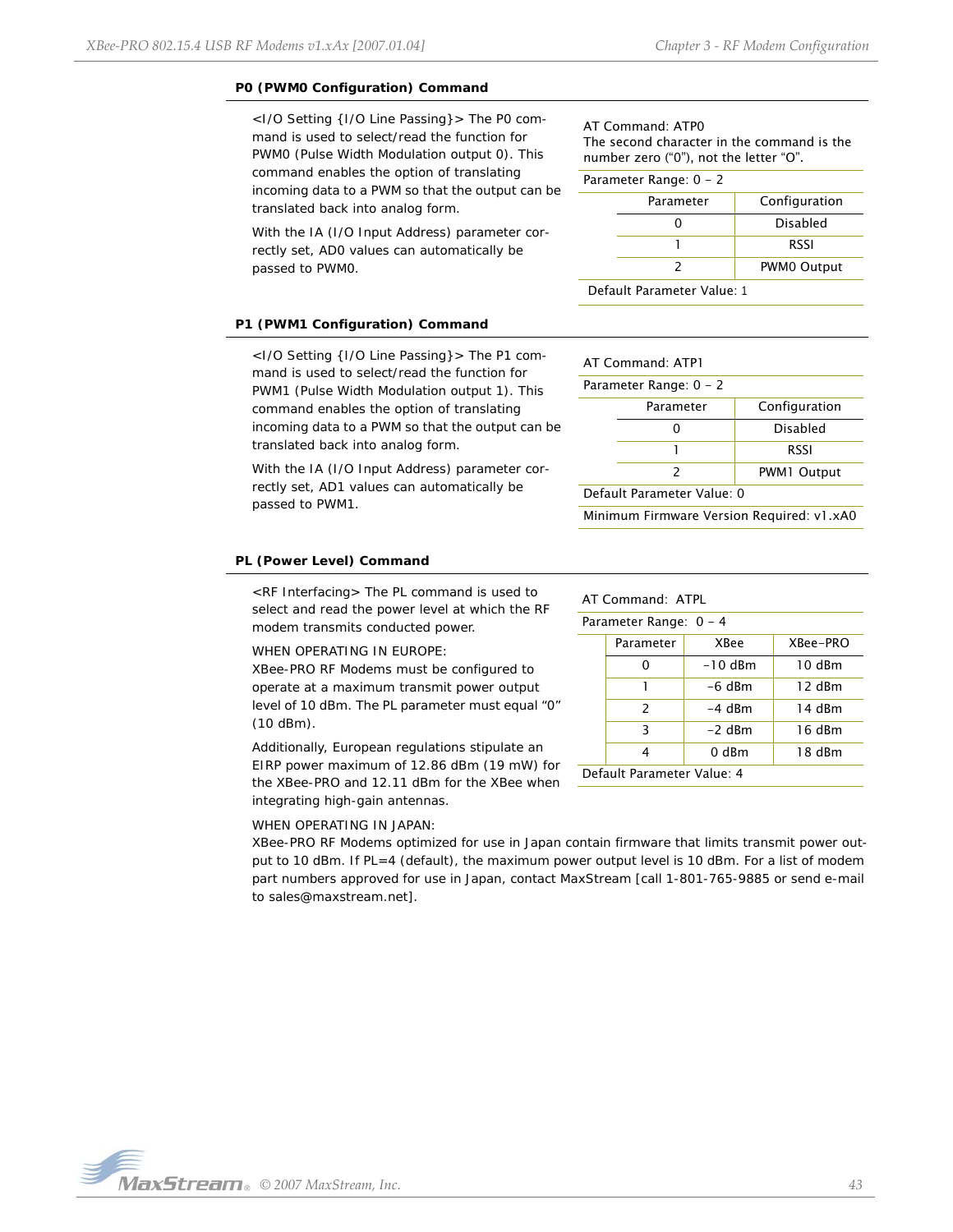## **P0 (PWM0 Configuration) Command**

<I/O Setting {I/O Line Passing}> The P0 command is used to select/read the function for PWM0 (Pulse Width Modulation output 0). This command enables the option of translating incoming data to a PWM so that the output can be translated back into analog form.

With the IA (I/O Input Address) parameter correctly set, AD0 values can automatically be passed to PWM0.

## **P1 (PWM1 Configuration) Command**

<I/O Setting {I/O Line Passing}> The P1 command is used to select/read the function for PWM1 (Pulse Width Modulation output 1). This command enables the option of translating incoming data to a PWM so that the output can be translated back into analog form.

With the IA (I/O Input Address) parameter correctly set, AD1 values can automatically be passed to PWM1.

### **PL (Power Level) Command**

<RF Interfacing> The PL command is used to select and read the power level at which the RF modem transmits conducted power.

## WHEN OPERATING IN EUROPE:

XBee-PRO RF Modems must be configured to operate at a maximum transmit power output level of 10 dBm. The PL parameter must equal "0" (10 dBm).

Additionally, European regulations stipulate an EIRP power maximum of 12.86 dBm (19 mW) for the XBee-PRO and 12.11 dBm for the XBee when integrating high-gain antennas.

#### WHEN OPERATING IN JAPAN:

XBee-PRO RF Modems optimized for use in Japan contain firmware that limits transmit power output to 10 dBm. If PL=4 (default), the maximum power output level is 10 dBm. For a list of modem part numbers approved for use in Japan, contact MaxStream [call 1-801-765-9885 or send e-mail to sales@maxstream.net].

AT Command: ATP0 The second character in the command is the number zero ("0"), not the letter "O".

#### Parameter Range: 0 - 2

|                            | Parameter | Configuration |
|----------------------------|-----------|---------------|
|                            |           | Disabled      |
|                            |           | <b>RSSI</b>   |
| <b>PWMO Output</b>         |           |               |
| Default Parameter Value: 1 |           |               |

| $AT$ Command: $ATPI$       |               |             |  |
|----------------------------|---------------|-------------|--|
| Parameter Range: 0 - 2     |               |             |  |
| Configuration<br>Parameter |               |             |  |
|                            |               | Disabled    |  |
| <b>RSSI</b>                |               |             |  |
|                            | $\mathcal{P}$ | PWM1 Output |  |
| Default Parameter Value: 0 |               |             |  |

Minimum Firmware Version Required: v1.xA0

## AT Command: ATPL

| Parameter Range: 0 - 4     |               |           |          |
|----------------------------|---------------|-----------|----------|
|                            | Parameter     | XBee      | XBee-PRO |
|                            |               | $-10$ dBm | 10 dBm   |
|                            |               | $-6$ dBm  | 12 dBm   |
|                            | $\mathcal{P}$ | $-4$ dBm  | 14 dBm   |
| 3<br>16 dBm<br>$-2$ dBm    |               |           |          |
|                            | 4             | $0$ dBm   | 18 dBm   |
| Default Parameter Value: 4 |               |           |          |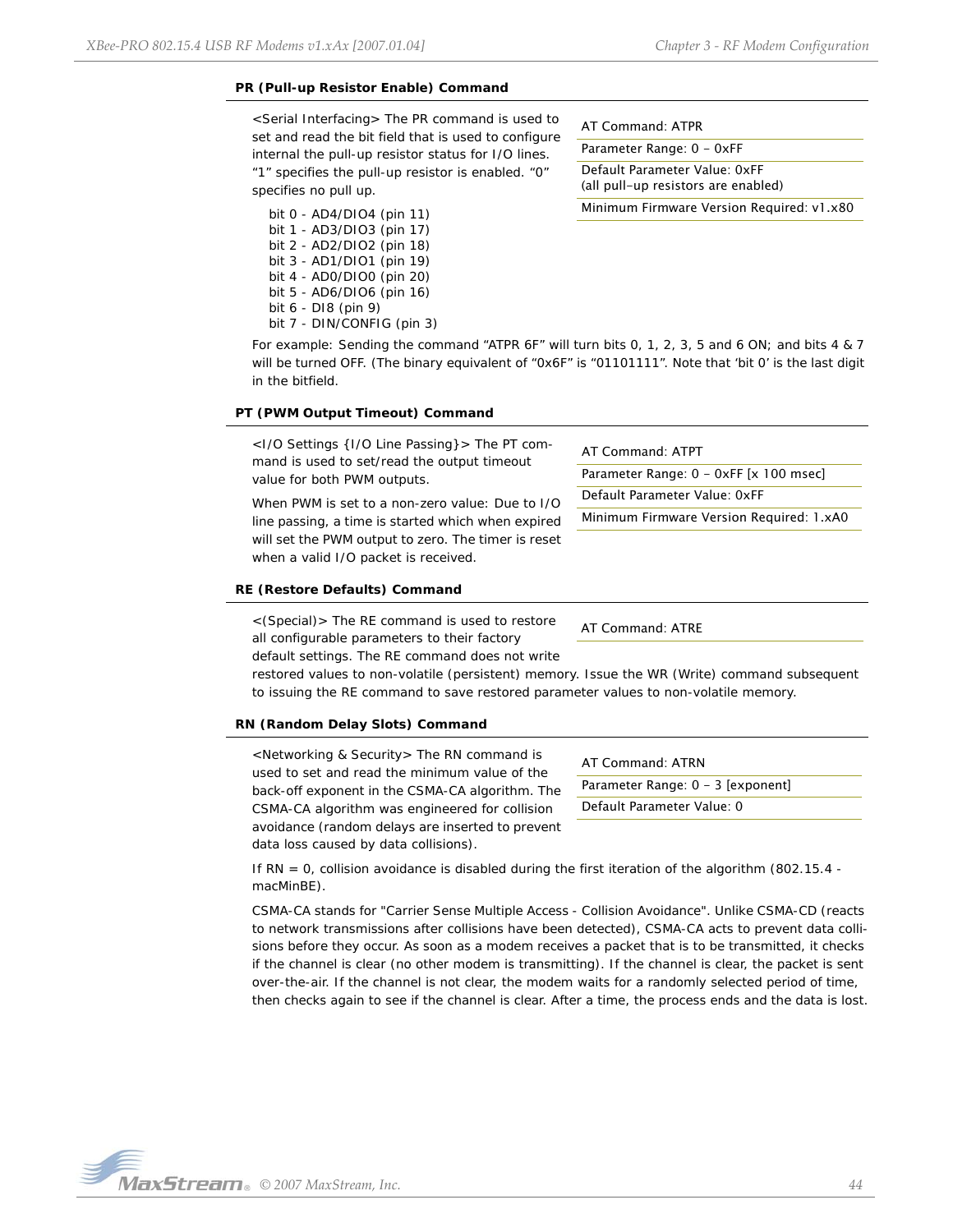## **PR (Pull-up Resistor Enable) Command**

<Serial Interfacing> The PR command is used to set and read the bit field that is used to configure internal the pull-up resistor status for I/O lines. "1" specifies the pull-up resistor is enabled. "0" specifies no pull up.

bit 0 - AD4/DIO4 (pin 11) bit 1 - AD3/DIO3 (pin 17) bit 2 - AD2/DIO2 (pin 18) bit 3 - AD1/DIO1 (pin 19) bit 4 - AD0/DIO0 (pin 20) bit 5 - AD6/DIO6 (pin 16) bit 6 - DI8 (pin 9) bit 7 - DIN/CONFIG (pin 3) AT Command: ATPR

Parameter Range: 0 - 0xFF

Default Parameter Value: 0xFF (all pull-up resistors are enabled) Minimum Firmware Version Required: v1.x80

For example: Sending the command "ATPR 6F" will turn bits 0, 1, 2, 3, 5 and 6 ON; and bits 4 & 7 will be turned OFF. (The binary equivalent of "0x6F" is "01101111". Note that 'bit 0' is the last digit in the bitfield.

#### **PT (PWM Output Timeout) Command**

<I/O Settings {I/O Line Passing}> The PT command is used to set/read the output timeout value for both PWM outputs.

When PWM is set to a non-zero value: Due to I/O line passing, a time is started which when expired will set the PWM output to zero. The timer is reset when a valid I/O packet is received.

#### **RE (Restore Defaults) Command**

<(Special)> The RE command is used to restore all configurable parameters to their factory default settings. The RE command does not write

AT Command: ATPT

AT Command: ATRE

restored values to non-volatile (persistent) memory. Issue the WR (Write) command subsequent to issuing the RE command to save restored parameter values to non-volatile memory.

#### **RN (Random Delay Slots) Command**

<Networking & Security> The RN command is used to set and read the minimum value of the back-off exponent in the CSMA-CA algorithm. The CSMA-CA algorithm was engineered for collision avoidance (random delays are inserted to prevent data loss caused by data collisions).

AT Command: ATRN Parameter Range: 0 - 3 [exponent] Default Parameter Value: 0

Parameter Range: 0 - 0xFF [x 100 msec]

Minimum Firmware Version Required: 1.xA0

Default Parameter Value: 0xFF

If RN = 0, collision avoidance is disabled during the first iteration of the algorithm (802.15.4 macMinBE).

CSMA-CA stands for "Carrier Sense Multiple Access - Collision Avoidance". Unlike CSMA-CD (reacts to network transmissions after collisions have been detected), CSMA-CA acts to prevent data collisions before they occur. As soon as a modem receives a packet that is to be transmitted, it checks if the channel is clear (no other modem is transmitting). If the channel is clear, the packet is sent over-the-air. If the channel is not clear, the modem waits for a randomly selected period of time, then checks again to see if the channel is clear. After a time, the process ends and the data is lost.

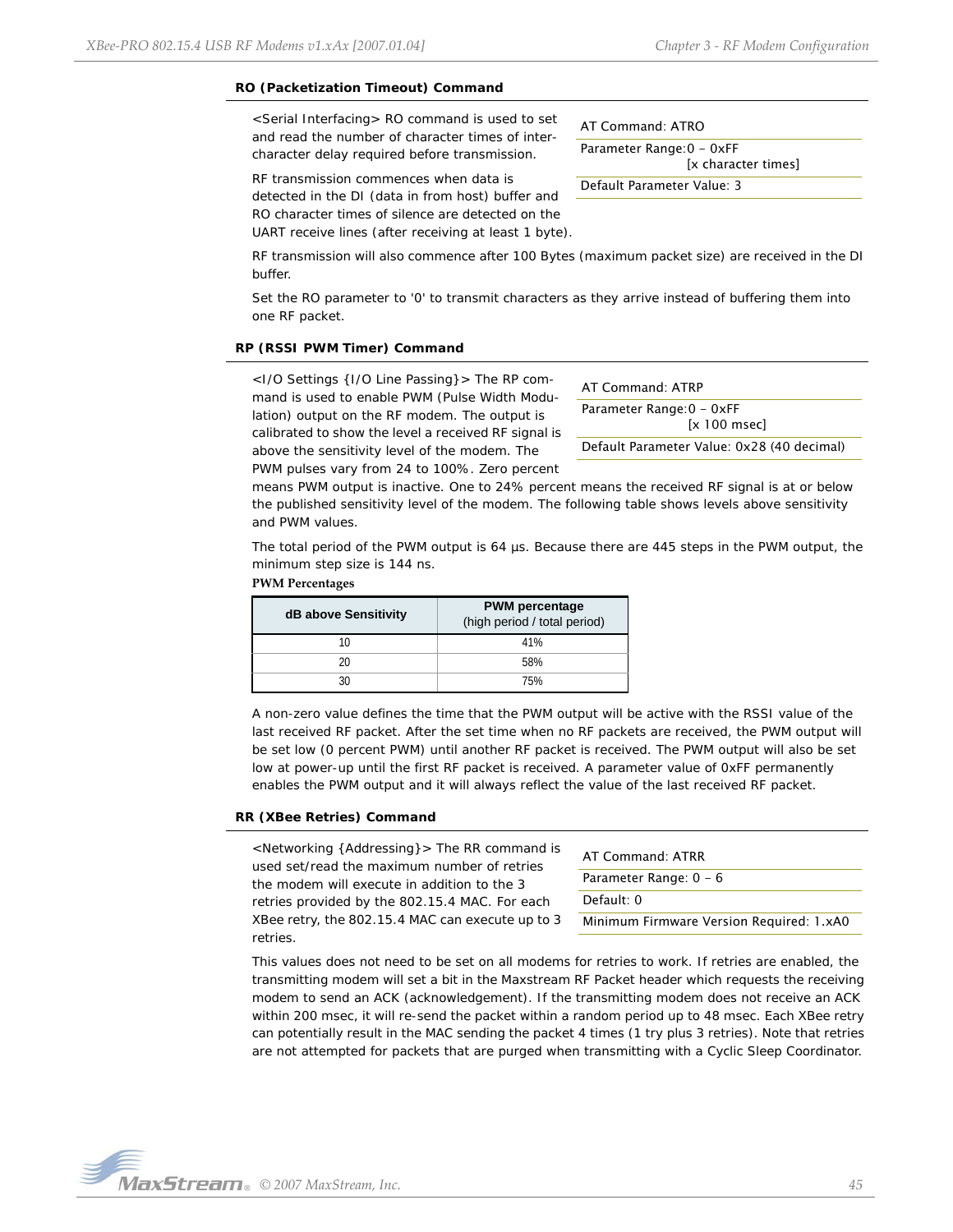[x character times]

### **RO (Packetization Timeout) Command**

<Serial Interfacing> RO command is used to set and read the number of character times of intercharacter delay required before transmission.

RF transmission commences when data is detected in the DI (data in from host) buffer and RO character times of silence are detected on the UART receive lines (after receiving at least 1 byte).

RF transmission will also commence after 100 Bytes (maximum packet size) are received in the DI buffer.

Set the RO parameter to '0' to transmit characters as they arrive instead of buffering them into one RF packet.

#### **RP (RSSI PWM Timer) Command**

<I/O Settings {I/O Line Passing}> The RP command is used to enable PWM (Pulse Width Modulation) output on the RF modem. The output is calibrated to show the level a received RF signal is above the sensitivity level of the modem. The PWM pulses vary from 24 to 100%. Zero percent

AT Command: ATRP

AT Command: ATRO Parameter Range:0 - 0xFF

Default Parameter Value: 3

Parameter Range: 0 - 0xFF [x 100 msec]

Default Parameter Value: 0x28 (40 decimal)

means PWM output is inactive. One to 24% percent means the received RF signal is at or below the published sensitivity level of the modem. The following table shows levels above sensitivity and PWM values.

The total period of the PWM output is 64 us. Because there are 445 steps in the PWM output, the minimum step size is 144 ns.

#### **PWM Percentages**

| dB above Sensitivity | <b>PWM</b> percentage<br>(high period / total period) |
|----------------------|-------------------------------------------------------|
| 10                   | 41%                                                   |
| 20                   | 58%                                                   |
|                      | 75%                                                   |

A non-zero value defines the time that the PWM output will be active with the RSSI value of the last received RF packet. After the set time when no RF packets are received, the PWM output will be set low (0 percent PWM) until another RF packet is received. The PWM output will also be set low at power-up until the first RF packet is received. A parameter value of 0xFF permanently enables the PWM output and it will always reflect the value of the last received RF packet.

#### **RR (XBee Retries) Command**

<Networking {Addressing}> The RR command is used set/read the maximum number of retries the modem will execute in addition to the 3 retries provided by the 802.15.4 MAC. For each XBee retry, the 802.15.4 MAC can execute up to 3 retries.

AT Command: ATRR Parameter Range: 0 - 6 Default: 0 Minimum Firmware Version Required: 1.xA0

This values does not need to be set on all modems for retries to work. If retries are enabled, the transmitting modem will set a bit in the Maxstream RF Packet header which requests the receiving modem to send an ACK (acknowledgement). If the transmitting modem does not receive an ACK within 200 msec, it will re-send the packet within a random period up to 48 msec. Each XBee retry can potentially result in the MAC sending the packet 4 times (1 try plus 3 retries). Note that retries are not attempted for packets that are purged when transmitting with a Cyclic Sleep Coordinator.

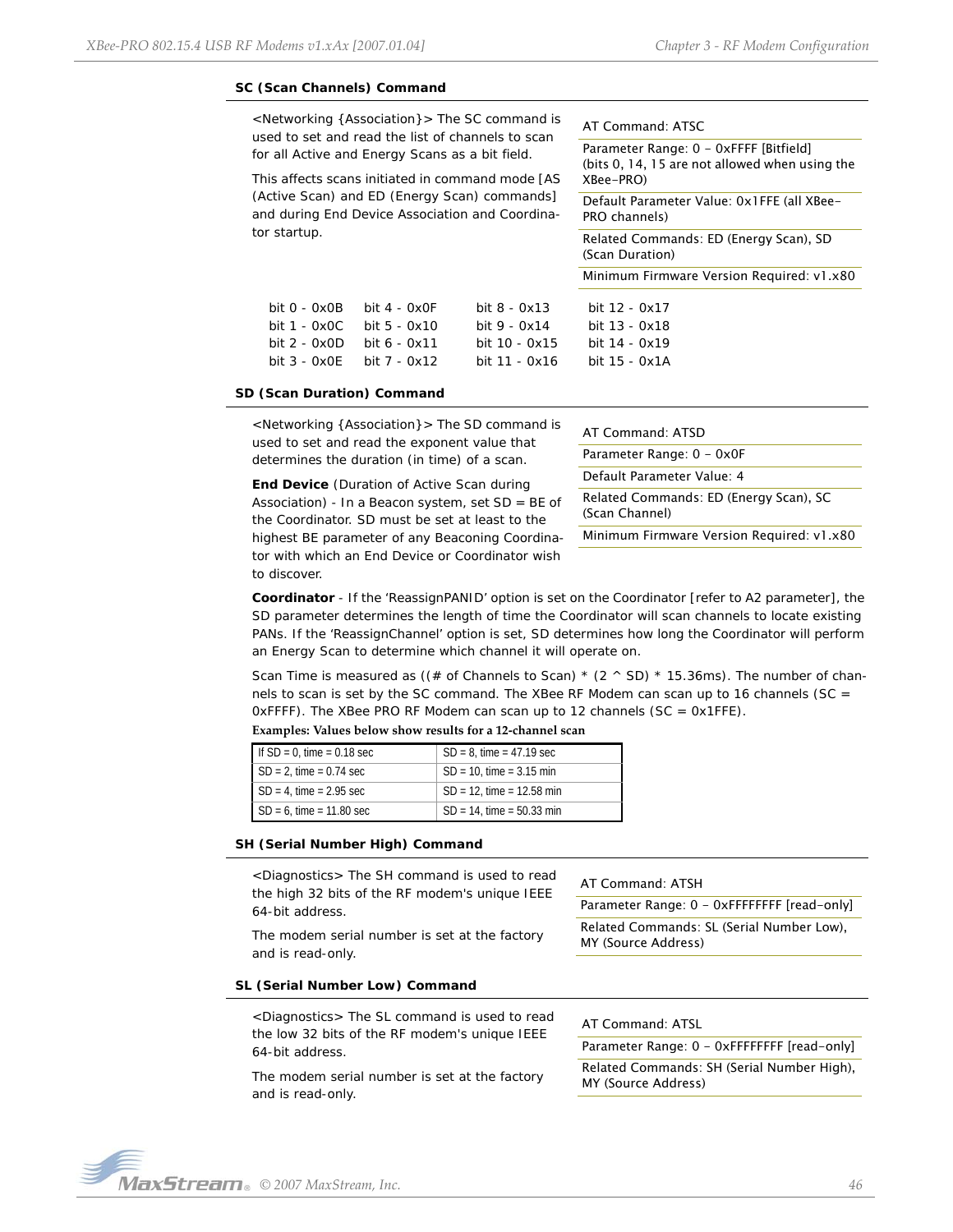#### **SC (Scan Channels) Command**

<Networking {Association}> The SC command is used to set and read the list of channels to scan for all Active and Energy Scans as a bit field.

This affects scans initiated in command mode [AS (Active Scan) and ED (Energy Scan) commands] and during End Device Association and Coordinator startup.

bit 3 - 0x0E bit 7 - 0x12 bit 11 - 0x16 bit 15 - 0x1A

#### AT Command: ATSC

|                                                                                                           | ou to bot and road tho ibt or channols to boah<br>all Active and Energy Scans as a bit field. | is affects scans initiated in command mode [AS | Parameter Range: 0 - 0xFFFF [Bitfield]<br>(bits 0, 14, 15 are not allowed when using the<br>XBee-PRO) |  |
|-----------------------------------------------------------------------------------------------------------|-----------------------------------------------------------------------------------------------|------------------------------------------------|-------------------------------------------------------------------------------------------------------|--|
| ctive Scan) and ED (Energy Scan) commands]<br>d during End Device Association and Coordina-<br>r startup. |                                                                                               |                                                | Default Parameter Value: 0x1FFE (all XBee-<br>PRO channels)                                           |  |
|                                                                                                           |                                                                                               |                                                | Related Commands: ED (Energy Scan), SD<br>(Scan Duration)                                             |  |
|                                                                                                           |                                                                                               |                                                | Minimum Firmware Version Required: v1.x80                                                             |  |
| bit $0 - 0x0B$                                                                                            | $bit 4 - 0x0F$                                                                                | bit $8 - 0x13$                                 | bit 12 - 0x17                                                                                         |  |
| bit $1 - 0x0C$                                                                                            | $bit 5 - 0x10$                                                                                | bit $9 - 0x14$                                 | $bit 13 - 0x18$                                                                                       |  |
| bit $2 - 0x0D$                                                                                            | $bit 6 - 0x11$                                                                                | $bit 10 - 0x15$                                | bit 14 - 0x19                                                                                         |  |
|                                                                                                           |                                                                                               |                                                |                                                                                                       |  |

#### **SD (Scan Duration) Command**

<Networking {Association}> The SD command is used to set and read the exponent value that determines the duration (in time) of a scan.

*End Device* (Duration of Active Scan during Association) - In a Beacon system, set SD = BE of the Coordinator. SD must be set at least to the highest BE parameter of any Beaconing Coordinator with which an End Device or Coordinator wish to discover.

| AT Command: ATSD                                         |
|----------------------------------------------------------|
| Parameter Range: 0 - 0x0F                                |
| Default Parameter Value: 4                               |
| Related Commands: ED (Energy Scan), SC<br>(Scan Channel) |
| Minimum Firmware Version Required: v1.x80                |
|                                                          |

*Coordinator* - If the 'ReassignPANID' option is set on the Coordinator [refer to A2 parameter], the SD parameter determines the length of time the Coordinator will scan channels to locate existing PANs. If the 'ReassignChannel' option is set, SD determines how long the Coordinator will perform an Energy Scan to determine which channel it will operate on.

Scan Time is measured as ((# of Channels to Scan)  $*(2 \wedge SD) * 15.36$ ms). The number of channels to scan is set by the SC command. The XBee RF Modem can scan up to 16 channels (SC = OxFFFF). The XBee PRO RF Modem can scan up to 12 channels (SC =  $0x1$ FFE).

| If $SD = 0$ , time = 0.18 sec | $SD = 8$ , time = 47.19 sec  |
|-------------------------------|------------------------------|
| $SD = 2$ , time = 0.74 sec    | $SD = 10$ , time = 3.15 min  |
| $SD = 4$ , time = 2.95 sec    | $SD = 12$ , time = 12.58 min |
| $SD = 6$ , time = 11.80 sec   | $SD = 14$ , time = 50.33 min |

#### **Examples: Values below show results for a 12‐channel scan**

#### **SH (Serial Number High) Command**

<Diagnostics> The SH command is used to read the high 32 bits of the RF modem's unique IEEE 64-bit address.

The modem serial number is set at the factory and is read-only.

#### AT Command: ATSH

Parameter Range: 0 - 0xFFFFFFFF [read-only] Related Commands: SL (Serial Number Low), MY (Source Address)

#### **SL (Serial Number Low) Command**

<Diagnostics> The SL command is used to read the low 32 bits of the RF modem's unique IEEE 64-bit address.

The modem serial number is set at the factory and is read-only.

# AT Command: ATSL

Parameter Range: 0 - 0xFFFFFFFF [read-only] Related Commands: SH (Serial Number High), MY (Source Address)

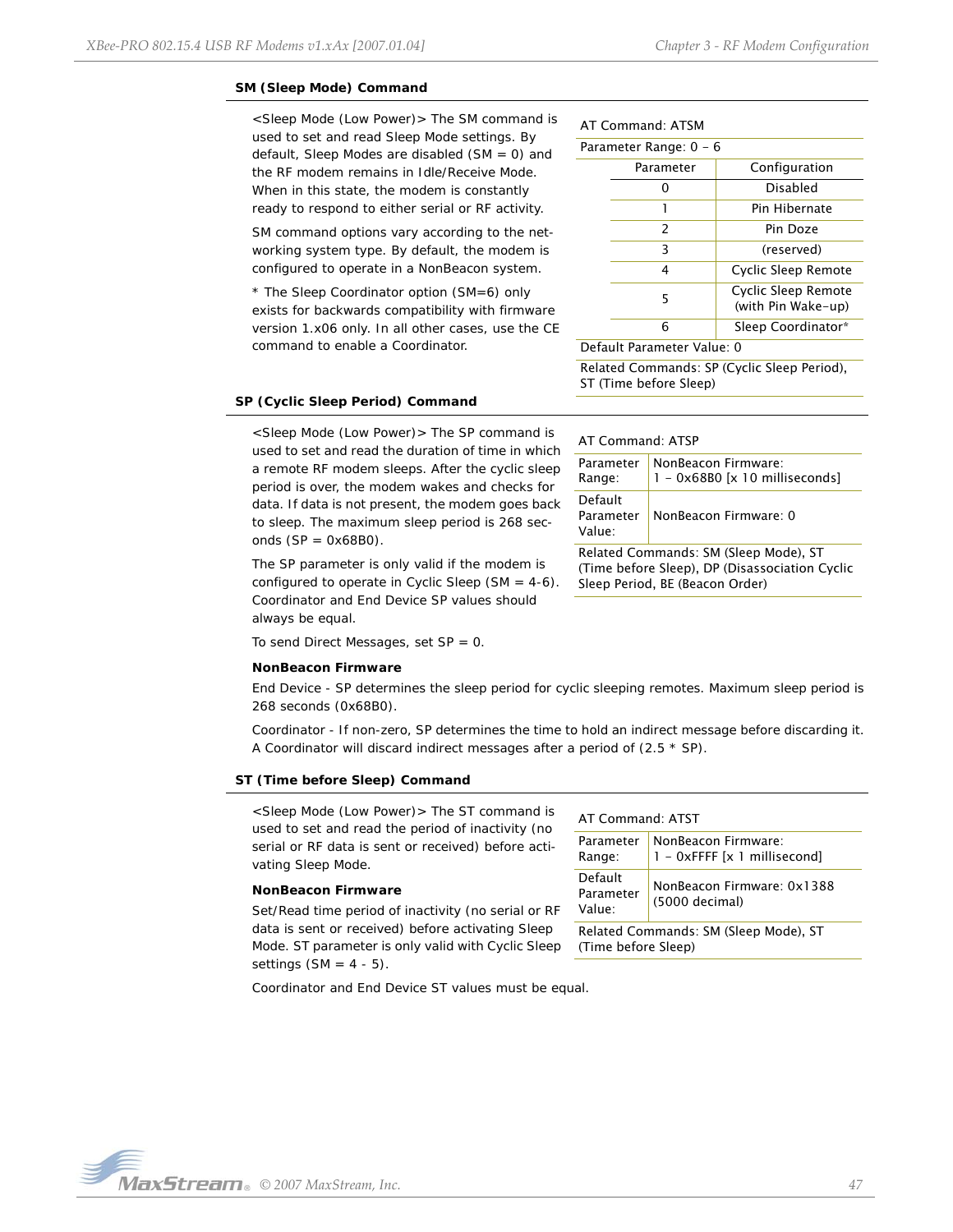#### **SM (Sleep Mode) Command**

<Sleep Mode (Low Power)> The SM command is used to set and read Sleep Mode settings. By default, Sleep Modes are disabled (SM = 0) and the RF modem remains in Idle/Receive Mode. When in this state, the modem is constantly ready to respond to either serial or RF activity.

SM command options vary according to the networking system type. By default, the modem is configured to operate in a NonBeacon system.

\* The Sleep Coordinator option (SM=6) only exists for backwards compatibility with firmware version 1.x06 only. In all other cases, use the CE command to enable a Coordinator.

### AT Command: ATSM

| Parameter Range: 0 - 6 |                          |                                           |  |  |
|------------------------|--------------------------|-------------------------------------------|--|--|
|                        | Parameter                | Configuration                             |  |  |
|                        | n                        | Disabled                                  |  |  |
|                        | 1                        | Pin Hibernate                             |  |  |
|                        | $\overline{\phantom{0}}$ | Pin Doze                                  |  |  |
|                        | 3                        | (reserved)                                |  |  |
|                        | 4                        | Cyclic Sleep Remote                       |  |  |
|                        | 5                        | Cyclic Sleep Remote<br>(with Pin Wake-up) |  |  |
|                        | 6                        | Sleep Coordinator*                        |  |  |

Default Parameter Value: 0

AT Command: ATSP

Parameter Range:

Default Parameter Value:

Related Commands: SP (Cyclic Sleep Period), ST (Time before Sleep)

NonBeacon Firmware:

NonBeacon Firmware: 0

Related Commands: SM (Sleep Mode), ST (Time before Sleep), DP (Disassociation Cyclic

Sleep Period, BE (Beacon Order)

1 - 0x68B0 [x 10 milliseconds]

#### **SP (Cyclic Sleep Period) Command**

<Sleep Mode (Low Power)> The SP command is used to set and read the duration of time in which a remote RF modem sleeps. After the cyclic sleep period is over, the modem wakes and checks for data. If data is not present, the modem goes back to sleep. The maximum sleep period is 268 seconds  $(SP = 0x68B0)$ .

The SP parameter is only valid if the modem is configured to operate in Cyclic Sleep (SM =  $4-6$ ). Coordinator and End Device SP values should always be equal.

To send Direct Messages, set  $SP = 0$ .

#### **NonBeacon Firmware**

*End Device* - SP determines the sleep period for cyclic sleeping remotes. Maximum sleep period is 268 seconds (0x68B0).

*Coordinator* - If non-zero, SP determines the time to hold an indirect message before discarding it. A Coordinator will discard indirect messages after a period of (2.5 \* SP).

#### **ST (Time before Sleep) Command**

<Sleep Mode (Low Power)> The ST command is used to set and read the period of inactivity (no serial or RF data is sent or received) before activating Sleep Mode.

#### **NonBeacon Firmware**

Set/Read time period of inactivity (no serial or RF data is sent or received) before activating Sleep Mode. ST parameter is only valid with Cyclic Sleep settings  $(SM = 4 - 5)$ .

Coordinator and End Device ST values must be equal.

# AT Command: ATST

| Parameter<br>Range:                                          | NonBeacon Firmware:<br>1 - 0xFFFF [x 1 millisecond] |  |  |
|--------------------------------------------------------------|-----------------------------------------------------|--|--|
| Default<br>Parameter<br>Value:                               | NonBeacon Firmware: 0x1388<br>(5000 decimal)        |  |  |
| Related Commands: SM (Sleep Mode), ST<br>(Time before Sleep) |                                                     |  |  |

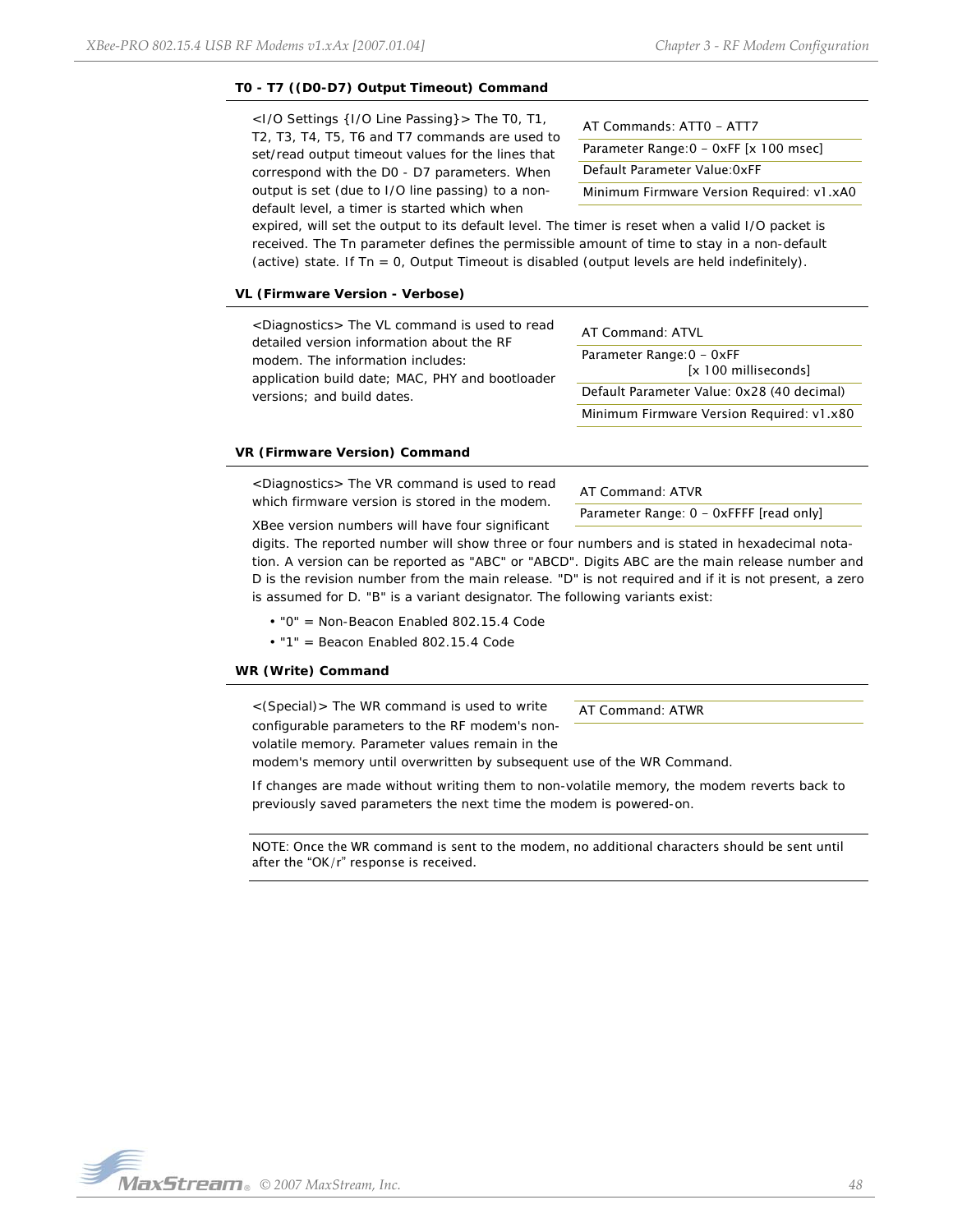## **T0 - T7 ((D0-D7) Output Timeout) Command**

<I/O Settings {I/O Line Passing}> The T0, T1, T2, T3, T4, T5, T6 and T7 commands are used to set/read output timeout values for the lines that correspond with the D0 - D7 parameters. When output is set (due to I/O line passing) to a nondefault level, a timer is started which when

AT Commands: ATT0 - ATT7 Parameter Range: 0 - 0xFF [x 100 msec] Default Parameter Value:0xFF Minimum Firmware Version Required: v1.xA0

expired, will set the output to its default level. The timer is reset when a valid I/O packet is received. The Tn parameter defines the permissible amount of time to stay in a non-default (active) state. If  $Tn = 0$ , Output Timeout is disabled (output levels are held indefinitely).

#### **VL (Firmware Version - Verbose)**

<Diagnostics> The VL command is used to read detailed version information about the RF modem. The information includes: application build date; MAC, PHY and bootloader versions; and build dates.

| AT Command: ATVL                                  |
|---------------------------------------------------|
| Parameter Range: 0 - 0xFF<br>[x 100 milliseconds] |
| Default Parameter Value: 0x28 (40 decimal)        |
| Minimum Firmware Version Required: v1.x80         |

#### **VR (Firmware Version) Command**

<Diagnostics> The VR command is used to read which firmware version is stored in the modem.

AT Command: ATVR

Parameter Range: 0 - 0xFFFF [read only]

XBee version numbers will have four significant

digits. The reported number will show three or four numbers and is stated in hexadecimal notation. A version can be reported as "ABC" or "ABCD". Digits ABC are the main release number and D is the revision number from the main release. "D" is not required and if it is not present, a zero is assumed for D. "B" is a variant designator. The following variants exist:

• "0" = Non-Beacon Enabled 802.15.4 Code

• "1" = Beacon Enabled 802.15.4 Code

#### **WR (Write) Command**

<(Special)> The WR command is used to write configurable parameters to the RF modem's nonvolatile memory. Parameter values remain in the

AT Command: ATWR

modem's memory until overwritten by subsequent use of the WR Command.

If changes are made without writing them to non-volatile memory, the modem reverts back to previously saved parameters the next time the modem is powered-on.

NOTE: Once the WR command is sent to the modem, no additional characters should be sent until after the "OK/r" response is received.

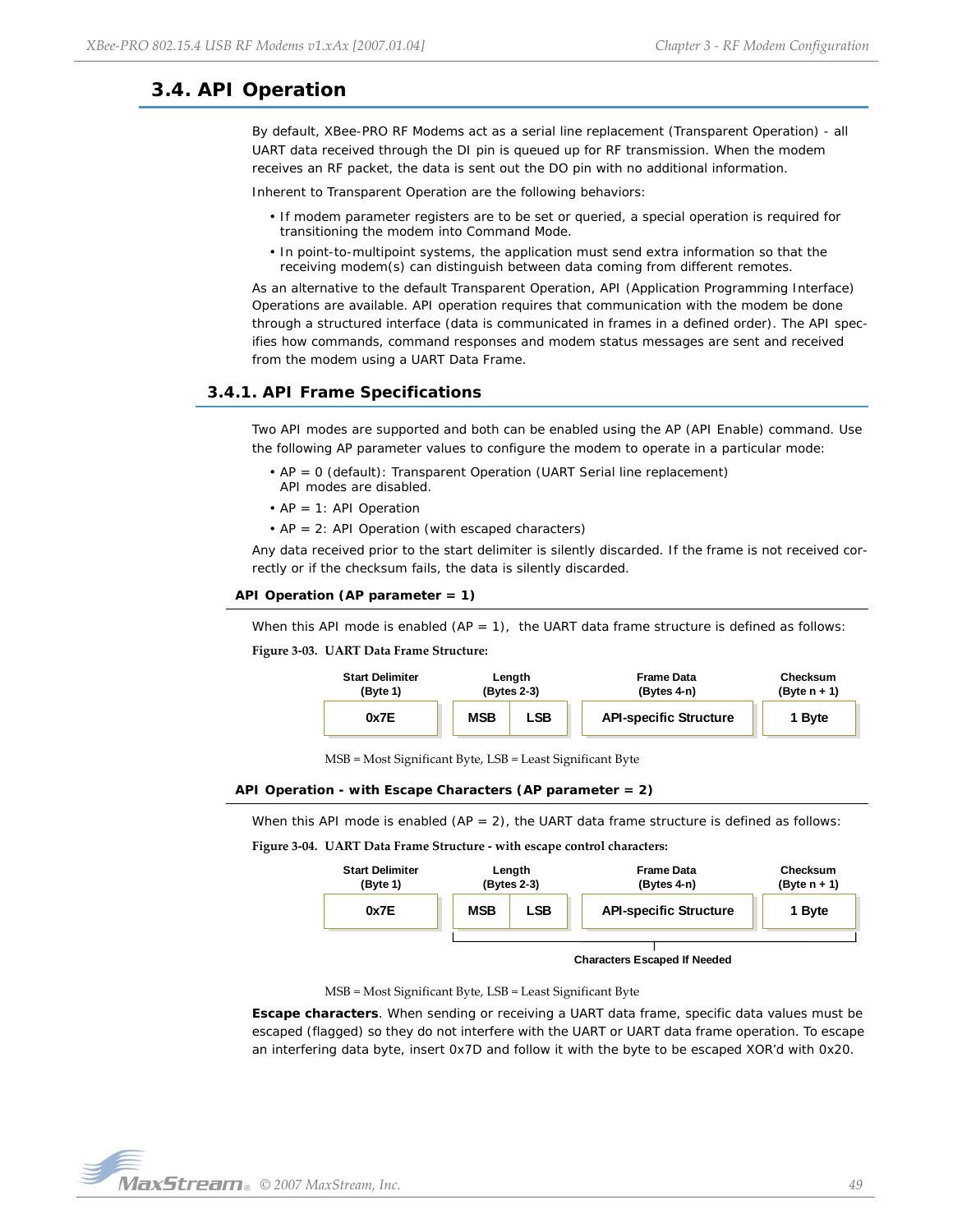# <span id="page-48-2"></span><span id="page-48-0"></span>**3.4. API Operation**

By default, XBee-PRO RF Modems act as a serial line replacement (Transparent Operation) - all UART data received through the DI pin is queued up for RF transmission. When the modem receives an RF packet, the data is sent out the DO pin with no additional information.

Inherent to Transparent Operation are the following behaviors:

- If modem parameter registers are to be set or queried, a special operation is required for transitioning the modem into Command Mode.
- In point-to-multipoint systems, the application must send extra information so that the receiving modem(s) can distinguish between data coming from different remotes.

As an alternative to the default Transparent Operation, API (Application Programming Interface) Operations are available. API operation requires that communication with the modem be done through a structured interface (data is communicated in frames in a defined order). The API specifies how commands, command responses and modem status messages are sent and received from the modem using a UART Data Frame.

## <span id="page-48-1"></span>**3.4.1. API Frame Specifications**

Two API modes are supported and both can be enabled using the AP (API Enable) command. Use the following AP parameter values to configure the modem to operate in a particular mode:

- AP = 0 (default): Transparent Operation (UART Serial line replacement) API modes are disabled.
- $AP = 1$ : API Operation
- AP = 2: API Operation (with escaped characters)

Any data received prior to the start delimiter is silently discarded. If the frame is not received correctly or if the checksum fails, the data is silently discarded.

```
API Operation (AP parameter = 1)
```
When this API mode is enabled  $(AP = 1)$ , the UART data frame structure is defined as follows:

#### **Figure 3‐03. UART Data Frame Structure:**



MSB = Most Significant Byte, LSB = Least Significant Byte

#### **API Operation - with Escape Characters (AP parameter = 2)**

When this API mode is enabled  $(AP = 2)$ , the UART data frame structure is defined as follows:

**Figure 3‐04. UART Data Frame Structure ‐ with escape control characters:**



**Characters Escaped If Needed**

MSB = Most Significant Byte, LSB = Least Significant Byte

**Escape characters**. When sending or receiving a UART data frame, specific data values must be escaped (flagged) so they do not interfere with the UART or UART data frame operation. To escape an interfering data byte, insert 0x7D and follow it with the byte to be escaped XOR'd with 0x20.

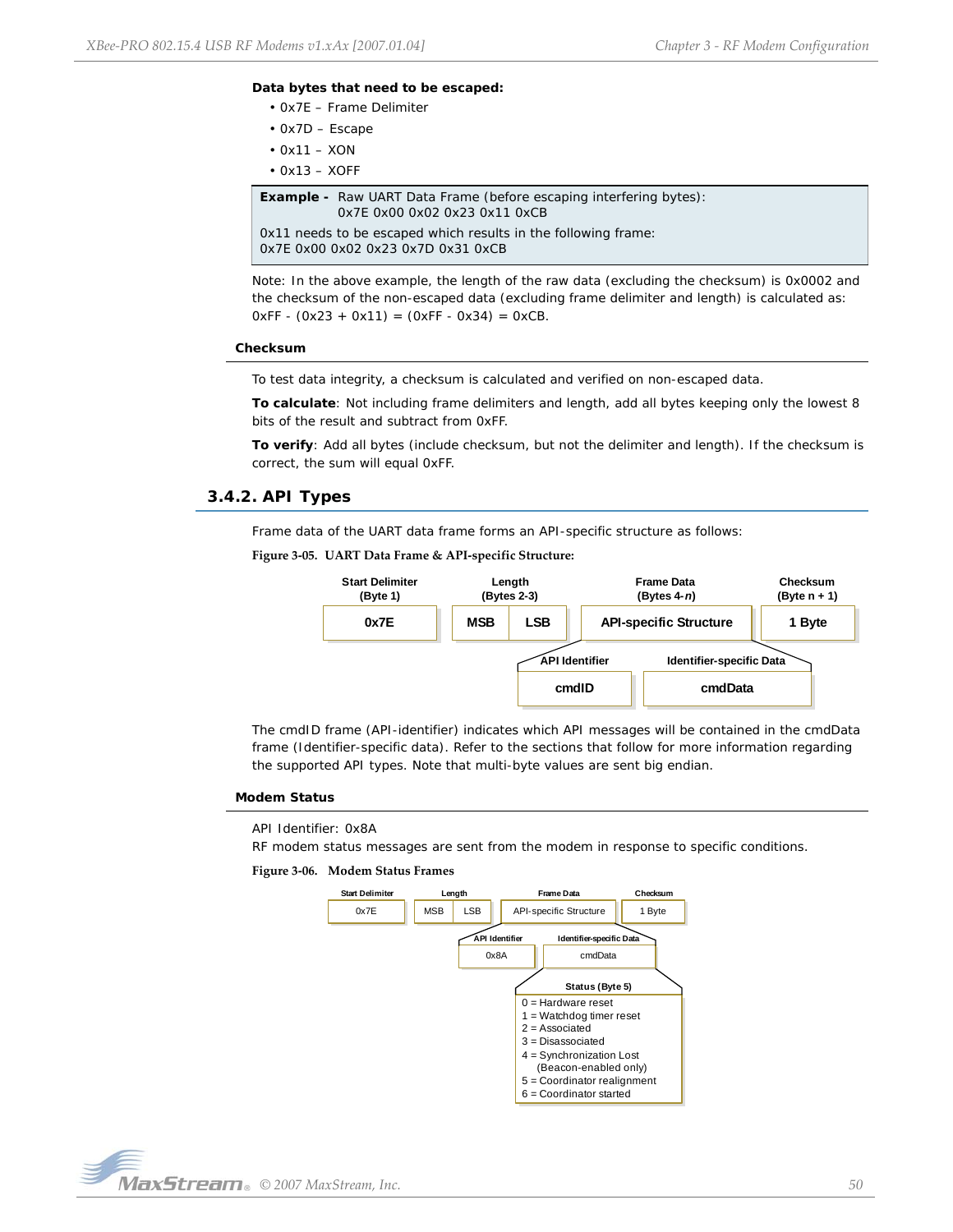#### **Data bytes that need to be escaped:**

- 0x7E Frame Delimiter
- 0x7D Escape
- $\cdot$  0x11 XON
- $\cdot$  0x13 XOFF

**Example -** Raw UART Data Frame (before escaping interfering bytes): 0x7E 0x00 0x02 0x23 0x11 0xCB 0x11 needs to be escaped which results in the following frame: 0x7E 0x00 0x02 0x23 0x7D 0x31 0xCB

Note: In the above example, the length of the raw data (excluding the checksum) is 0x0002 and the checksum of the non-escaped data (excluding frame delimiter and length) is calculated as:  $0xFF - (0x23 + 0x11) = (0xFF - 0x34) = 0xCB$ .

#### **Checksum**

To test data integrity, a checksum is calculated and verified on non-escaped data.

**To calculate**: Not including frame delimiters and length, add all bytes keeping only the lowest 8 bits of the result and subtract from 0xFF.

**To verify**: Add all bytes (include checksum, but not the delimiter and length). If the checksum is correct, the sum will equal 0xFF.

## <span id="page-49-0"></span>**3.4.2. API Types**

Frame data of the UART data frame forms an API-specific structure as follows:

```
Figure 3‐05. UART Data Frame & API‐specific Structure:
```


The cmdID frame (API-identifier) indicates which API messages will be contained in the cmdData frame (Identifier-specific data). Refer to the sections that follow for more information regarding the supported API types. Note that multi-byte values are sent big endian.

#### **Modem Status**

#### API Identifier: 0x8A

RF modem status messages are sent from the modem in response to specific conditions.

#### **Figure 3‐06. Modem Status Frames**



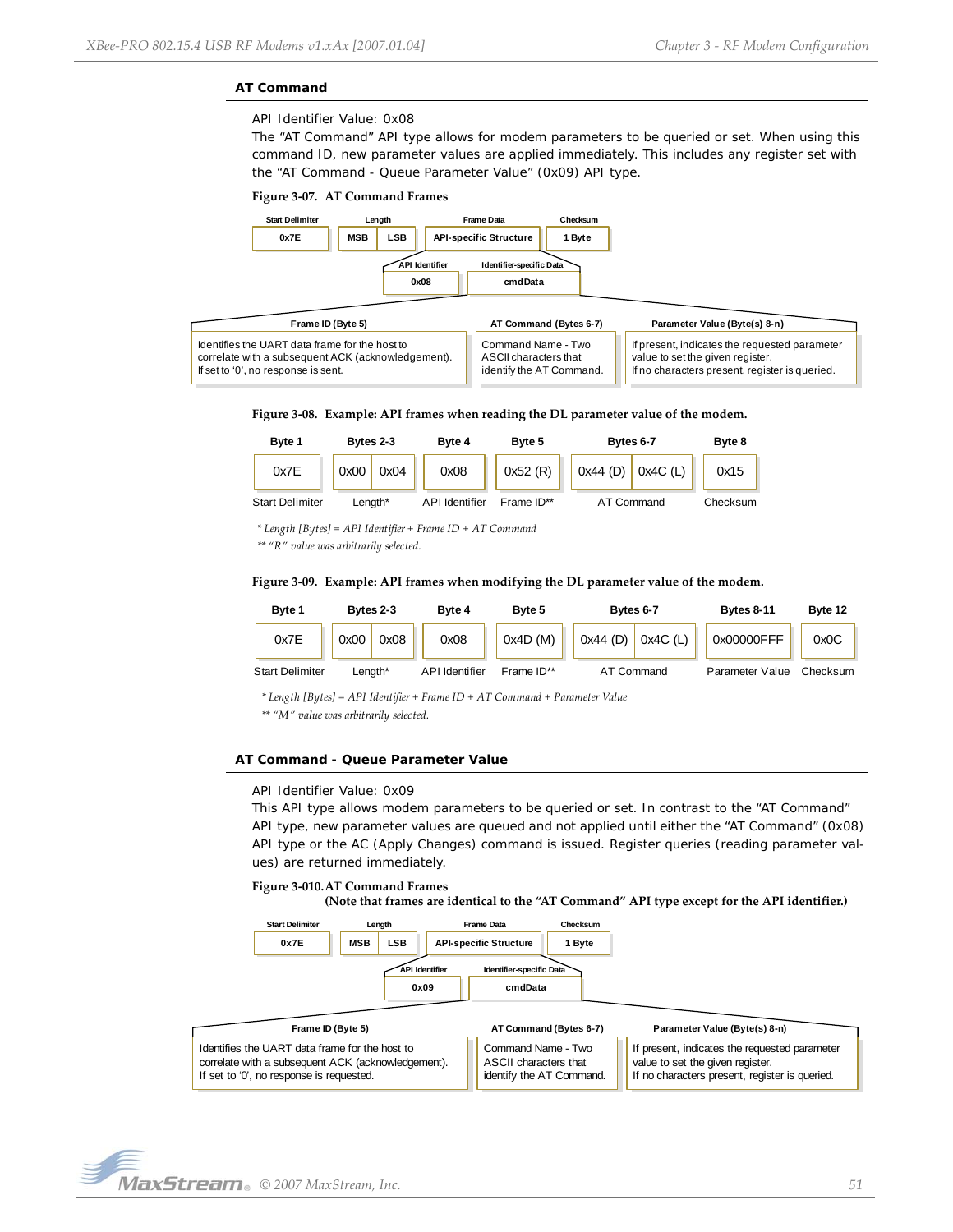### **AT Command**

API Identifier Value: 0x08

The "AT Command" API type allows for modem parameters to be queried or set. When using this command ID, new parameter values are applied immediately. This includes any register set with the "AT Command - Queue Parameter Value" (0x09) API type.







| Byte 1                 | Bytes 2-3  |      | Byte 4                | Byte 5     | Bytes 6-7             | Byte 8   |  |
|------------------------|------------|------|-----------------------|------------|-----------------------|----------|--|
| 0x7E                   | 0x00       | 0x04 | 0x08                  | 0x52(R)    | $0x44$ (D) $0x4C$ (L) | 0x15     |  |
| <b>Start Delimiter</b> | $L$ ength* |      | <b>API</b> Identifier | Frame ID** | AT Command            | Checksum |  |

*\* Length [Bytes] = API Identifier + Frame ID + AT Command*

*\*\* "R" value was arbitrarily selected.*

**Figure 3‐09. Example: API frames when modifying the DL parameter value of the modem.**



*\* Length [Bytes] = API Identifier + Frame ID + AT Command + Parameter Value*

*\*\* "M" value was arbitrarily selected.*

### **AT Command - Queue Parameter Value**

#### API Identifier Value: 0x09

This API type allows modem parameters to be queried or set. In contrast to the "AT Command" API type, new parameter values are queued and not applied until either the "AT Command" (0x08) API type or the AC (Apply Changes) command is issued. Register queries (reading parameter values) are returned immediately.

#### **Figure 3‐010.AT Command Frames**

**(Note that frames are identical to the "AT Command" API type except for the API identifier.)**



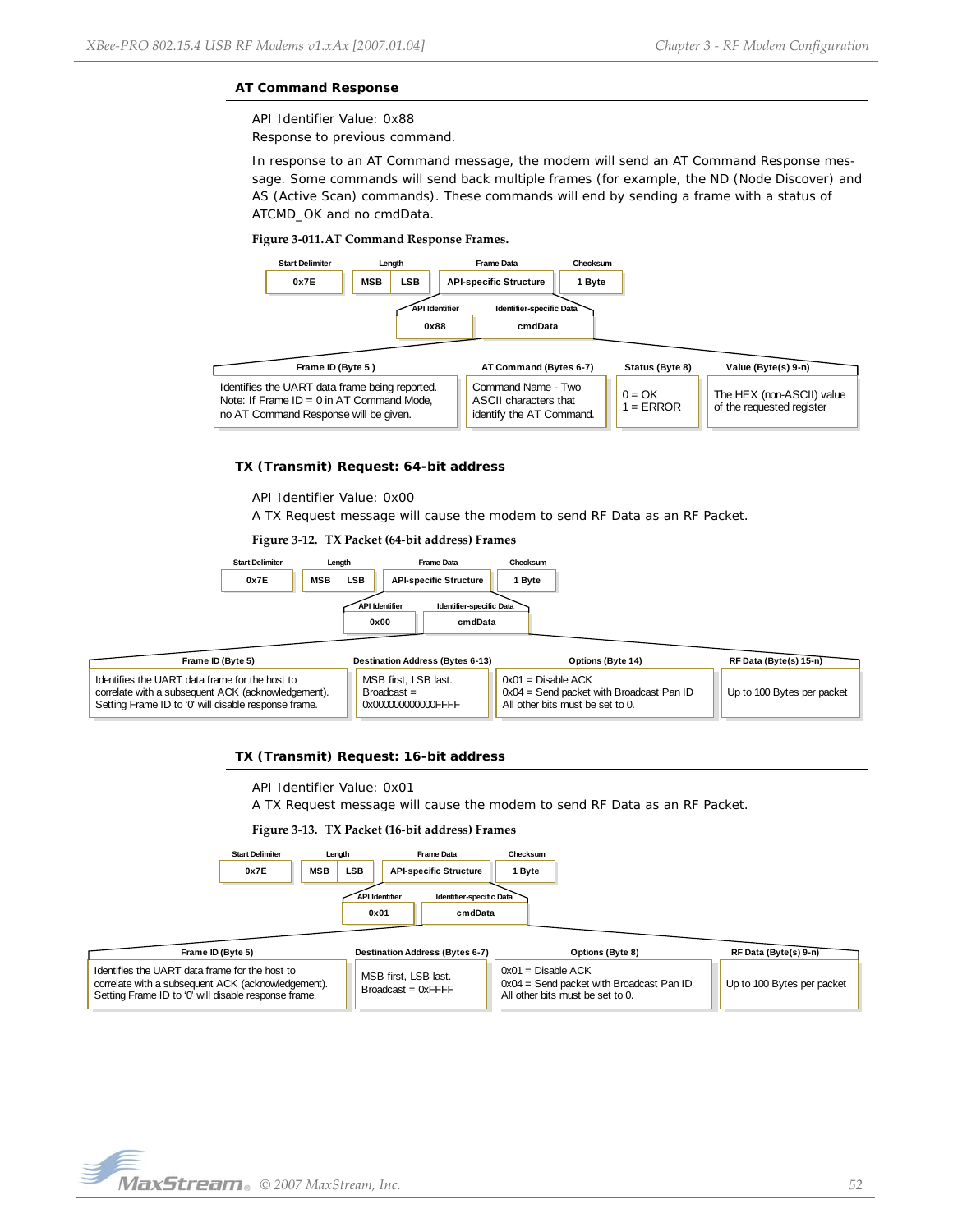## **AT Command Response**

API Identifier Value: 0x88

Response to previous command.

In response to an AT Command message, the modem will send an AT Command Response message. Some commands will send back multiple frames (for example, the ND (Node Discover) and AS (Active Scan) commands). These commands will end by sending a frame with a status of ATCMD\_OK and no cmdData.

### **Figure 3‐011.AT Command Response Frames.**



### **TX (Transmit) Request: 64-bit address**

API Identifier Value: 0x00

A TX Request message will cause the modem to send RF Data as an RF Packet.

#### **Figure 3‐12. TX Packet (64‐bit address) Frames**



| Frame ID (Byte 5)                                                                                                                                            | <b>Destination Address (Bytes 6-13)</b>                  | Options (Byte 14)                                                                                    | RF Data (Byte(s) 15-n)     |
|--------------------------------------------------------------------------------------------------------------------------------------------------------------|----------------------------------------------------------|------------------------------------------------------------------------------------------------------|----------------------------|
| Identifies the UART data frame for the host to<br>correlate with a subsequent ACK (acknowledgement).<br>Setting Frame ID to '0' will disable response frame. | MSB first. LSB last.<br>Broadcast =<br>0x00000000000FFFF | $0x01 = Disable ACK$<br>0x04 = Send packet with Broadcast Pan ID<br>All other bits must be set to 0. | Up to 100 Bytes per packet |

#### **TX (Transmit) Request: 16-bit address**

API Identifier Value: 0x01

A TX Request message will cause the modem to send RF Data as an RF Packet.

#### **Figure 3‐13. TX Packet (16‐bit address) Frames**



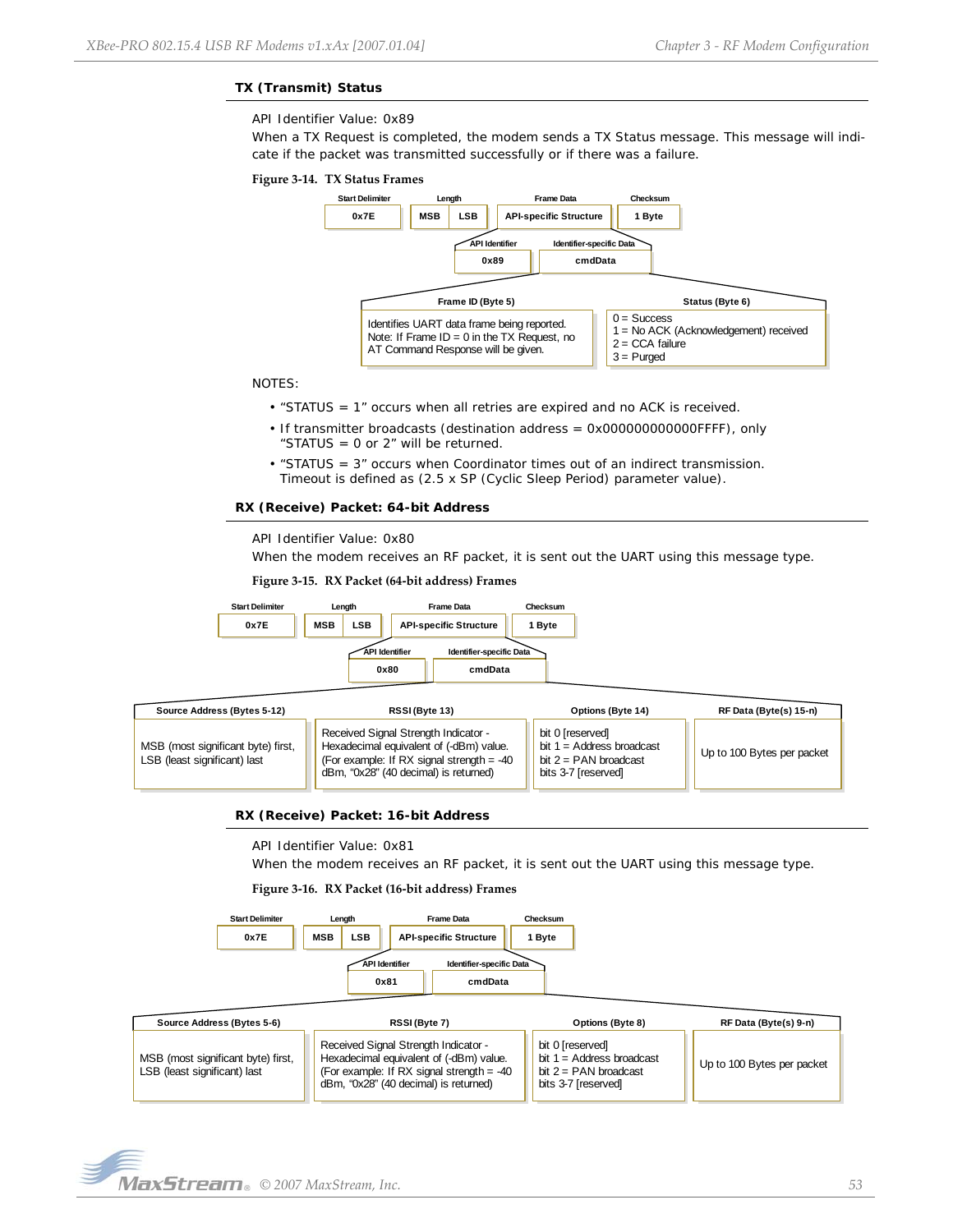Up to 100 Bytes per packet

# **TX (Transmit) Status**

#### API Identifier Value: 0x89

When a TX Request is completed, the modem sends a TX Status message. This message will indicate if the packet was transmitted successfully or if there was a failure.

#### **Figure 3‐14. TX Status Frames**



#### NOTES:

- "STATUS = 1" occurs when all retries are expired and no ACK is received.
- If transmitter broadcasts (destination address = 0x000000000000FFFF), only "STATUS = 0 or 2" will be returned.
- "STATUS = 3" occurs when Coordinator times out of an indirect transmission. Timeout is defined as (2.5 x SP (Cyclic Sleep Period) parameter value).

#### **RX (Receive) Packet: 64-bit Address**

## API Identifier Value: 0x80

When the modem receives an RF packet, it is sent out the UART using this message type.

#### **Figure 3‐15. RX Packet (64‐bit address) Frames**



# **RX (Receive) Packet: 16-bit Address**

API Identifier Value: 0x81

When the modem receives an RF packet, it is sent out the UART using this message type.

bit  $2 = PAN$  broadcast bits 3-7 [reserved]

#### **Figure 3‐16. RX Packet (16‐bit address) Frames**

(For example: If RX signal strength = -40 dBm, "0x28" (40 decimal) is returned)





LSB (least significant) last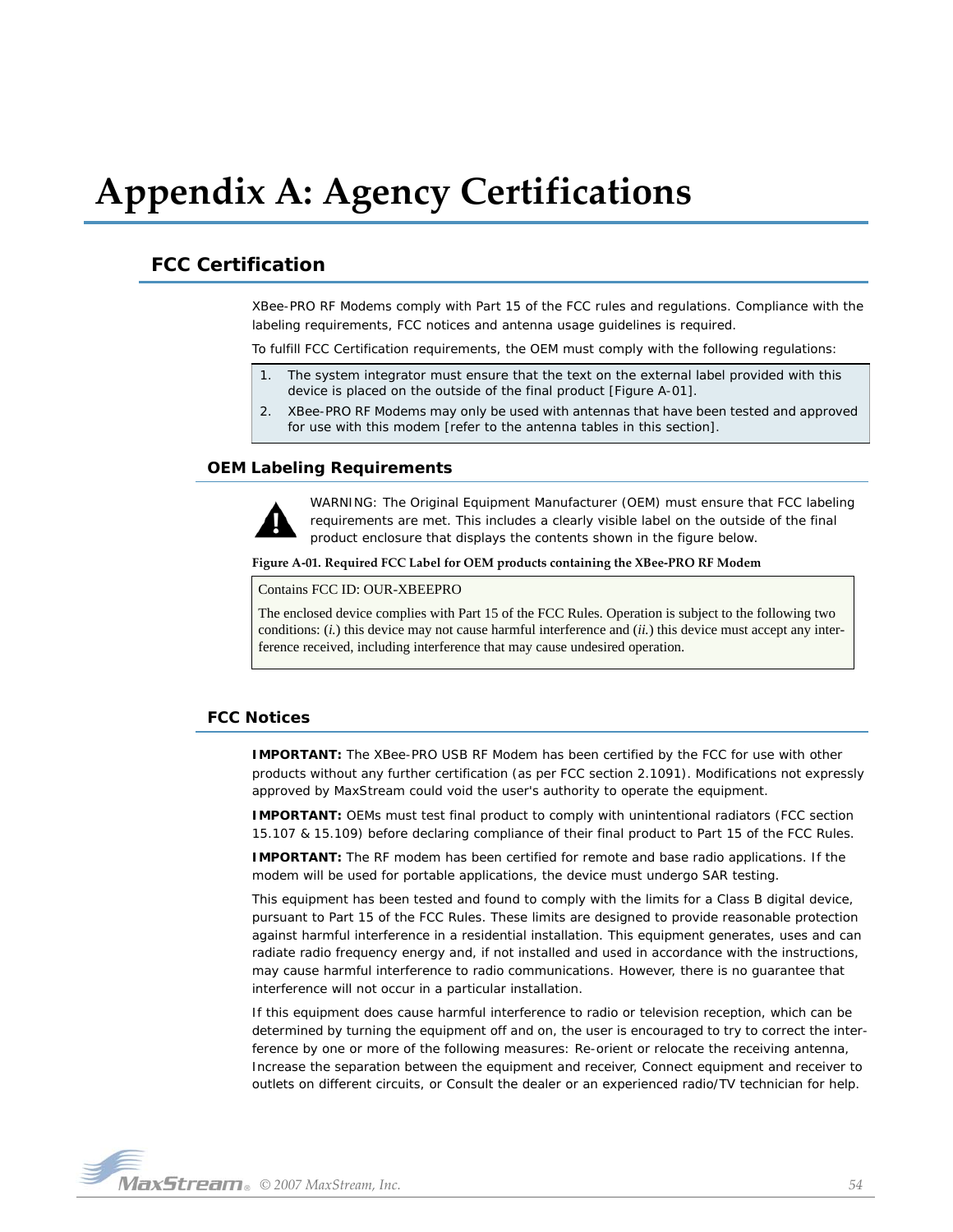# <span id="page-53-0"></span>**Appendix A: Agency Certifications**

# <span id="page-53-4"></span><span id="page-53-1"></span>**FCC Certification**

XBee-PRO RF Modems comply with Part 15 of the FCC rules and regulations. Compliance with the labeling requirements, FCC notices and antenna usage guidelines is required.

To fulfill FCC Certification requirements, the OEM must comply with the following regulations:

- 1. The system integrator must ensure that the text on the external label provided with this device is placed on the outside of the final product [Figure A-01].
- 2. XBee-PRO RF Modems may only be used with antennas that have been tested and approved for use with this modem [refer to the antenna tables in this section].

## <span id="page-53-2"></span>**OEM Labeling Requirements**



WARNING: The Original Equipment Manufacturer (OEM) must ensure that FCC labeling requirements are met. This includes a clearly visible label on the outside of the final product enclosure that displays the contents shown in the figure below.

**Figure A‐01. Required FCC Label for OEM products containing the XBee‐PRO RF Modem**

Contains FCC ID: OUR-XBEEPRO

The enclosed device complies with Part 15 of the FCC Rules. Operation is subject to the following two conditions: (*i.*) this device may not cause harmful interference and (*ii.*) this device must accept any interference received, including interference that may cause undesired operation.

# <span id="page-53-3"></span>**FCC Notices**

**IMPORTANT:** The XBee-PRO USB RF Modem has been certified by the FCC for use with other products without any further certification (as per FCC section 2.1091). Modifications not expressly approved by MaxStream could void the user's authority to operate the equipment.

**IMPORTANT:** OEMs must test final product to comply with unintentional radiators (FCC section 15.107 & 15.109) before declaring compliance of their final product to Part 15 of the FCC Rules.

**IMPORTANT:** The RF modem has been certified for remote and base radio applications. If the modem will be used for portable applications, the device must undergo SAR testing.

This equipment has been tested and found to comply with the limits for a Class B digital device, pursuant to Part 15 of the FCC Rules. These limits are designed to provide reasonable protection against harmful interference in a residential installation. This equipment generates, uses and can radiate radio frequency energy and, if not installed and used in accordance with the instructions, may cause harmful interference to radio communications. However, there is no guarantee that interference will not occur in a particular installation.

If this equipment does cause harmful interference to radio or television reception, which can be determined by turning the equipment off and on, the user is encouraged to try to correct the interference by one or more of the following measures: Re-orient or relocate the receiving antenna, Increase the separation between the equipment and receiver, Connect equipment and receiver to outlets on different circuits, or Consult the dealer or an experienced radio/TV technician for help.

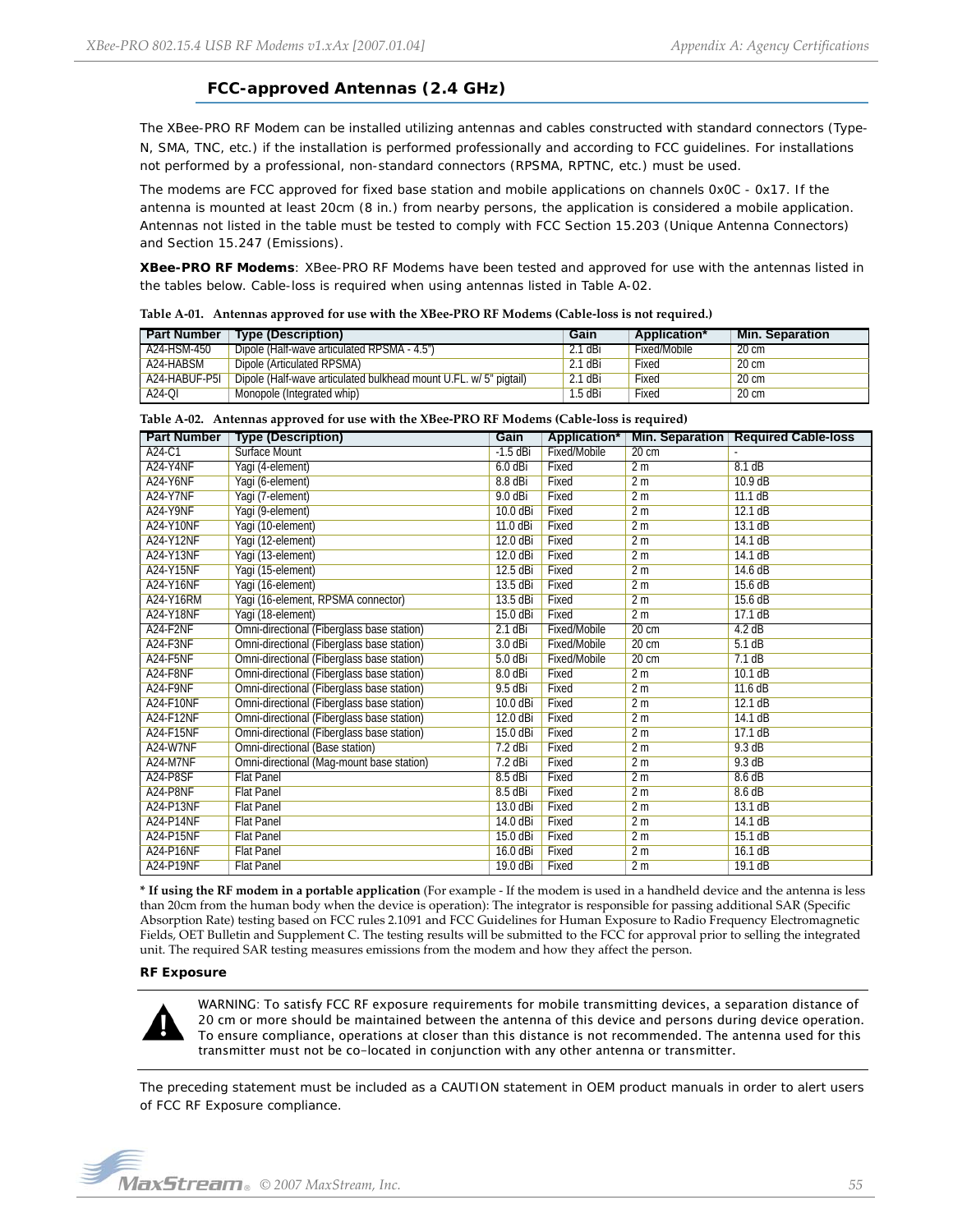# **FCC-approved Antennas (2.4 GHz)**

<span id="page-54-0"></span>The XBee-PRO RF Modem can be installed utilizing antennas and cables constructed with standard connectors (Type-N, SMA, TNC, etc.) if the installation is performed professionally and according to FCC guidelines. For installations not performed by a professional, non-standard connectors (RPSMA, RPTNC, etc.) must be used.

The modems are FCC approved for fixed base station and mobile applications on channels 0x0C - 0x17. If the antenna is mounted at least 20cm (8 in.) from nearby persons, the application is considered a mobile application. Antennas not listed in the table must be tested to comply with FCC Section 15.203 (Unique Antenna Connectors) and Section 15.247 (Emissions).

**XBee-PRO RF Modems**: XBee-PRO RF Modems have been tested and approved for use with the antennas listed in the tables below. Cable-loss is required when using antennas listed in Table A-02.

| <b>Part Number</b> | <b>Type (Description)</b>                                         | Gain                  | Application* | Min. Separation |
|--------------------|-------------------------------------------------------------------|-----------------------|--------------|-----------------|
| A24-HSM-450        | Dipole (Half-wave articulated RPSMA - 4.5")                       | $2.1 \overline{d}$ Bi | Fixed/Mobile | $20 \text{ cm}$ |
| A24-HABSM          | Dipole (Articulated RPSMA)                                        | 2.1 dBi               | Fixed        | 20 cm           |
| A24-HABUF-P5I      | Dipole (Half-wave articulated bulkhead mount U.FL. w/ 5" pigtail) | 2.1 dBi               | Fixed        | 20 cm           |
| A24-QI             | Monopole (Integrated whip)                                        | 1.5 dBi               | Fixed        | 20 cm           |

| Table A-01. Antennas approved for use with the XBee-PRO RF Modems (Cable-loss is not required.) |
|-------------------------------------------------------------------------------------------------|
|-------------------------------------------------------------------------------------------------|

| <b>Part Number</b>                | <b>Type (Description)</b>                  | Gain       | Application* | <b>Min. Separation</b> | <b>Required Cable-loss</b> |
|-----------------------------------|--------------------------------------------|------------|--------------|------------------------|----------------------------|
| A24-C1                            | Surface Mount                              | $-1.5$ dBi | Fixed/Mobile | $20 \text{ cm}$        |                            |
| A24-Y4NF                          | Yagi (4-element)                           | $6.0$ dBi  | Fixed        | 2m                     | 8.1dB                      |
| <b>A24-Y6NF</b>                   | Yagi (6-element)                           | $8.8$ dBi  | Fixed        | 2 <sub>m</sub>         | $10.9$ dB                  |
| <b>A24-Y7NF</b>                   | Yagi (7-element)                           | $9.0$ dBi  | Fixed        | 2m                     | 11.1dB                     |
| A24-Y9NF                          | Yagi (9-element)                           | 10.0 dBi   | Fixed        | 2 <sub>m</sub>         | 12.1dB                     |
| <b>A24-Y10NF</b>                  | Yagi (10-element)                          | 11.0 dBi   | Fixed        | 2 <sub>m</sub>         | 13.1dB                     |
| <b>A24-Y12NF</b>                  | Yagi (12-element)                          | 12.0 dBi   | Fixed        | 2m                     | 14.1dB                     |
| <b>A24-Y13NF</b>                  | Yagi (13-element)                          | 12.0 dBi   | Fixed        | 2m                     | 14.1dB                     |
| <b>A24-Y15NF</b>                  | Yagi (15-element)                          | $12.5$ dBi | Fixed        | 2m                     | 14.6 dB                    |
| <b>A24-Y16NF</b>                  | Yagi (16-element)                          | 13.5 dBi   | Fixed        | 2 <sub>m</sub>         | 15.6 dB                    |
| A24-Y16RM                         | Yagi (16-element, RPSMA connector)         | 13.5 dBi   | Fixed        | 2 <sub>m</sub>         | 15.6 dB                    |
| <b>A24-Y18NF</b>                  | Yagi (18-element)                          | 15.0 dBi   | Fixed        | 2m                     | 17.1dB                     |
| A <sub>24</sub> -F <sub>2NF</sub> | Omni-directional (Fiberglass base station) | $2.1$ dBi  | Fixed/Mobile | $20 \text{ cm}$        | 4.2 dB                     |
| A24-F3NF                          | Omni-directional (Fiberglass base station) | $3.0$ dBi  | Fixed/Mobile | $20 \text{ cm}$        | 5.1dB                      |
| A24-F5NF                          | Omni-directional (Fiberglass base station) | $5.0$ dBi  | Fixed/Mobile | $20 \text{ cm}$        | 7.1dB                      |
| A24-F8NF                          | Omni-directional (Fiberglass base station) | 8.0 dBi    | Fixed        | 2 <sub>m</sub>         | 10.1dB                     |
| A24-F9NF                          | Omni-directional (Fiberglass base station) | 9.5 dBi    | Fixed        | 2 <sub>m</sub>         | 11.6 dB                    |
| <b>A24-F10NF</b>                  | Omni-directional (Fiberglass base station) | 10.0 dBi   | Fixed        | 2 <sub>m</sub>         | 12.1dB                     |
| <b>A24-F12NF</b>                  | Omni-directional (Fiberglass base station) | 12.0 dBi   | Fixed        | 2m                     | 14.1dB                     |
| <b>A24-F15NF</b>                  | Omni-directional (Fiberglass base station) | 15.0 dBi   | Fixed        | 2 <sub>m</sub>         | 17.1dB                     |
| A24-W7NF                          | Omni-directional (Base station)            | $7.2$ dBi  | Fixed        | 2 <sub>m</sub>         | 9.3dB                      |
| A24-M7NF                          | Omni-directional (Mag-mount base station)  | $7.2$ dBi  | Fixed        | 2 <sub>m</sub>         | 9.3 dB                     |
| A24-P8SF                          | <b>Flat Panel</b>                          | $8.5$ dBi  | Fixed        | 2 <sub>m</sub>         | 8.6dB                      |
| A24-P8NF                          | <b>Flat Panel</b>                          | $8.5$ dBi  | Fixed        | 2 <sub>m</sub>         | 8.6dB                      |
| <b>A24-P13NF</b>                  | <b>Flat Panel</b>                          | 13.0 dBi   | Fixed        | 2 <sub>m</sub>         | 13.1 dB                    |
| <b>A24-P14NF</b>                  | <b>Flat Panel</b>                          | 14.0 dBi   | Fixed        | 2 <sub>m</sub>         | 14.1dB                     |
| <b>A24-P15NF</b>                  | <b>Flat Panel</b>                          | 15.0 dBi   | Fixed        | 2m                     | 15.1dB                     |
| <b>A24-P16NF</b>                  | <b>Flat Panel</b>                          | 16.0 dBi   | Fixed        | 2 <sub>m</sub>         | 16.1dB                     |
| A24-P19NF                         | <b>Flat Panel</b>                          | 19.0 dBi   | Fixed        | 2m                     | 19.1dB                     |

**Table A‐02. Antennas approved for use with the XBee‐PRO RF Modems (Cable‐loss is required)**

**\* If using the RF modem in a portable application** (For example ‐ If the modem is used in a handheld device and the antenna is less than 20cm from the human body when the device is operation): The integrator is responsible for passing additional SAR (Specific Absorption Rate) testing based on FCC rules 2.1091 and FCC Guidelines for Human Exposure to Radio Frequency Electromagnetic Fields, OET Bulletin and Supplement C. The testing results will be submitted to the FCC for approval prior to selling the integrated unit. The required SAR testing measures emissions from the modem and how they affect the person.

#### **RF Exposure**



WARNING: To satisfy FCC RF exposure requirements for mobile transmitting devices, a separation distance of 20 cm or more should be maintained between the antenna of this device and persons during device operation. To ensure compliance, operations at closer than this distance is not recommended. The antenna used for this transmitter must not be co-located in conjunction with any other antenna or transmitter.

The preceding statement must be included as a CAUTION statement in OEM product manuals in order to alert users of FCC RF Exposure compliance.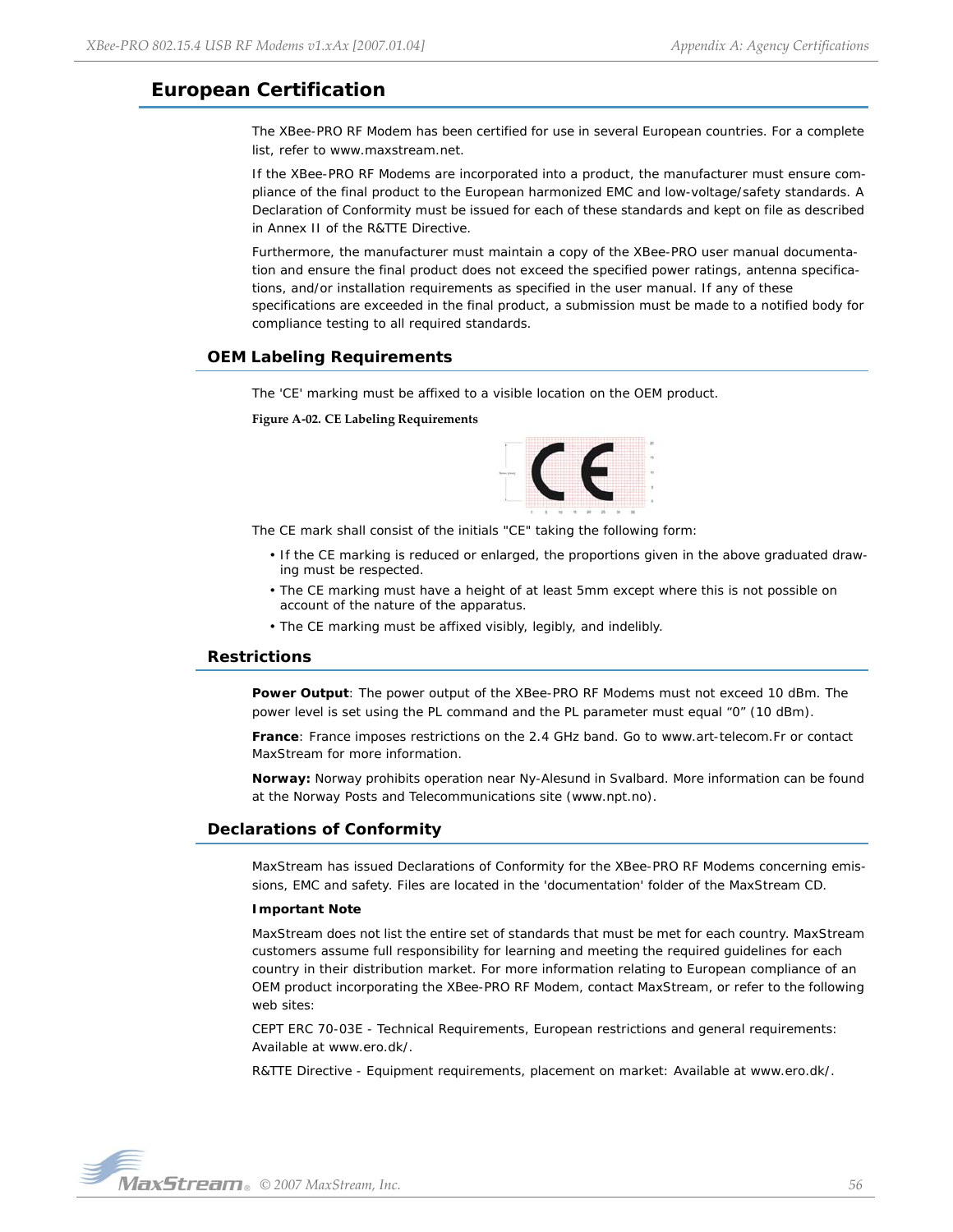# <span id="page-55-0"></span>**European Certification**

The XBee-PRO RF Modem has been certified for use in several European countries. For a complete list, refer to www.maxstream.net.

If the XBee-PRO RF Modems are incorporated into a product, the manufacturer must ensure compliance of the final product to the European harmonized EMC and low-voltage/safety standards. A Declaration of Conformity must be issued for each of these standards and kept on file as described in Annex II of the R&TTE Directive.

Furthermore, the manufacturer must maintain a copy of the XBee-PRO user manual documentation and ensure the final product does not exceed the specified power ratings, antenna specifications, and/or installation requirements as specified in the user manual. If any of these specifications are exceeded in the final product, a submission must be made to a notified body for compliance testing to all required standards.

# <span id="page-55-1"></span>**OEM Labeling Requirements**

The 'CE' marking must be affixed to a visible location on the OEM product.

**Figure A‐02. CE Labeling Requirements**



The CE mark shall consist of the initials "CE" taking the following form:

- If the CE marking is reduced or enlarged, the proportions given in the above graduated drawing must be respected.
- The CE marking must have a height of at least 5mm except where this is not possible on account of the nature of the apparatus.
- The CE marking must be affixed visibly, legibly, and indelibly.

## <span id="page-55-2"></span>**Restrictions**

**Power Output**: The power output of the XBee-PRO RF Modems must not exceed 10 dBm. The power level is set using the PL command and the PL parameter must equal "0" (10 dBm).

**France**: France imposes restrictions on the 2.4 GHz band. Go to www.art-telecom.Fr or contact MaxStream for more information.

**Norway:** Norway prohibits operation near Ny-Alesund in Svalbard. More information can be found at the Norway Posts and Telecommunications site (www.npt.no).

## <span id="page-55-3"></span>**Declarations of Conformity**

MaxStream has issued Declarations of Conformity for the XBee-PRO RF Modems concerning emissions, EMC and safety. Files are located in the 'documentation' folder of the MaxStream CD.

#### **Important Note**

MaxStream does not list the entire set of standards that must be met for each country. MaxStream customers assume full responsibility for learning and meeting the required guidelines for each country in their distribution market. For more information relating to European compliance of an OEM product incorporating the XBee-PRO RF Modem, contact MaxStream, or refer to the following web sites:

CEPT ERC 70-03E - Technical Requirements, European restrictions and general requirements: Available at www.ero.dk/.

R&TTE Directive - Equipment requirements, placement on market: Available at www.ero.dk/.

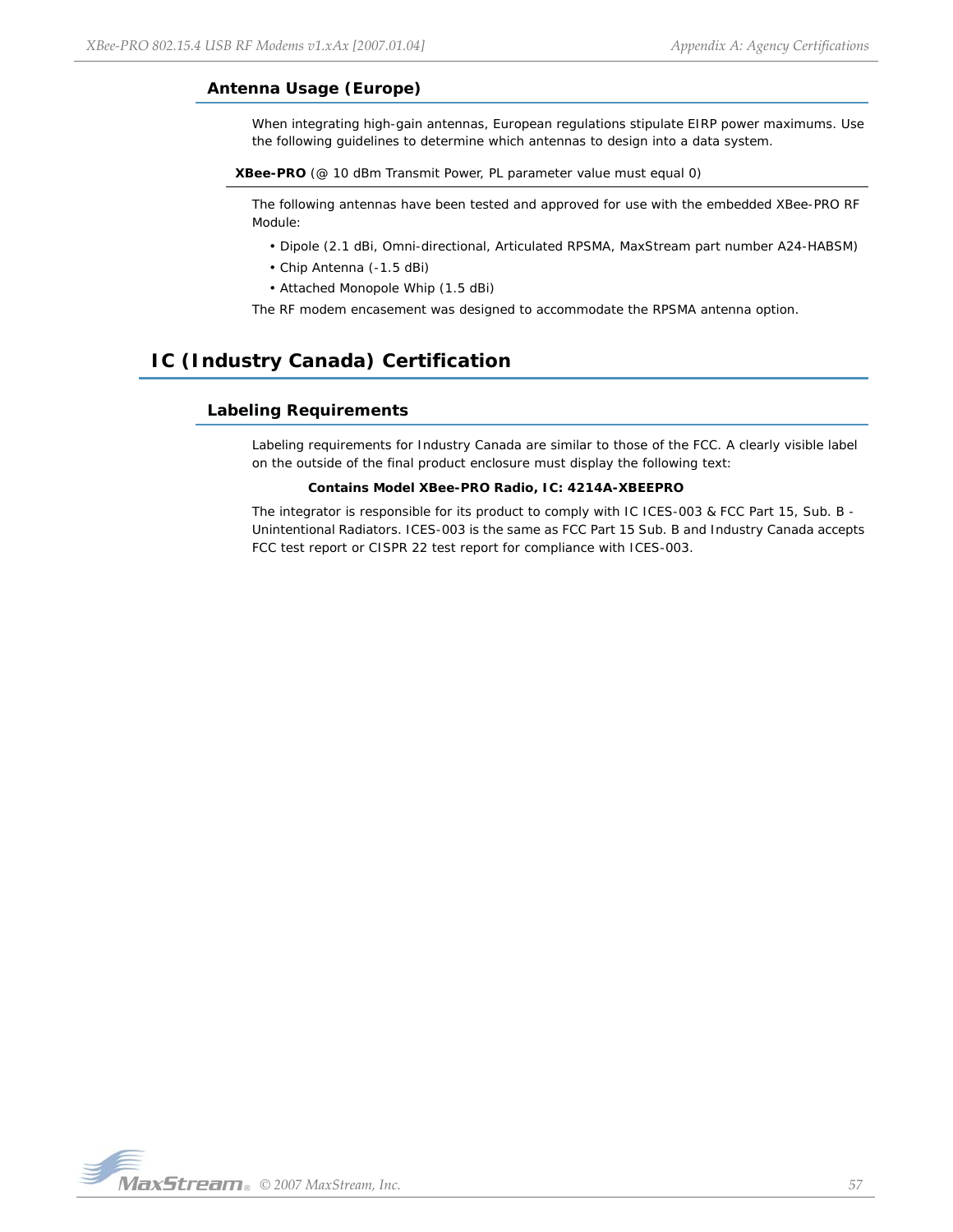# <span id="page-56-0"></span>**Antenna Usage (Europe)**

When integrating high-gain antennas, European regulations stipulate EIRP power maximums. Use the following guidelines to determine which antennas to design into a data system.

**XBee-PRO** (@ 10 dBm Transmit Power, PL parameter value must equal 0)

The following antennas have been tested and approved for use with the embedded XBee-PRO RF Module:

- Dipole (2.1 dBi, Omni-directional, Articulated RPSMA, MaxStream part number A24-HABSM)
- Chip Antenna (-1.5 dBi)
- Attached Monopole Whip (1.5 dBi)

The RF modem encasement was designed to accommodate the RPSMA antenna option.

# <span id="page-56-2"></span><span id="page-56-1"></span>**IC (Industry Canada) Certification**

# **Labeling Requirements**

Labeling requirements for Industry Canada are similar to those of the FCC. A clearly visible label on the outside of the final product enclosure must display the following text:

### **Contains Model XBee-PRO Radio, IC: 4214A-XBEEPRO**

The integrator is responsible for its product to comply with IC ICES-003 & FCC Part 15, Sub. B -Unintentional Radiators. ICES-003 is the same as FCC Part 15 Sub. B and Industry Canada accepts FCC test report or CISPR 22 test report for compliance with ICES-003.

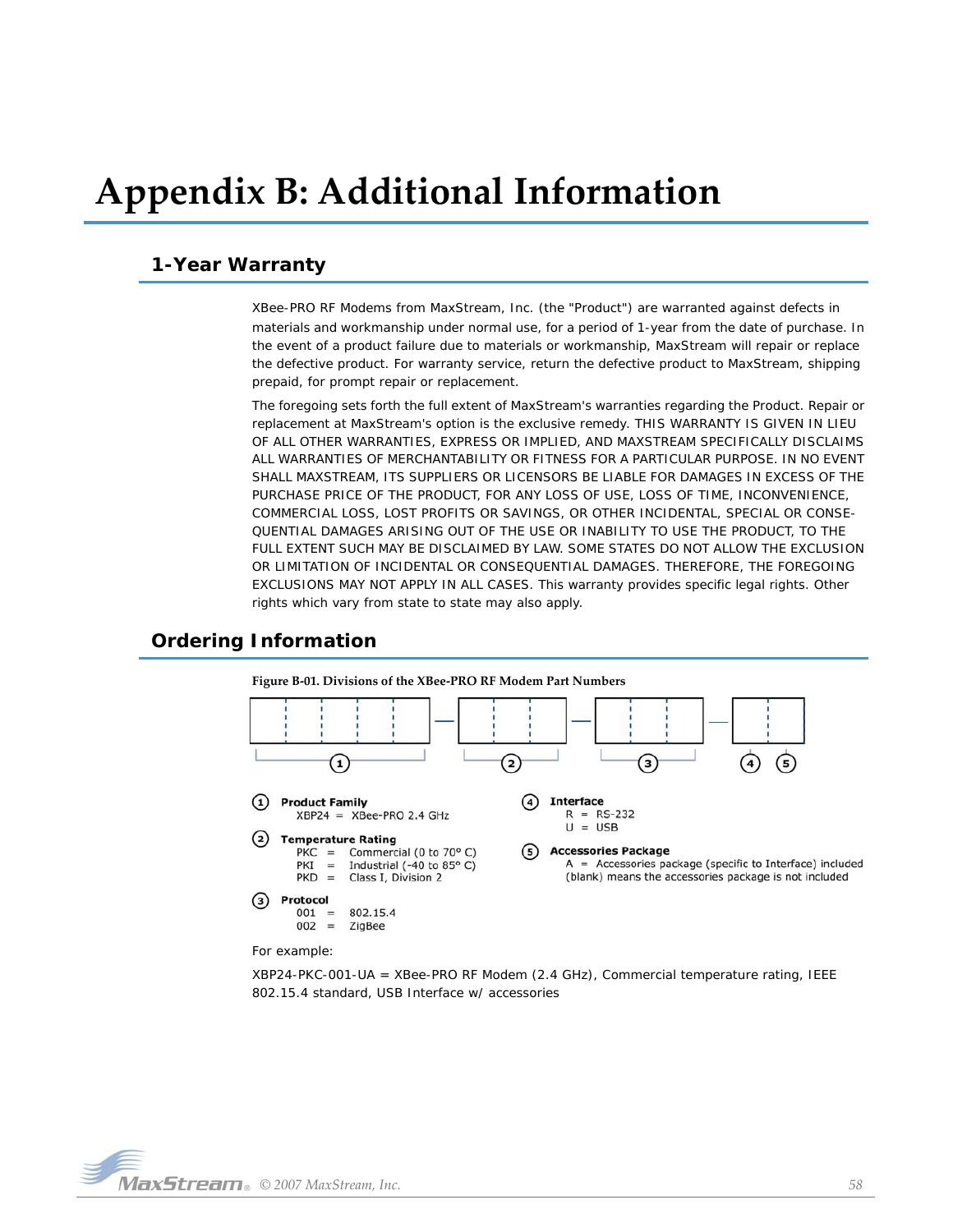# <span id="page-57-0"></span>**Appendix B: Additional Information**

# <span id="page-57-1"></span>**1-Year Warranty**

XBee-PRO RF Modems from MaxStream, Inc. (the "Product") are warranted against defects in materials and workmanship under normal use, for a period of 1-year from the date of purchase. In the event of a product failure due to materials or workmanship, MaxStream will repair or replace the defective product. For warranty service, return the defective product to MaxStream, shipping prepaid, for prompt repair or replacement.

The foregoing sets forth the full extent of MaxStream's warranties regarding the Product. Repair or replacement at MaxStream's option is the exclusive remedy. THIS WARRANTY IS GIVEN IN LIEU OF ALL OTHER WARRANTIES, EXPRESS OR IMPLIED, AND MAXSTREAM SPECIFICALLY DISCLAIMS ALL WARRANTIES OF MERCHANTABILITY OR FITNESS FOR A PARTICULAR PURPOSE. IN NO EVENT SHALL MAXSTREAM, ITS SUPPLIERS OR LICENSORS BE LIABLE FOR DAMAGES IN EXCESS OF THE PURCHASE PRICE OF THE PRODUCT, FOR ANY LOSS OF USE, LOSS OF TIME, INCONVENIENCE, COMMERCIAL LOSS, LOST PROFITS OR SAVINGS, OR OTHER INCIDENTAL, SPECIAL OR CONSE-QUENTIAL DAMAGES ARISING OUT OF THE USE OR INABILITY TO USE THE PRODUCT, TO THE FULL EXTENT SUCH MAY BE DISCLAIMED BY LAW. SOME STATES DO NOT ALLOW THE EXCLUSION OR LIMITATION OF INCIDENTAL OR CONSEQUENTIAL DAMAGES. THEREFORE, THE FOREGOING EXCLUSIONS MAY NOT APPLY IN ALL CASES. This warranty provides specific legal rights. Other rights which vary from state to state may also apply.

# <span id="page-57-2"></span>**Ordering Information**



For example:

XBP24-PKC-001-UA = XBee-PRO RF Modem (2.4 GHz), Commercial temperature rating, IEEE 802.15.4 standard, USB Interface w/ accessories